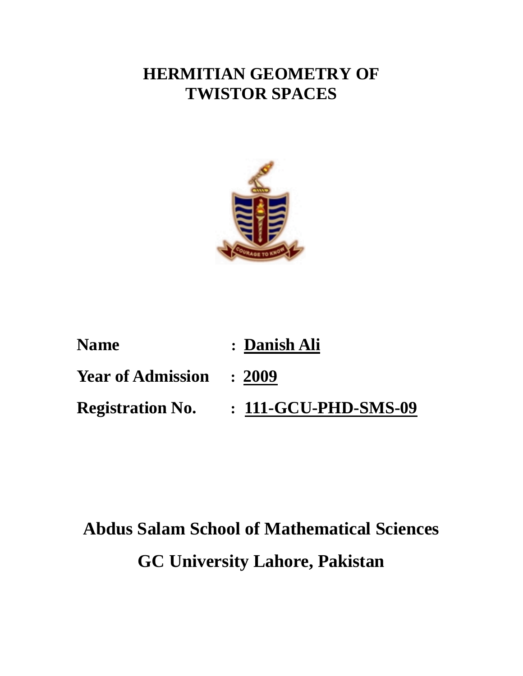## **HERMITIAN GEOMETRY OF TWISTOR SPACES**



| <b>Name</b>                     | : Danish Ali         |
|---------------------------------|----------------------|
| <b>Year of Admission : 2009</b> |                      |
| <b>Registration No.</b>         | : 111-GCU-PHD-SMS-09 |

# **Abdus Salam School of Mathematical Sciences GC University Lahore, Pakistan**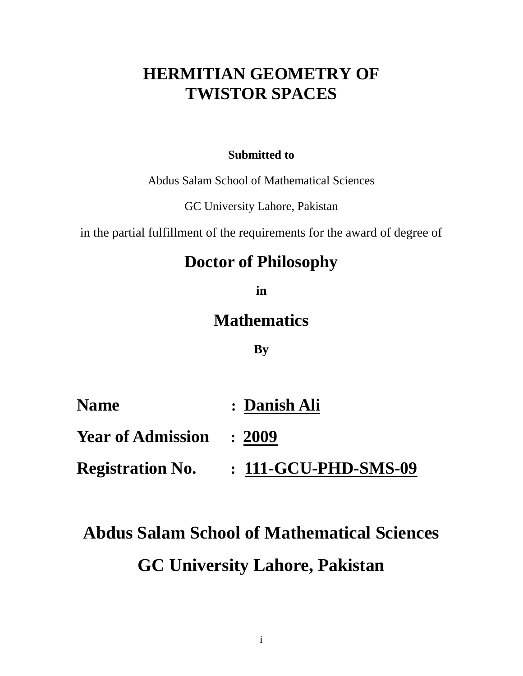## **HERMITIAN GEOMETRY OF TWISTOR SPACES**

### **Submitted to**

Abdus Salam School of Mathematical Sciences

GC University Lahore, Pakistan

in the partial fulfillment of the requirements for the award of degree of

## **Doctor of Philosophy**

**in** 

### **Mathematics**

### **By**

| <b>Name</b>                     | : Danish Ali            |
|---------------------------------|-------------------------|
| <b>Year of Admission : 2009</b> |                         |
| <b>Registration No.</b>         | $: 111$ -GCU-PHD-SMS-09 |

# **Abdus Salam School of Mathematical Sciences GC University Lahore, Pakistan**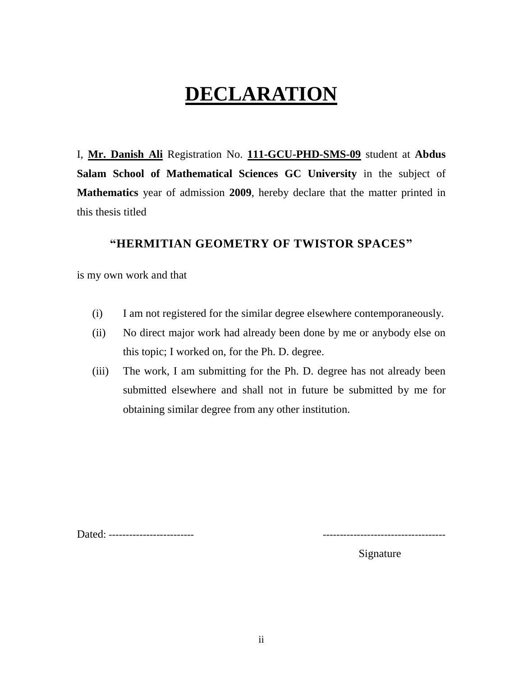## **DECLARATION**

I, **Mr. Danish Ali** Registration No. **111-GCU-PHD-SMS-09** student at **Abdus Salam School of Mathematical Sciences GC University** in the subject of **Mathematics** year of admission **2009**, hereby declare that the matter printed in this thesis titled

### **"HERMITIAN GEOMETRY OF TWISTOR SPACES"**

is my own work and that

- (i) I am not registered for the similar degree elsewhere contemporaneously.
- (ii) No direct major work had already been done by me or anybody else on this topic; I worked on, for the Ph. D. degree.
- (iii) The work, I am submitting for the Ph. D. degree has not already been submitted elsewhere and shall not in future be submitted by me for obtaining similar degree from any other institution.

Dated: ------------------------- ------------------------------------

Signature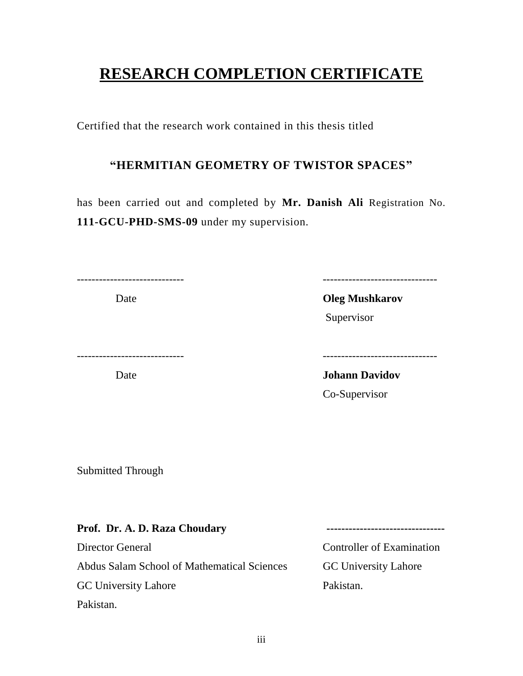## **RESEARCH COMPLETION CERTIFICATE**

Certified that the research work contained in this thesis titled

### **"HERMITIAN GEOMETRY OF TWISTOR SPACES"**

has been carried out and completed by **Mr. Danish Ali** Registration No. **111-GCU-PHD-SMS-09** under my supervision.

Date **Oleg Mushkarov** 

----------------------------- -------------------------------

Supervisor

----------------------------- -------------------------------

Date **Date Strate** *Date* **Johann Davidov** Co-Supervisor

Submitted Through

| Prof. Dr. A. D. Raza Choudary               |                                  |
|---------------------------------------------|----------------------------------|
| Director General                            | <b>Controller of Examination</b> |
| Abdus Salam School of Mathematical Sciences | <b>GC University Lahore</b>      |
| <b>GC University Lahore</b>                 | Pakistan.                        |
| Pakistan.                                   |                                  |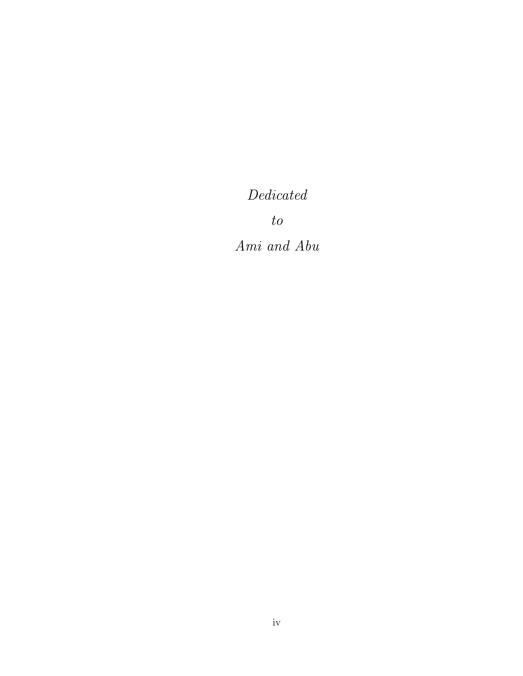Dedicated

to

Ami and Abu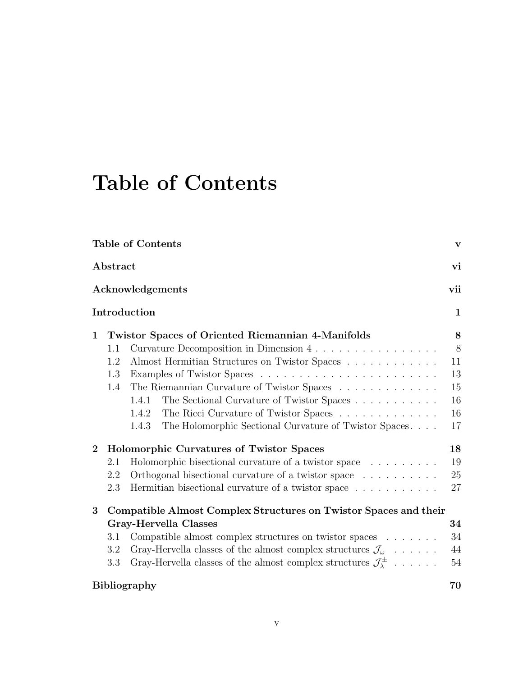# Table of Contents

|                |          | <b>Table of Contents</b>                                                             | $\mathbf{V}$ |
|----------------|----------|--------------------------------------------------------------------------------------|--------------|
|                | Abstract |                                                                                      | vi           |
|                |          | Acknowledgements                                                                     | vii          |
|                |          | Introduction                                                                         | $\mathbf{1}$ |
| $\mathbf 1$    |          | <b>Twistor Spaces of Oriented Riemannian 4-Manifolds</b>                             | 8            |
|                | 1.1      | Curvature Decomposition in Dimension 4                                               | 8            |
|                | 1.2      | Almost Hermitian Structures on Twistor Spaces                                        | 11           |
|                | 1.3      |                                                                                      | 13           |
|                | 1.4      | The Riemannian Curvature of Twistor Spaces                                           | 15           |
|                |          | The Sectional Curvature of Twistor Spaces<br>1.4.1                                   | 16           |
|                |          | The Ricci Curvature of Twistor Spaces<br>1.4.2                                       | 16           |
|                |          | The Holomorphic Sectional Curvature of Twistor Spaces.<br>1.4.3                      | 17           |
| $\overline{2}$ |          | Holomorphic Curvatures of Twistor Spaces                                             | 18           |
|                | 2.1      | Holomorphic bisectional curvature of a twistor space                                 | 19           |
|                | 2.2      | Orthogonal bisectional curvature of a twistor space                                  | 25           |
|                | 2.3      | Hermitian bisectional curvature of a twistor space                                   | 27           |
| 3              |          | Compatible Almost Complex Structures on Twistor Spaces and their                     |              |
|                |          | Gray-Hervella Classes                                                                | 34           |
|                | 3.1      | Compatible almost complex structures on twistor spaces $\ldots \ldots$               | 34           |
|                | 3.2      | Gray-Hervella classes of the almost complex structures $\mathcal{J}_{\omega}$        | 44           |
|                | 3.3      | Gray-Hervella classes of the almost complex structures $\mathcal{J}_{\lambda}^{\pm}$ | 54           |
|                |          | <b>Bibliography</b>                                                                  | 70           |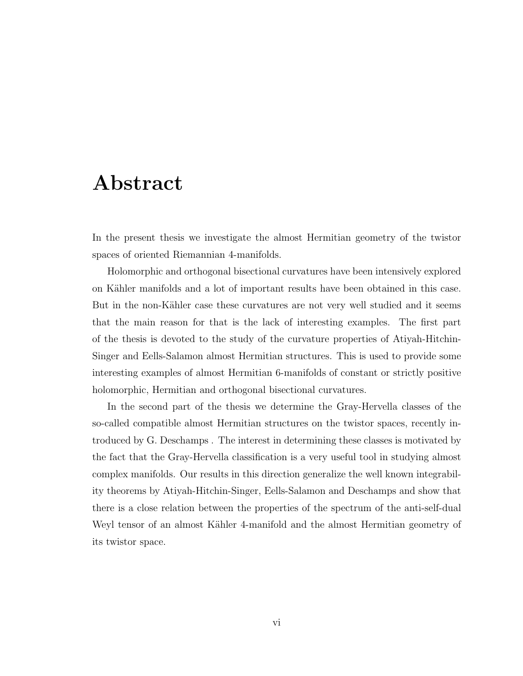## Abstract

In the present thesis we investigate the almost Hermitian geometry of the twistor spaces of oriented Riemannian 4-manifolds.

Holomorphic and orthogonal bisectional curvatures have been intensively explored on Kähler manifolds and a lot of important results have been obtained in this case. But in the non-Kähler case these curvatures are not very well studied and it seems that the main reason for that is the lack of interesting examples. The first part of the thesis is devoted to the study of the curvature properties of Atiyah-Hitchin-Singer and Eells-Salamon almost Hermitian structures. This is used to provide some interesting examples of almost Hermitian 6-manifolds of constant or strictly positive holomorphic, Hermitian and orthogonal bisectional curvatures.

In the second part of the thesis we determine the Gray-Hervella classes of the so-called compatible almost Hermitian structures on the twistor spaces, recently introduced by G. Deschamps . The interest in determining these classes is motivated by the fact that the Gray-Hervella classification is a very useful tool in studying almost complex manifolds. Our results in this direction generalize the well known integrability theorems by Atiyah-Hitchin-Singer, Eells-Salamon and Deschamps and show that there is a close relation between the properties of the spectrum of the anti-self-dual Weyl tensor of an almost Kähler 4-manifold and the almost Hermitian geometry of its twistor space.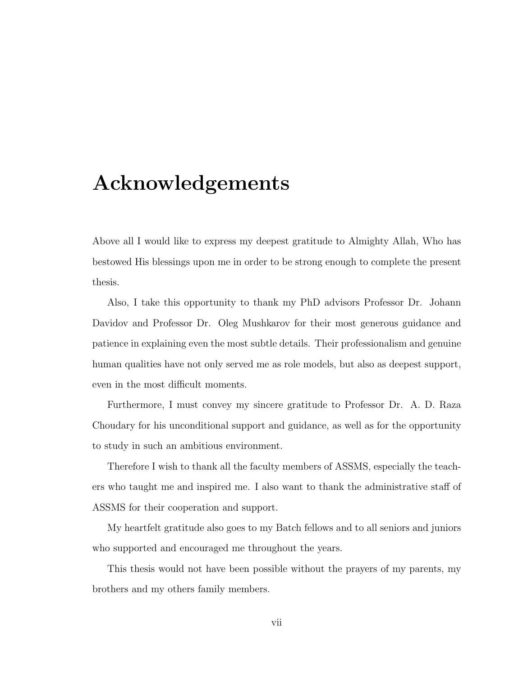## Acknowledgements

Above all I would like to express my deepest gratitude to Almighty Allah, Who has bestowed His blessings upon me in order to be strong enough to complete the present thesis.

Also, I take this opportunity to thank my PhD advisors Professor Dr. Johann Davidov and Professor Dr. Oleg Mushkarov for their most generous guidance and patience in explaining even the most subtle details. Their professionalism and genuine human qualities have not only served me as role models, but also as deepest support, even in the most difficult moments.

Furthermore, I must convey my sincere gratitude to Professor Dr. A. D. Raza Choudary for his unconditional support and guidance, as well as for the opportunity to study in such an ambitious environment.

Therefore I wish to thank all the faculty members of ASSMS, especially the teachers who taught me and inspired me. I also want to thank the administrative staff of ASSMS for their cooperation and support.

My heartfelt gratitude also goes to my Batch fellows and to all seniors and juniors who supported and encouraged me throughout the years.

This thesis would not have been possible without the prayers of my parents, my brothers and my others family members.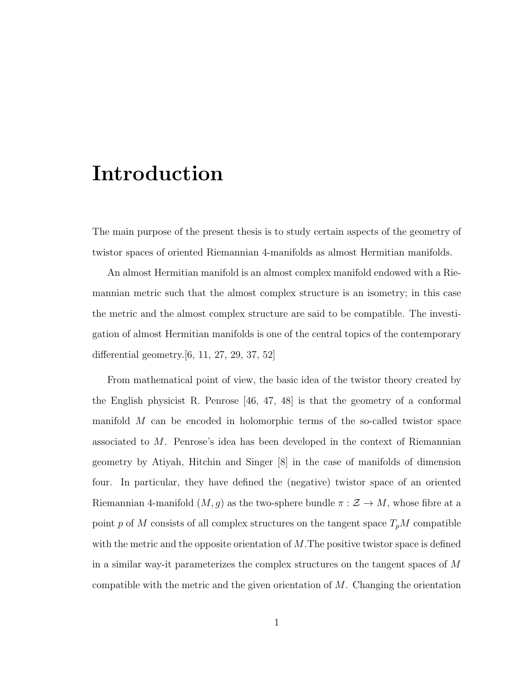## Introduction

The main purpose of the present thesis is to study certain aspects of the geometry of twistor spaces of oriented Riemannian 4-manifolds as almost Hermitian manifolds.

An almost Hermitian manifold is an almost complex manifold endowed with a Riemannian metric such that the almost complex structure is an isometry; in this case the metric and the almost complex structure are said to be compatible. The investigation of almost Hermitian manifolds is one of the central topics of the contemporary differential geometry.[6, 11, 27, 29, 37, 52]

From mathematical point of view, the basic idea of the twistor theory created by the English physicist R. Penrose [46, 47, 48] is that the geometry of a conformal manifold M can be encoded in holomorphic terms of the so-called twistor space associated to M. Penrose's idea has been developed in the context of Riemannian geometry by Atiyah, Hitchin and Singer [8] in the case of manifolds of dimension four. In particular, they have defined the (negative) twistor space of an oriented Riemannian 4-manifold  $(M, g)$  as the two-sphere bundle  $\pi : \mathcal{Z} \to M$ , whose fibre at a point p of M consists of all complex structures on the tangent space  $T_pM$  compatible with the metric and the opposite orientation of  $M$ . The positive twistor space is defined in a similar way-it parameterizes the complex structures on the tangent spaces of M compatible with the metric and the given orientation of  $M$ . Changing the orientation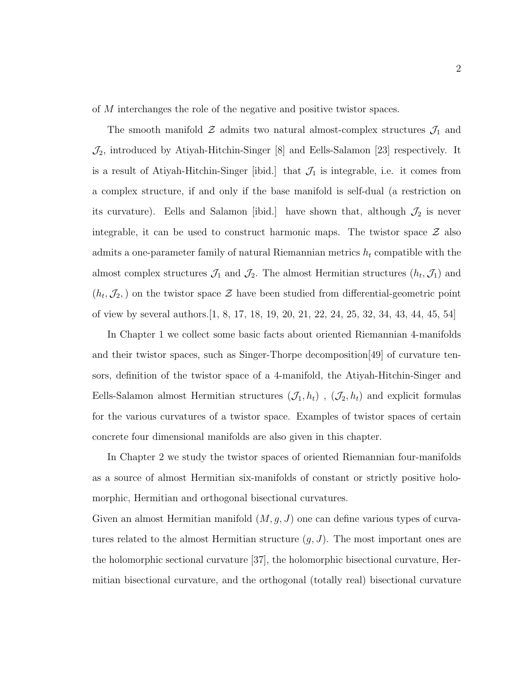of M interchanges the role of the negative and positive twistor spaces.

The smooth manifold  $\mathcal Z$  admits two natural almost-complex structures  $\mathcal J_1$  and  $\mathcal{J}_2$ , introduced by Atiyah-Hitchin-Singer [8] and Eells-Salamon [23] respectively. It is a result of Atiyah-Hitchin-Singer [ibid.] that  $\mathcal{J}_1$  is integrable, i.e. it comes from a complex structure, if and only if the base manifold is self-dual (a restriction on its curvature). Eells and Salamon [ibid.] have shown that, although  $\mathcal{J}_2$  is never integrable, it can be used to construct harmonic maps. The twistor space  $\mathcal Z$  also admits a one-parameter family of natural Riemannian metrics  $h_t$  compatible with the almost complex structures  $\mathcal{J}_1$  and  $\mathcal{J}_2$ . The almost Hermitian structures  $(h_t, \mathcal{J}_1)$  and  $(h_t, \mathcal{J}_2)$  on the twistor space  $\mathcal{Z}$  have been studied from differential-geometric point of view by several authors.[1, 8, 17, 18, 19, 20, 21, 22, 24, 25, 32, 34, 43, 44, 45, 54]

In Chapter 1 we collect some basic facts about oriented Riemannian 4-manifolds and their twistor spaces, such as Singer-Thorpe decomposition[49] of curvature tensors, definition of the twistor space of a 4-manifold, the Atiyah-Hitchin-Singer and Eells-Salamon almost Hermitian structures  $(\mathcal{J}_1, h_t)$ ,  $(\mathcal{J}_2, h_t)$  and explicit formulas for the various curvatures of a twistor space. Examples of twistor spaces of certain concrete four dimensional manifolds are also given in this chapter.

In Chapter 2 we study the twistor spaces of oriented Riemannian four-manifolds as a source of almost Hermitian six-manifolds of constant or strictly positive holomorphic, Hermitian and orthogonal bisectional curvatures.

Given an almost Hermitian manifold  $(M, g, J)$  one can define various types of curvatures related to the almost Hermitian structure  $(g, J)$ . The most important ones are the holomorphic sectional curvature [37], the holomorphic bisectional curvature, Hermitian bisectional curvature, and the orthogonal (totally real) bisectional curvature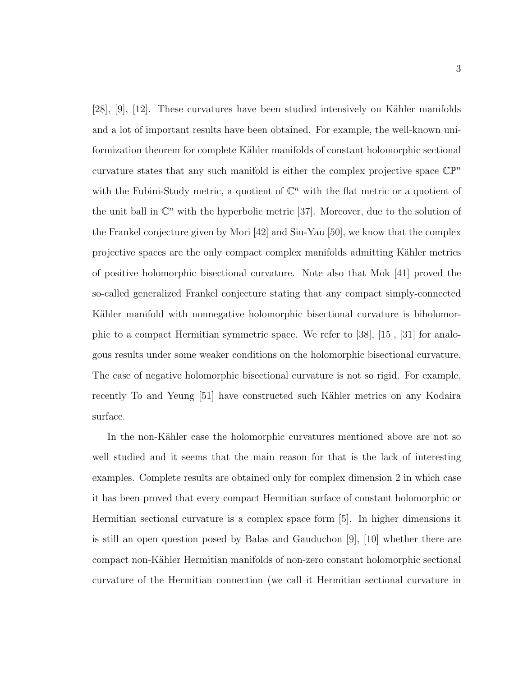[28], [9], [12]. These curvatures have been studied intensively on Kähler manifolds and a lot of important results have been obtained. For example, the well-known uniformization theorem for complete Kähler manifolds of constant holomorphic sectional curvature states that any such manifold is either the complex projective space  $\mathbb{CP}^n$ with the Fubini-Study metric, a quotient of  $\mathbb{C}^n$  with the flat metric or a quotient of the unit ball in  $\mathbb{C}^n$  with the hyperbolic metric [37]. Moreover, due to the solution of the Frankel conjecture given by Mori [42] and Siu-Yau [50], we know that the complex projective spaces are the only compact complex manifolds admitting Kähler metrics of positive holomorphic bisectional curvature. Note also that Mok [41] proved the so-called generalized Frankel conjecture stating that any compact simply-connected Kähler manifold with nonnegative holomorphic bisectional curvature is biholomorphic to a compact Hermitian symmetric space. We refer to [38], [15], [31] for analogous results under some weaker conditions on the holomorphic bisectional curvature. The case of negative holomorphic bisectional curvature is not so rigid. For example, recently To and Yeung [51] have constructed such Kähler metrics on any Kodaira surface.

In the non-Kähler case the holomorphic curvatures mentioned above are not so well studied and it seems that the main reason for that is the lack of interesting examples. Complete results are obtained only for complex dimension 2 in which case it has been proved that every compact Hermitian surface of constant holomorphic or Hermitian sectional curvature is a complex space form [5]. In higher dimensions it is still an open question posed by Balas and Gauduchon [9], [10] whether there are compact non-Kähler Hermitian manifolds of non-zero constant holomorphic sectional curvature of the Hermitian connection (we call it Hermitian sectional curvature in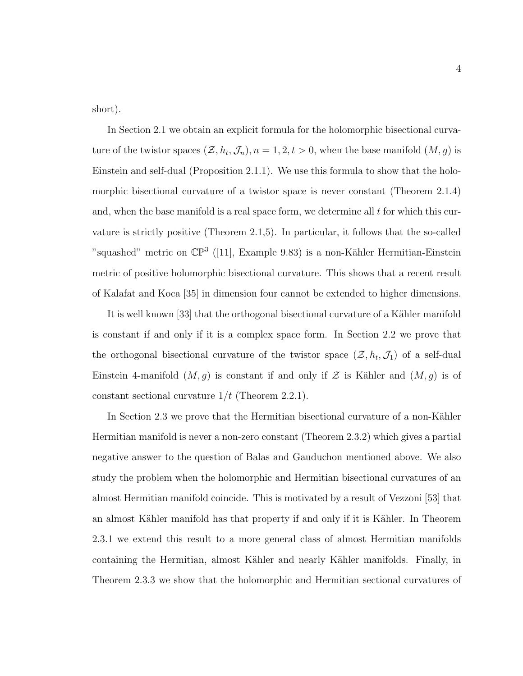short).

In Section 2.1 we obtain an explicit formula for the holomorphic bisectional curvature of the twistor spaces  $(\mathcal{Z}, h_t, \mathcal{J}_n)$ ,  $n = 1, 2, t > 0$ , when the base manifold  $(M, g)$  is Einstein and self-dual (Proposition 2.1.1). We use this formula to show that the holomorphic bisectional curvature of a twistor space is never constant (Theorem 2.1.4) and, when the base manifold is a real space form, we determine all  $t$  for which this curvature is strictly positive (Theorem 2.1,5). In particular, it follows that the so-called "squashed" metric on  $\mathbb{CP}^3$  ([11], Example 9.83) is a non-Kähler Hermitian-Einstein metric of positive holomorphic bisectional curvature. This shows that a recent result of Kalafat and Koca [35] in dimension four cannot be extended to higher dimensions.

It is well known [33] that the orthogonal bisectional curvature of a Kähler manifold is constant if and only if it is a complex space form. In Section 2.2 we prove that the orthogonal bisectional curvature of the twistor space  $(\mathcal{Z}, h_t, \mathcal{J}_1)$  of a self-dual Einstein 4-manifold  $(M, g)$  is constant if and only if  $\mathcal Z$  is Kähler and  $(M, g)$  is of constant sectional curvature  $1/t$  (Theorem 2.2.1).

In Section 2.3 we prove that the Hermitian bisectional curvature of a non-Kähler Hermitian manifold is never a non-zero constant (Theorem 2.3.2) which gives a partial negative answer to the question of Balas and Gauduchon mentioned above. We also study the problem when the holomorphic and Hermitian bisectional curvatures of an almost Hermitian manifold coincide. This is motivated by a result of Vezzoni [53] that an almost Kähler manifold has that property if and only if it is Kähler. In Theorem 2.3.1 we extend this result to a more general class of almost Hermitian manifolds containing the Hermitian, almost Kähler and nearly Kähler manifolds. Finally, in Theorem 2.3.3 we show that the holomorphic and Hermitian sectional curvatures of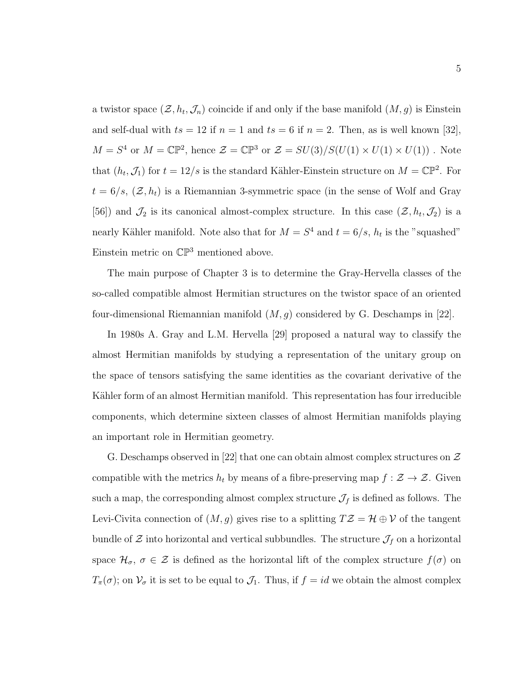a twistor space  $(\mathcal{Z}, h_t, \mathcal{J}_n)$  coincide if and only if the base manifold  $(M, g)$  is Einstein and self-dual with  $ts = 12$  if  $n = 1$  and  $ts = 6$  if  $n = 2$ . Then, as is well known [32],  $M = S^4$  or  $M = \mathbb{CP}^2$ , hence  $\mathcal{Z} = \mathbb{CP}^3$  or  $\mathcal{Z} = SU(3)/S(U(1) \times U(1) \times U(1))$ . Note that  $(h_t, \mathcal{J}_1)$  for  $t = 12/s$  is the standard Kähler-Einstein structure on  $M = \mathbb{CP}^2$ . For  $t = 6/s$ ,  $(\mathcal{Z}, h_t)$  is a Riemannian 3-symmetric space (in the sense of Wolf and Gray [56]) and  $\mathcal{J}_2$  is its canonical almost-complex structure. In this case  $(\mathcal{Z}, h_t, \mathcal{J}_2)$  is a nearly Kähler manifold. Note also that for  $M = S<sup>4</sup>$  and  $t = 6/s$ ,  $h_t$  is the "squashed" Einstein metric on  $\mathbb{CP}^3$  mentioned above.

The main purpose of Chapter 3 is to determine the Gray-Hervella classes of the so-called compatible almost Hermitian structures on the twistor space of an oriented four-dimensional Riemannian manifold  $(M, g)$  considered by G. Deschamps in [22].

In 1980s A. Gray and L.M. Hervella [29] proposed a natural way to classify the almost Hermitian manifolds by studying a representation of the unitary group on the space of tensors satisfying the same identities as the covariant derivative of the Kähler form of an almost Hermitian manifold. This representation has four irreducible components, which determine sixteen classes of almost Hermitian manifolds playing an important role in Hermitian geometry.

G. Deschamps observed in [22] that one can obtain almost complex structures on  $\mathcal Z$ compatible with the metrics  $h_t$  by means of a fibre-preserving map  $f : \mathcal{Z} \to \mathcal{Z}$ . Given such a map, the corresponding almost complex structure  $\mathcal{J}_f$  is defined as follows. The Levi-Civita connection of  $(M, g)$  gives rise to a splitting  $T\mathcal{Z} = \mathcal{H} \oplus \mathcal{V}$  of the tangent bundle of  $\mathcal Z$  into horizontal and vertical subbundles. The structure  $\mathcal J_f$  on a horizontal space  $\mathcal{H}_{\sigma}$ ,  $\sigma \in \mathcal{Z}$  is defined as the horizontal lift of the complex structure  $f(\sigma)$  on  $T_{\pi}(\sigma)$ ; on  $\mathcal{V}_{\sigma}$  it is set to be equal to  $\mathcal{J}_1$ . Thus, if  $f = id$  we obtain the almost complex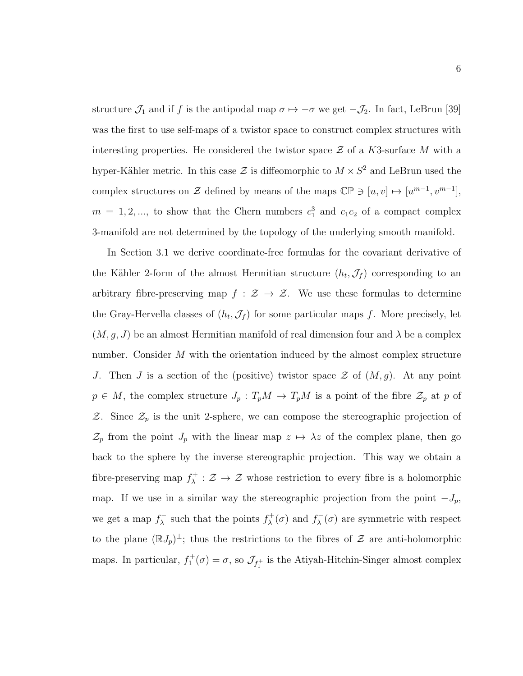structure  $\mathcal{J}_1$  and if f is the antipodal map  $\sigma \mapsto -\sigma$  we get  $-\mathcal{J}_2$ . In fact, LeBrun [39] was the first to use self-maps of a twistor space to construct complex structures with interesting properties. He considered the twistor space  $\mathcal Z$  of a K3-surface M with a hyper-Kähler metric. In this case  $\mathcal Z$  is diffeomorphic to  $M \times S^2$  and LeBrun used the complex structures on Z defined by means of the maps  $\mathbb{CP} \ni [u, v] \mapsto [u^{m-1}, v^{m-1}],$  $m = 1, 2, \dots$ , to show that the Chern numbers  $c_1^3$  and  $c_1c_2$  of a compact complex 3-manifold are not determined by the topology of the underlying smooth manifold.

In Section 3.1 we derive coordinate-free formulas for the covariant derivative of the Kähler 2-form of the almost Hermitian structure  $(h_t, \mathcal{J}_f)$  corresponding to an arbitrary fibre-preserving map  $f : \mathcal{Z} \to \mathcal{Z}$ . We use these formulas to determine the Gray-Hervella classes of  $(h_t, \mathcal{J}_f)$  for some particular maps f. More precisely, let  $(M, g, J)$  be an almost Hermitian manifold of real dimension four and  $\lambda$  be a complex number. Consider M with the orientation induced by the almost complex structure J. Then J is a section of the (positive) twistor space  $\mathcal Z$  of  $(M, g)$ . At any point  $p \in M$ , the complex structure  $J_p: T_pM \to T_pM$  is a point of the fibre  $\mathcal{Z}_p$  at p of  $Z$ . Since  $\mathcal{Z}_p$  is the unit 2-sphere, we can compose the stereographic projection of  $\mathcal{Z}_p$  from the point  $J_p$  with the linear map  $z \mapsto \lambda z$  of the complex plane, then go back to the sphere by the inverse stereographic projection. This way we obtain a fibre-preserving map  $f_{\lambda}^{+}$  $\chi^+$ :  $\mathcal{Z} \to \mathcal{Z}$  whose restriction to every fibre is a holomorphic map. If we use in a similar way the stereographic projection from the point  $-J_p$ , we get a map  $f_{\lambda}^ \lambda$  such that the points  $f_{\lambda}^{+}$  $f_{\lambda}^{+}(\sigma)$  and  $f_{\lambda}^{-}$  $\lambda(\sigma)$  are symmetric with respect to the plane  $(\mathbb{R}J_p)^{\perp}$ ; thus the restrictions to the fibres of  $\mathcal Z$  are anti-holomorphic maps. In particular,  $f_1^+(\sigma) = \sigma$ , so  $\mathcal{J}_{f_1^+}$  is the Atiyah-Hitchin-Singer almost complex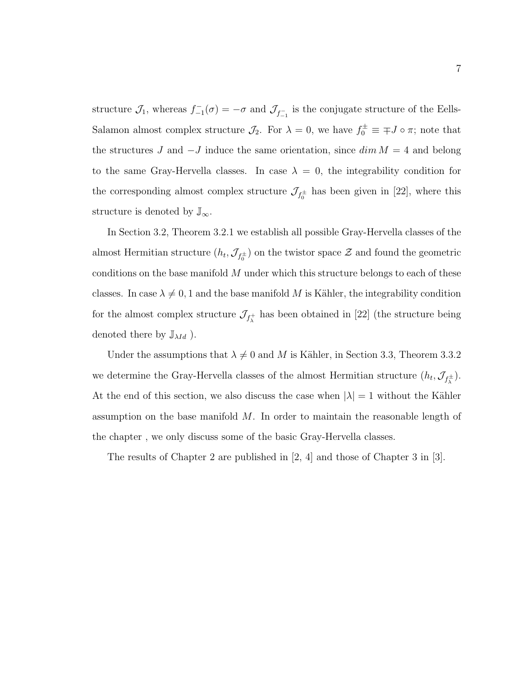structure  $\mathcal{J}_1$ , whereas  $f_{-1}^-(\sigma) = -\sigma$  and  $\mathcal{J}_{f_{-1}^-}$  is the conjugate structure of the Eells-Salamon almost complex structure  $\mathcal{J}_2$ . For  $\lambda = 0$ , we have  $f_0^{\pm} \equiv \mp J \circ \pi$ ; note that the structures J and  $-J$  induce the same orientation, since  $\dim M = 4$  and belong to the same Gray-Hervella classes. In case  $\lambda = 0$ , the integrability condition for the corresponding almost complex structure  $\mathcal{J}_{f_0^{\pm}}$  has been given in [22], where this structure is denoted by  $\mathbb{J}_{\infty}$ .

In Section 3.2, Theorem 3.2.1 we establish all possible Gray-Hervella classes of the almost Hermitian structure  $(h_t, \mathcal{J}_{f_0^{\pm}})$  on the twistor space  $\mathcal Z$  and found the geometric conditions on the base manifold  $M$  under which this structure belongs to each of these classes. In case  $\lambda \neq 0, 1$  and the base manifold M is Kähler, the integrability condition for the almost complex structure  $\mathcal{J}_{f^+_\lambda}$  has been obtained in [22] (the structure being denoted there by  $\mathbb{J}_{\lambda Id}$  ).

Under the assumptions that  $\lambda \neq 0$  and M is Kähler, in Section 3.3, Theorem 3.3.2 we determine the Gray-Hervella classes of the almost Hermitian structure  $(h_t, \mathcal{J}_{f_\lambda^{\pm}})$ . At the end of this section, we also discuss the case when  $|\lambda| = 1$  without the Kähler assumption on the base manifold  $M$ . In order to maintain the reasonable length of the chapter , we only discuss some of the basic Gray-Hervella classes.

The results of Chapter 2 are published in [2, 4] and those of Chapter 3 in [3].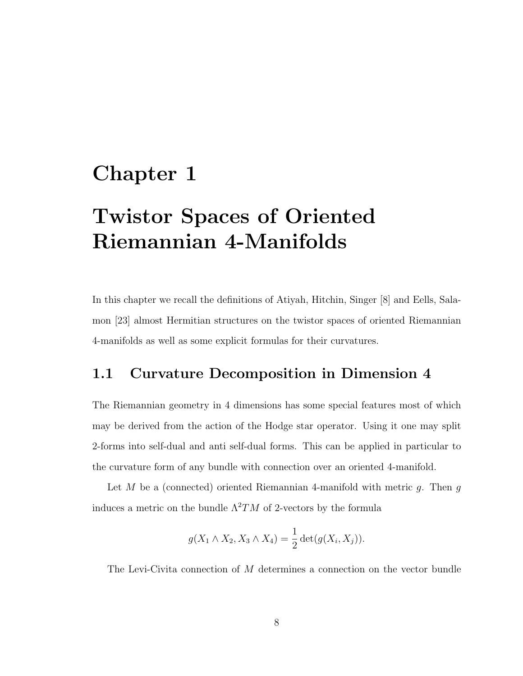## Chapter 1

# Twistor Spaces of Oriented Riemannian 4-Manifolds

In this chapter we recall the definitions of Atiyah, Hitchin, Singer [8] and Eells, Salamon [23] almost Hermitian structures on the twistor spaces of oriented Riemannian 4-manifolds as well as some explicit formulas for their curvatures.

### 1.1 Curvature Decomposition in Dimension 4

The Riemannian geometry in 4 dimensions has some special features most of which may be derived from the action of the Hodge star operator. Using it one may split 2-forms into self-dual and anti self-dual forms. This can be applied in particular to the curvature form of any bundle with connection over an oriented 4-manifold.

Let M be a (connected) oriented Riemannian 4-manifold with metric q. Then q induces a metric on the bundle  $\Lambda^2 TM$  of 2-vectors by the formula

$$
g(X_1 \wedge X_2, X_3 \wedge X_4) = \frac{1}{2} \det(g(X_i, X_j)).
$$

The Levi-Civita connection of M determines a connection on the vector bundle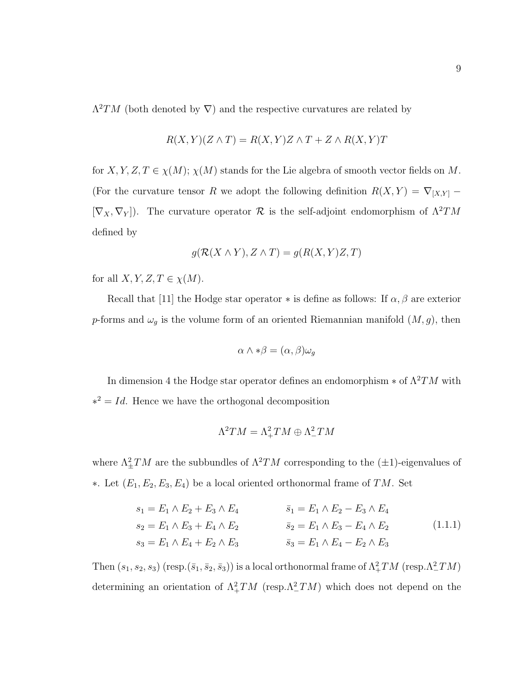$\Lambda^2 TM$  (both denoted by  $\nabla$ ) and the respective curvatures are related by

$$
R(X,Y)(Z \wedge T) = R(X,Y)Z \wedge T + Z \wedge R(X,Y)T
$$

for  $X, Y, Z, T \in \chi(M); \chi(M)$  stands for the Lie algebra of smooth vector fields on M. (For the curvature tensor R we adopt the following definition  $R(X, Y) = \nabla_{[X,Y]}$  $[\nabla_X, \nabla_Y]$ . The curvature operator  $\mathcal R$  is the self-adjoint endomorphism of  $\Lambda^2 TM$ defined by

$$
g(\mathcal{R}(X \wedge Y), Z \wedge T) = g(R(X, Y)Z, T)
$$

for all  $X, Y, Z, T \in \chi(M)$ .

Recall that [11] the Hodge star operator  $*$  is define as follows: If  $\alpha, \beta$  are exterior p-forms and  $\omega_g$  is the volume form of an oriented Riemannian manifold  $(M, g)$ , then

$$
\alpha \wedge * \beta = (\alpha, \beta)\omega_g
$$

In dimension 4 the Hodge star operator defines an endomorphism  $*$  of  $\Lambda^2 TM$  with  $*^2 = Id$ . Hence we have the orthogonal decomposition

$$
\Lambda^2TM=\Lambda^2_+TM\oplus\Lambda^2_-TM
$$

where  $\Lambda^2_{\pm}TM$  are the subbundles of  $\Lambda^2TM$  corresponding to the  $(\pm 1)$ -eigenvalues of ∗. Let  $(E_1, E_2, E_3, E_4)$  be a local oriented orthonormal frame of TM. Set

$$
s_1 = E_1 \wedge E_2 + E_3 \wedge E_4
$$
  
\n
$$
s_2 = E_1 \wedge E_3 + E_4 \wedge E_2
$$
  
\n
$$
s_3 = E_1 \wedge E_4 + E_2 \wedge E_3
$$
  
\n
$$
\bar{s}_3 = E_1 \wedge E_4 - E_2 \wedge E_3
$$
  
\n
$$
\bar{s}_3 = E_1 \wedge E_4 - E_2 \wedge E_3
$$
  
\n(1.1.1)

Then  $(s_1, s_2, s_3)$  (resp. $(\bar{s}_1, \bar{s}_2, \bar{s}_3)$ ) is a local orthonormal frame of  $\Lambda^2_+TM$  (resp. $\Lambda^2_-TM$ ) determining an orientation of  $\Lambda^2_+TM$  (resp. $\Lambda^2_-TM$ ) which does not depend on the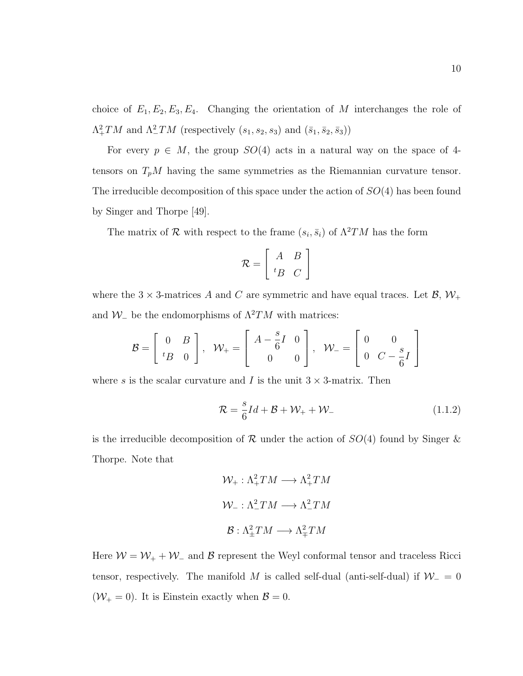choice of  $E_1, E_2, E_3, E_4$ . Changing the orientation of M interchanges the role of  $\Lambda^2_+TM$  and  $\Lambda^2_-TM$  (respectively  $(s_1, s_2, s_3)$  and  $(\bar{s}_1, \bar{s}_2, \bar{s}_3)$ )

For every  $p \in M$ , the group  $SO(4)$  acts in a natural way on the space of 4tensors on  $T_pM$  having the same symmetries as the Riemannian curvature tensor. The irreducible decomposition of this space under the action of  $SO(4)$  has been found by Singer and Thorpe [49].

The matrix of  $\mathcal R$  with respect to the frame  $(s_i, \bar s_i)$  of  $\Lambda^2 TM$  has the form

$$
\mathcal{R} = \left[ \begin{array}{cc} A & B \\ {}^{t}B & C \end{array} \right]
$$

where the 3  $\times$  3-matrices A and C are symmetric and have equal traces. Let B,  $\mathcal{W}_+$ and  $W_-\$  be the endomorphisms of  $\Lambda^2 TM$  with matrices:

$$
\mathcal{B} = \left[ \begin{array}{cc} 0 & B \\ {}^{t}B & 0 \end{array} \right], \quad \mathcal{W}_{+} = \left[ \begin{array}{cc} A - \frac{s}{6}I & 0 \\ 0 & 0 \end{array} \right], \quad \mathcal{W}_{-} = \left[ \begin{array}{cc} 0 & 0 \\ 0 & C - \frac{s}{6}I \end{array} \right]
$$

where s is the scalar curvature and I is the unit  $3 \times 3$ -matrix. Then

$$
\mathcal{R} = \frac{s}{6}Id + \mathcal{B} + \mathcal{W}_+ + \mathcal{W}_-\tag{1.1.2}
$$

is the irreducible decomposition of  $\mathcal R$  under the action of  $SO(4)$  found by Singer & Thorpe. Note that

$$
\mathcal{W}_{+} : \Lambda_{+}^{2}TM \longrightarrow \Lambda_{+}^{2}TM
$$

$$
\mathcal{W}_{-} : \Lambda_{-}^{2}TM \longrightarrow \Lambda_{-}^{2}TM
$$

$$
\mathcal{B} : \Lambda_{\pm}^{2}TM \longrightarrow \Lambda_{\mp}^{2}TM
$$

Here  $W = W_+ + W_-$  and B represent the Weyl conformal tensor and traceless Ricci tensor, respectively. The manifold M is called self-dual (anti-self-dual) if  $W_ = 0$  $(\mathcal{W}_+ = 0)$ . It is Einstein exactly when  $\mathcal{B} = 0$ .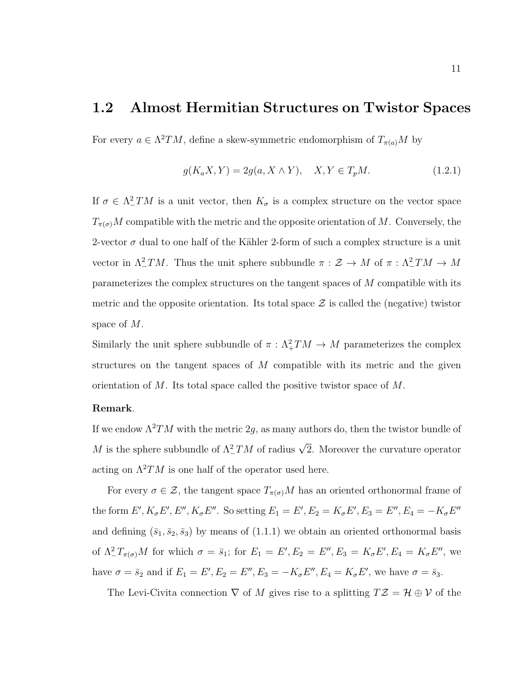### 1.2 Almost Hermitian Structures on Twistor Spaces

For every  $a \in \Lambda^2 TM$ , define a skew-symmetric endomorphism of  $T_{\pi(a)}M$  by

$$
g(K_a X, Y) = 2g(a, X \wedge Y), \quad X, Y \in T_p M. \tag{1.2.1}
$$

If  $\sigma \in \Lambda^2$  TM is a unit vector, then  $K_{\sigma}$  is a complex structure on the vector space  $T_{\pi(\sigma)}M$  compatible with the metric and the opposite orientation of M. Conversely, the 2-vector  $\sigma$  dual to one half of the Kähler 2-form of such a complex structure is a unit vector in  $\Lambda^2_\text{-}TM$ . Thus the unit sphere subbundle  $\pi: \mathcal{Z} \to M$  of  $\pi: \Lambda^2_\text{-}TM \to M$ parameterizes the complex structures on the tangent spaces of M compatible with its metric and the opposite orientation. Its total space  $\mathcal Z$  is called the (negative) twistor space of M.

Similarly the unit sphere subbundle of  $\pi$ :  $\Lambda^2_+TM \to M$  parameterizes the complex structures on the tangent spaces of  $M$  compatible with its metric and the given orientation of M. Its total space called the positive twistor space of M.

#### Remark.

If we endow  $\Lambda^2 TM$  with the metric 2g, as many authors do, then the twistor bundle of M is the sphere subbundle of  $\Lambda^2_-TM$  of radius  $\sqrt{2}$ . Moreover the curvature operator acting on  $\Lambda^2 TM$  is one half of the operator used here.

For every  $\sigma \in \mathcal{Z}$ , the tangent space  $T_{\pi(\sigma)}M$  has an oriented orthonormal frame of the form  $E', K_{\sigma}E', E'', K_{\sigma}E''$ . So setting  $E_1 = E', E_2 = K_{\sigma}E', E_3 = E'', E_4 = -K_{\sigma}E''$ and defining  $(\bar{s}_1, \bar{s}_2, \bar{s}_3)$  by means of  $(1.1.1)$  we obtain an oriented orthonormal basis of  $\Lambda^2 T_{\pi(\sigma)}M$  for which  $\sigma = \bar{s}_1$ ; for  $E_1 = E', E_2 = E'', E_3 = K_{\sigma}E', E_4 = K_{\sigma}E''$ , we have  $\sigma = \bar{s}_2$  and if  $E_1 = E', E_2 = E'', E_3 = -K_{\sigma}E'', E_4 = K_{\sigma}E'$ , we have  $\sigma = \bar{s}_3$ .

The Levi-Civita connection  $\nabla$  of M gives rise to a splitting  $T\mathcal{Z} = \mathcal{H} \oplus \mathcal{V}$  of the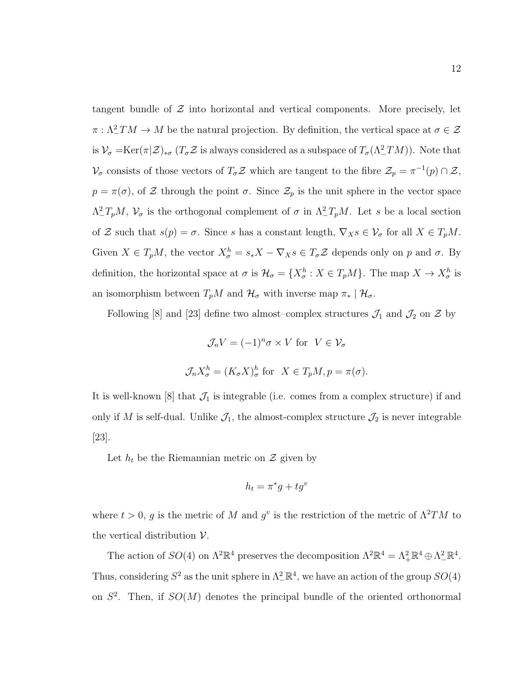tangent bundle of  $\mathcal Z$  into horizontal and vertical components. More precisely, let  $\pi : \Lambda^2_-TM \to M$  be the natural projection. By definition, the vertical space at  $\sigma \in \mathcal{Z}$ is  $\mathcal{V}_{\sigma} = \text{Ker}(\pi|\mathcal{Z})_{*\sigma}$  ( $T_{\sigma}\mathcal{Z}$  is always considered as a subspace of  $T_{\sigma}(\Lambda^2_-TM)$ ). Note that  $\mathcal{V}_{\sigma}$  consists of those vectors of  $T_{\sigma}\mathcal{Z}$  which are tangent to the fibre  $\mathcal{Z}_{p} = \pi^{-1}(p) \cap \mathcal{Z}$ ,  $p = \pi(\sigma)$ , of Z through the point  $\sigma$ . Since  $\mathcal{Z}_p$  is the unit sphere in the vector space  $\Lambda^2_- T_p M$ ,  $\mathcal{V}_{\sigma}$  is the orthogonal complement of  $\sigma$  in  $\Lambda^2_- T_p M$ . Let s be a local section of Z such that  $s(p) = \sigma$ . Since s has a constant length,  $\nabla_X s \in \mathcal{V}_{\sigma}$  for all  $X \in T_pM$ . Given  $X \in T_pM$ , the vector  $X^h_\sigma = s_*X - \nabla_X s \in T_\sigma \mathcal{Z}$  depends only on p and  $\sigma$ . By definition, the horizontal space at  $\sigma$  is  $\mathcal{H}_{\sigma} = \{X_{\sigma}^h : X \in T_pM\}$ . The map  $X \to X_{\sigma}^h$  is an isomorphism between  $T_pM$  and  $\mathcal{H}_{\sigma}$  with inverse map  $\pi_*\mid \mathcal{H}_{\sigma}$ .

Following [8] and [23] define two almost–complex structures  $\mathcal{J}_1$  and  $\mathcal{J}_2$  on  $\mathcal{Z}$  by

$$
\mathcal{J}_n V = (-1)^n \sigma \times V \text{ for } V \in \mathcal{V}_\sigma
$$
  

$$
\mathcal{J}_n X_\sigma^h = (K_\sigma X)_\sigma^h \text{ for } X \in T_p M, p = \pi(\sigma).
$$

It is well-known [8] that  $\mathcal{J}_1$  is integrable (i.e. comes from a complex structure) if and only if M is self-dual. Unlike  $\mathcal{J}_1$ , the almost-complex structure  $\mathcal{J}_2$  is never integrable [23].

Let  $h_t$  be the Riemannian metric on  $\mathcal Z$  given by

$$
h_t = \pi^*g + tg^v
$$

where  $t > 0$ , g is the metric of M and  $g^v$  is the restriction of the metric of  $\Lambda^2 TM$  to the vertical distribution  $\mathcal V$ .

The action of  $SO(4)$  on  $\Lambda^2 \mathbb{R}^4$  preserves the decomposition  $\Lambda^2 \mathbb{R}^4 = \Lambda^2_+ \mathbb{R}^4 \oplus \Lambda^2_- \mathbb{R}^4$ . Thus, considering  $S^2$  as the unit sphere in  $\Lambda^2_{-} \mathbb{R}^4$ , we have an action of the group  $SO(4)$ on  $S^2$ . Then, if  $SO(M)$  denotes the principal bundle of the oriented orthonormal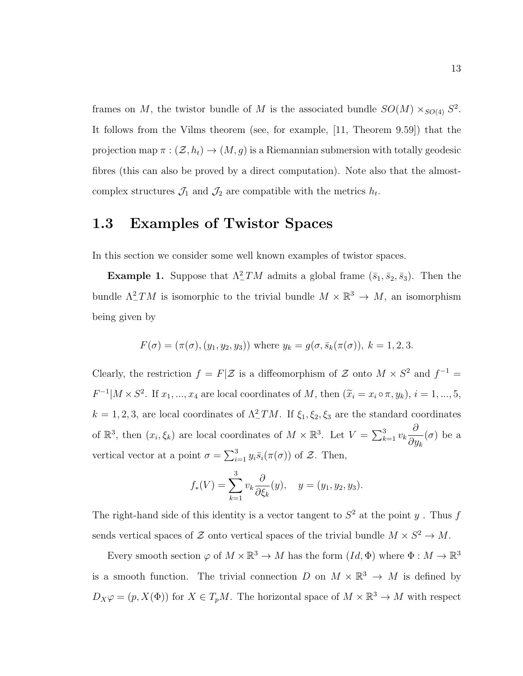frames on M, the twistor bundle of M is the associated bundle  $SO(M) \times_{SO(4)} S^2$ . It follows from the Vilms theorem (see, for example, [11, Theorem 9.59]) that the projection map  $\pi : (\mathcal{Z}, h_t) \to (M, g)$  is a Riemannian submersion with totally geodesic fibres (this can also be proved by a direct computation). Note also that the almostcomplex structures  $\mathcal{J}_1$  and  $\mathcal{J}_2$  are compatible with the metrics  $h_t$ .

### 1.3 Examples of Twistor Spaces

In this section we consider some well known examples of twistor spaces.

**Example 1.** Suppose that  $\Lambda^2$ *TM* admits a global frame  $(\bar{s}_1, \bar{s}_2, \bar{s}_3)$ . Then the bundle  $\Lambda^2$  TM is isomorphic to the trivial bundle  $M \times \mathbb{R}^3 \to M$ , an isomorphism being given by

$$
F(\sigma) = (\pi(\sigma), (y_1, y_2, y_3))
$$
 where  $y_k = g(\sigma, \bar{s}_k(\pi(\sigma)), k = 1, 2, 3)$ .

Clearly, the restriction  $f = F|\mathcal{Z}$  is a diffeomorphism of  $\mathcal Z$  onto  $M \times S^2$  and  $f^{-1} =$  $F^{-1}|M \times S^2$ . If  $x_1, ..., x_4$  are local coordinates of M, then  $(\widetilde{x}_i = x_i \circ \pi, y_k), i = 1, ..., 5$ ,  $k = 1, 2, 3$ , are local coordinates of  $\Lambda^2_- TM$ . If  $\xi_1, \xi_2, \xi_3$  are the standard coordinates of  $\mathbb{R}^3$ , then  $(x_i, \xi_k)$  are local coordinates of  $M \times \mathbb{R}^3$ . Let  $V = \sum_{k=1}^3 v_k$  $\partial$  $\partial y_k$  $(\sigma)$  be a vertical vector at a point  $\sigma = \sum_{i=1}^{3} y_i \bar{s}_i(\pi(\sigma))$  of  $\mathcal{Z}$ . Then,

$$
f_*(V) = \sum_{k=1}^3 v_k \frac{\partial}{\partial \xi_k}(y), \quad y = (y_1, y_2, y_3).
$$

The right-hand side of this identity is a vector tangent to  $S<sup>2</sup>$  at the point y. Thus f sends vertical spaces of  $\mathcal Z$  onto vertical spaces of the trivial bundle  $M \times S^2 \to M$ .

Every smooth section  $\varphi$  of  $M \times \mathbb{R}^3 \to M$  has the form  $(Id, \Phi)$  where  $\Phi : M \to \mathbb{R}^3$ is a smooth function. The trivial connection D on  $M \times \mathbb{R}^3 \to M$  is defined by  $D_X\varphi = (p, X(\Phi))$  for  $X \in T_pM$ . The horizontal space of  $M \times \mathbb{R}^3 \to M$  with respect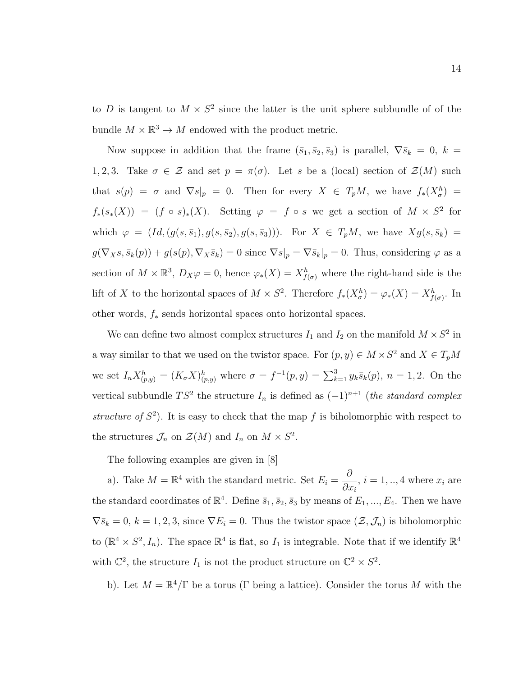to D is tangent to  $M \times S^2$  since the latter is the unit sphere subbundle of of the bundle  $M \times \mathbb{R}^3 \to M$  endowed with the product metric.

Now suppose in addition that the frame  $(\bar{s}_1, \bar{s}_2, \bar{s}_3)$  is parallel,  $\nabla \bar{s}_k = 0, k =$ 1, 2, 3. Take  $\sigma \in \mathcal{Z}$  and set  $p = \pi(\sigma)$ . Let s be a (local) section of  $\mathcal{Z}(M)$  such that  $s(p) = \sigma$  and  $\nabla s|_p = 0$ . Then for every  $X \in T_pM$ , we have  $f_*(X^h_{\sigma}) =$  $f_*(s_*(X)) = (f \circ s)_*(X)$ . Setting  $\varphi = f \circ s$  we get a section of  $M \times S^2$  for which  $\varphi = (Id, (g(s, \bar{s}_1), g(s, \bar{s}_2), g(s, \bar{s}_3)))$ . For  $X \in T_pM$ , we have  $Xg(s, \bar{s}_k) =$  $g(\nabla_X s, \bar{s}_k(p)) + g(s(p), \nabla_X \bar{s}_k) = 0$  since  $\nabla s|_p = \nabla \bar{s}_k|_p = 0$ . Thus, considering  $\varphi$  as a section of  $M \times \mathbb{R}^3$ ,  $D_X \varphi = 0$ , hence  $\varphi_*(X) = X_{f(\sigma)}^h$  where the right-hand side is the lift of X to the horizontal spaces of  $M \times S^2$ . Therefore  $f_*(X^h_{\sigma}) = \varphi_*(X) = X^h_{f(\sigma)}$ . In other words, f<sup>∗</sup> sends horizontal spaces onto horizontal spaces.

We can define two almost complex structures  $I_1$  and  $I_2$  on the manifold  $M \times S^2$  in a way similar to that we used on the twistor space. For  $(p, y) \in M \times S^2$  and  $X \in T_pM$ we set  $I_n X_{(p,y)}^h = (K_\sigma X)_{(p,y)}^h$  where  $\sigma = f^{-1}(p,y) = \sum_{k=1}^3 y_k \bar{s}_k(p)$ ,  $n = 1,2$ . On the vertical subbundle  $TS^2$  the structure  $I_n$  is defined as  $(-1)^{n+1}$  (the standard complex structure of  $S^2$ ). It is easy to check that the map f is biholomorphic with respect to the structures  $\mathcal{J}_n$  on  $\mathcal{Z}(M)$  and  $I_n$  on  $M \times S^2$ .

The following examples are given in [8]

a). Take  $M = \mathbb{R}^4$  with the standard metric. Set  $E_i = \frac{\partial}{\partial x_i}$  $\partial x_i$ ,  $i = 1, ..., 4$  where  $x_i$  are the standard coordinates of  $\mathbb{R}^4$ . Define  $\bar{s}_1, \bar{s}_2, \bar{s}_3$  by means of  $E_1, ..., E_4$ . Then we have  $\nabla \bar{s}_k = 0, k = 1, 2, 3$ , since  $\nabla E_i = 0$ . Thus the twistor space  $(\mathcal{Z}, \mathcal{J}_n)$  is biholomorphic to  $(\mathbb{R}^4 \times S^2, I_n)$ . The space  $\mathbb{R}^4$  is flat, so  $I_1$  is integrable. Note that if we identify  $\mathbb{R}^4$ with  $\mathbb{C}^2$ , the structure  $I_1$  is not the product structure on  $\mathbb{C}^2 \times S^2$ .

b). Let  $M = \mathbb{R}^4/\Gamma$  be a torus ( $\Gamma$  being a lattice). Consider the torus M with the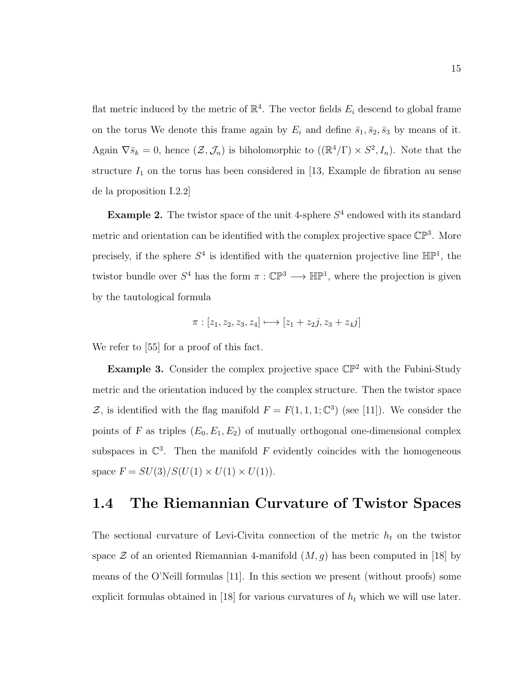flat metric induced by the metric of  $\mathbb{R}^4$ . The vector fields  $E_i$  descend to global frame on the torus We denote this frame again by  $E_i$  and define  $\bar{s}_1, \bar{s}_2, \bar{s}_3$  by means of it. Again  $\nabla \bar{s}_k = 0$ , hence  $(\mathcal{Z}, \mathcal{J}_n)$  is biholomorphic to  $((\mathbb{R}^4/\Gamma) \times S^2, I_n)$ . Note that the structure  $I_1$  on the torus has been considered in [13, Example de fibration au sense de la proposition I.2.2]

**Example 2.** The twistor space of the unit 4-sphere  $S<sup>4</sup>$  endowed with its standard metric and orientation can be identified with the complex projective space  $\mathbb{CP}^3$ . More precisely, if the sphere  $S^4$  is identified with the quaternion projective line  $\mathbb{HP}^1$ , the twistor bundle over  $S^4$  has the form  $\pi : \mathbb{CP}^3 \longrightarrow \mathbb{HP}^1$ , where the projection is given by the tautological formula

$$
\pi : [z_1, z_2, z_3, z_4] \longmapsto [z_1 + z_2 j, z_3 + z_4 j]
$$

We refer to [55] for a proof of this fact.

**Example 3.** Consider the complex projective space  $\mathbb{CP}^2$  with the Fubini-Study metric and the orientation induced by the complex structure. Then the twistor space Z, is identified with the flag manifold  $F = F(1, 1, 1; \mathbb{C}^3)$  (see [11]). We consider the points of F as triples  $(E_0, E_1, E_2)$  of mutually orthogonal one-dimensional complex subspaces in  $\mathbb{C}^3$ . Then the manifold F evidently coincides with the homogeneous space  $F = SU(3)/S(U(1) \times U(1) \times U(1)).$ 

### 1.4 The Riemannian Curvature of Twistor Spaces

The sectional curvature of Levi-Civita connection of the metric  $h_t$  on the twistor space  $\mathcal Z$  of an oriented Riemannian 4-manifold  $(M, g)$  has been computed in [18] by means of the O'Neill formulas [11]. In this section we present (without proofs) some explicit formulas obtained in [18] for various curvatures of  $h_t$  which we will use later.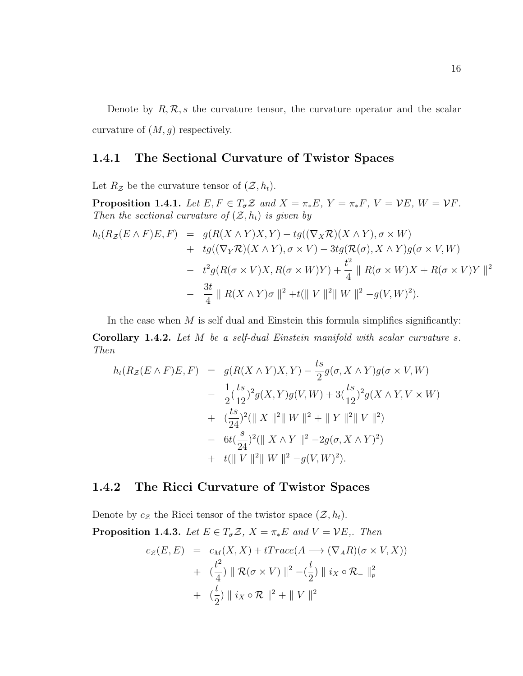Denote by  $R, R, s$  the curvature tensor, the curvature operator and the scalar curvature of  $(M, g)$  respectively.

#### 1.4.1 The Sectional Curvature of Twistor Spaces

Let  $R_z$  be the curvature tensor of  $(\mathcal{Z}, h_t)$ .

**Proposition 1.4.1.** Let  $E, F \in T_{\sigma}Z$  and  $X = \pi_*E, Y = \pi_*F, V = VE, W = VF$ . Then the sectional curvature of  $(\mathcal{Z}, h_t)$  is given by

$$
h_t(R_Z(E \wedge F)E, F) = g(R(X \wedge Y)X, Y) - tg((\nabla_X \mathcal{R})(X \wedge Y), \sigma \times W)
$$
  
+ 
$$
tg((\nabla_Y \mathcal{R})(X \wedge Y), \sigma \times V) - 3tg(\mathcal{R}(\sigma), X \wedge Y)g(\sigma \times V, W)
$$
  
- 
$$
t^2g(R(\sigma \times V)X, R(\sigma \times W)Y) + \frac{t^2}{4} || R(\sigma \times W)X + R(\sigma \times V)Y ||^2
$$
  
- 
$$
\frac{3t}{4} || R(X \wedge Y)\sigma ||^2 + t(||V||^2 ||W||^2 - g(V, W)^2).
$$

In the case when  $M$  is self dual and Einstein this formula simplifies significantly: Corollary 1.4.2. Let M be a self-dual Einstein manifold with scalar curvature s. Then

$$
h_t(R_Z(E \wedge F)E, F) = g(R(X \wedge Y)X, Y) - \frac{ts}{2}g(\sigma, X \wedge Y)g(\sigma \times V, W)
$$
  

$$
- \frac{1}{2}(\frac{ts}{12})^2g(X, Y)g(V, W) + 3(\frac{ts}{12})^2g(X \wedge Y, V \times W)
$$
  

$$
+ (\frac{ts}{24})^2(\parallel X \parallel^2 \parallel W \parallel^2 + \parallel Y \parallel^2 \parallel V \parallel^2)
$$
  

$$
- 6t(\frac{s}{24})^2(\parallel X \wedge Y \parallel^2 - 2g(\sigma, X \wedge Y)^2)
$$
  

$$
+ t(\parallel V \parallel^2 \parallel W \parallel^2 - g(V, W)^2).
$$

#### 1.4.2 The Ricci Curvature of Twistor Spaces

Denote by  $c_{\mathcal{Z}}$  the Ricci tensor of the twistor space  $(\mathcal{Z}, h_t)$ . **Proposition 1.4.3.** Let  $E \in T_{\sigma} \mathcal{Z}$ ,  $X = \pi_* E$  and  $V = VE$ ,. Then  $c_Z(E, E) = c_M(X, X) + tTrace(A \longrightarrow (\nabla_A R)(\sigma \times V, X))$ 

+ 
$$
\left(\frac{t^2}{4}\right) \parallel \mathcal{R}(\sigma \times V) \parallel^2 - \left(\frac{t}{2}\right) \parallel i_X \circ \mathcal{R}_-\parallel_p^2
$$
  
+  $\left(\frac{t}{2}\right) \parallel i_X \circ \mathcal{R} \parallel^2 + \parallel V \parallel^2$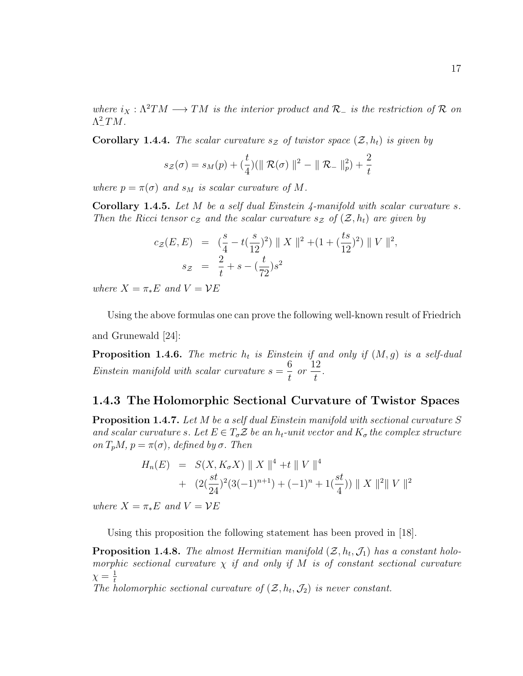where  $i_X : \Lambda^2 TM \longrightarrow TM$  is the interior product and  $\mathcal{R}_-$  is the restriction of  $\mathcal R$  on  $\Lambda^2_-TM$ .

**Corollary 1.4.4.** The scalar curvature  $s_z$  of twistor space  $(\mathcal{Z}, h_t)$  is given by

$$
s_{\mathcal{Z}}(\sigma) = s_{M}(p) + (\frac{t}{4})(\| \mathcal{R}(\sigma) \|^2 - \| \mathcal{R}_{-} \|^2_{p}) + \frac{2}{t}
$$

where  $p = \pi(\sigma)$  and  $s_M$  is scalar curvature of M.

**Corollary 1.4.5.** Let  $M$  be a self dual Einstein  $\frac{1}{4}$ -manifold with scalar curvature s. Then the Ricci tensor  $c_z$  and the scalar curvature  $s_z$  of  $(\mathcal{Z}, h_t)$  are given by

$$
c_{\mathcal{Z}}(E, E) = \left(\frac{s}{4} - t\left(\frac{s}{12}\right)^2\right) \|X\|^2 + \left(1 + \left(\frac{ts}{12}\right)^2\right) \|V\|^2,
$$
  
\n
$$
s_{\mathcal{Z}} = \frac{2}{t} + s - \left(\frac{t}{72}\right)s^2
$$

where  $X = \pi_* E$  and  $V = VE$ 

Using the above formulas one can prove the following well-known result of Friedrich and Grunewald [24]:

**Proposition 1.4.6.** The metric  $h_t$  is Einstein if and only if  $(M, g)$  is a self-dual Einstein manifold with scalar curvature  $s = \frac{6}{4}$ t or 12  $\frac{2}{t}$ .

#### 1.4.3 The Holomorphic Sectional Curvature of Twistor Spaces

**Proposition 1.4.7.** Let M be a self dual Einstein manifold with sectional curvature S and scalar curvature s. Let  $E \in T_{\sigma} \mathcal{Z}$  be an  $h_t$ -unit vector and  $K_{\sigma}$  the complex structure on  $T_pM$ ,  $p = \pi(\sigma)$ , defined by  $\sigma$ . Then

$$
H_n(E) = S(X, K_{\sigma}X) \| X \|^{4} + t \| V \|^{4}
$$
  
+ 
$$
(2(\frac{st}{24})^{2}(3(-1)^{n+1}) + (-1)^{n} + 1(\frac{st}{4})) \| X \|^{2} \| V \|^{2}
$$

where  $X = \pi_* E$  and  $V = VE$ 

Using this proposition the following statement has been proved in [18].

**Proposition 1.4.8.** The almost Hermitian manifold  $(\mathcal{Z}, h_t, \mathcal{J}_1)$  has a constant holomorphic sectional curvature  $\chi$  if and only if M is of constant sectional curvature  $\chi = \frac{1}{t}$ 

The holomorphic sectional curvature of  $(\mathcal{Z}, h_t, \mathcal{J}_2)$  is never constant.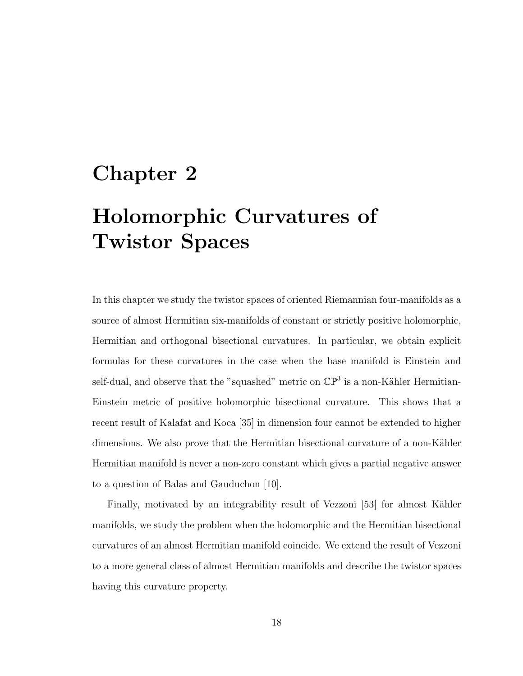# Chapter 2 Holomorphic Curvatures of Twistor Spaces

In this chapter we study the twistor spaces of oriented Riemannian four-manifolds as a source of almost Hermitian six-manifolds of constant or strictly positive holomorphic, Hermitian and orthogonal bisectional curvatures. In particular, we obtain explicit formulas for these curvatures in the case when the base manifold is Einstein and self-dual, and observe that the "squashed" metric on  $\mathbb{CP}^3$  is a non-Kähler Hermitian-Einstein metric of positive holomorphic bisectional curvature. This shows that a recent result of Kalafat and Koca [35] in dimension four cannot be extended to higher dimensions. We also prove that the Hermitian bisectional curvature of a non-Kähler Hermitian manifold is never a non-zero constant which gives a partial negative answer to a question of Balas and Gauduchon [10].

Finally, motivated by an integrability result of Vezzoni [53] for almost Kähler manifolds, we study the problem when the holomorphic and the Hermitian bisectional curvatures of an almost Hermitian manifold coincide. We extend the result of Vezzoni to a more general class of almost Hermitian manifolds and describe the twistor spaces having this curvature property.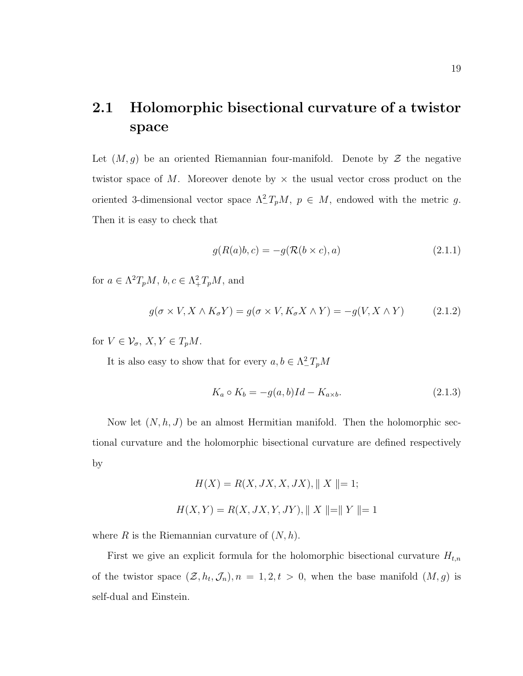### 2.1 Holomorphic bisectional curvature of a twistor space

Let  $(M, g)$  be an oriented Riemannian four-manifold. Denote by  $\mathcal Z$  the negative twistor space of M. Moreover denote by  $\times$  the usual vector cross product on the oriented 3-dimensional vector space  $\Lambda^2_T P_p M$ ,  $p \in M$ , endowed with the metric g. Then it is easy to check that

$$
g(R(a)b, c) = -g(\mathcal{R}(b \times c), a)
$$
\n(2.1.1)

for  $a \in \Lambda^2 T_p M$ ,  $b, c \in \Lambda^2_+ T_p M$ , and

$$
g(\sigma \times V, X \wedge K_{\sigma} Y) = g(\sigma \times V, K_{\sigma} X \wedge Y) = -g(V, X \wedge Y) \tag{2.1.2}
$$

for  $V \in \mathcal{V}_{\sigma}$ ,  $X, Y \in T_pM$ .

It is also easy to show that for every  $a, b \in \Lambda^2_- T_pM$ 

$$
K_a \circ K_b = -g(a, b)Id - K_{a \times b}.\tag{2.1.3}
$$

Now let  $(N, h, J)$  be an almost Hermitian manifold. Then the holomorphic sectional curvature and the holomorphic bisectional curvature are defined respectively by

$$
H(X) = R(X, JX, X, JX), || X || = 1;
$$
  

$$
H(X, Y) = R(X, JX, Y, JY), || X || = || Y || = 1
$$

where R is the Riemannian curvature of  $(N, h)$ .

First we give an explicit formula for the holomorphic bisectional curvature  $H_{t,n}$ of the twistor space  $(\mathcal{Z}, h_t, \mathcal{J}_n), n = 1, 2, t > 0$ , when the base manifold  $(M, g)$  is self-dual and Einstein.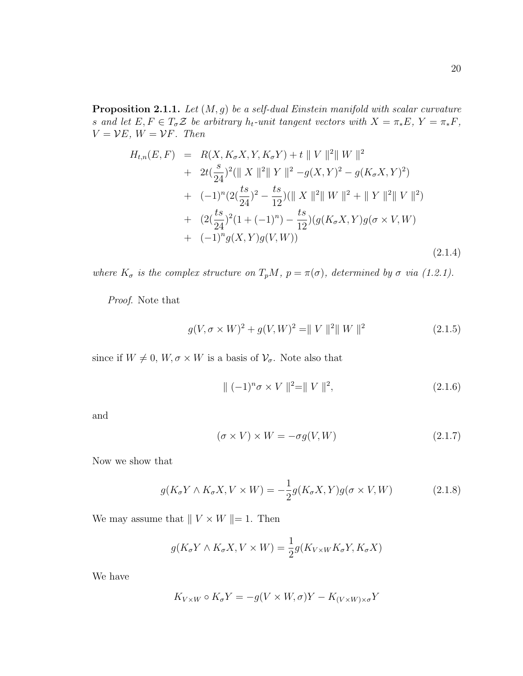**Proposition 2.1.1.** Let  $(M, g)$  be a self-dual Einstein manifold with scalar curvature s and let  $E, F \in T_{\sigma} \mathcal{Z}$  be arbitrary  $h_t$ -unit tangent vectors with  $X = \pi_* E$ ,  $Y = \pi_* F$ ,  $V = VE, W = VF.$  Then

$$
H_{t,n}(E, F) = R(X, K_{\sigma}X, Y, K_{\sigma}Y) + t \| V \|^{2} \| W \|^{2}
$$
  
+ 
$$
2t(\frac{s}{24})^{2} (\| X \|^{2} \| Y \|^{2} - g(X, Y)^{2} - g(K_{\sigma}X, Y)^{2})
$$
  
+ 
$$
(-1)^{n} (2(\frac{ts}{24})^{2} - \frac{ts}{12}) (\| X \|^{2} \| W \|^{2} + \| Y \|^{2} \| V \|^{2})
$$
  
+ 
$$
(2(\frac{ts}{24})^{2} (1 + (-1)^{n}) - \frac{ts}{12}) (g(K_{\sigma}X, Y)g(\sigma \times V, W)
$$
  
+ 
$$
(-1)^{n} g(X, Y)g(V, W))
$$
(2.1.4)

where  $K_{\sigma}$  is the complex structure on  $T_pM$ ,  $p = \pi(\sigma)$ , determined by  $\sigma$  via (1.2.1).

Proof. Note that

$$
g(V, \sigma \times W)^{2} + g(V, W)^{2} = ||V||^{2} ||W||^{2}
$$
\n(2.1.5)

since if  $W \neq 0$ ,  $W, \sigma \times W$  is a basis of  $\mathcal{V}_{\sigma}$ . Note also that

$$
\| (-1)^n \sigma \times V \|^{2} = \| V \|^{2}, \qquad (2.1.6)
$$

and

$$
(\sigma \times V) \times W = -\sigma g(V, W) \tag{2.1.7}
$$

Now we show that

$$
g(K_{\sigma}Y \wedge K_{\sigma}X, V \times W) = -\frac{1}{2}g(K_{\sigma}X, Y)g(\sigma \times V, W)
$$
 (2.1.8)

We may assume that  $|| V \times W ||= 1$ . Then

$$
g(K_{\sigma}Y \wedge K_{\sigma}X, V \times W) = \frac{1}{2}g(K_{V \times W}K_{\sigma}Y, K_{\sigma}X)
$$

We have

$$
K_{V\times W}\circ K_{\sigma}Y=-g(V\times W,\sigma)Y-K_{(V\times W)\times\sigma}Y
$$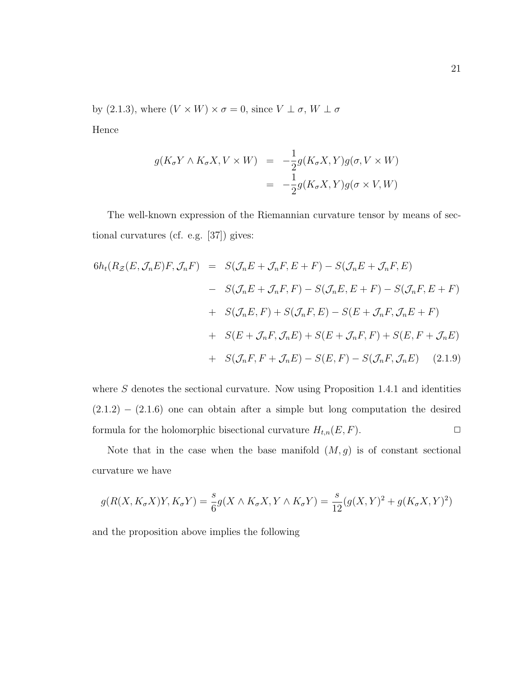by (2.1.3), where  $(V\times W)\times\sigma=0,$  since  $V\perp\sigma,$   $W\perp\sigma$ 

Hence

$$
g(K_{\sigma}Y \wedge K_{\sigma}X, V \times W) = -\frac{1}{2}g(K_{\sigma}X, Y)g(\sigma, V \times W)
$$
  
= 
$$
-\frac{1}{2}g(K_{\sigma}X, Y)g(\sigma \times V, W)
$$

The well-known expression of the Riemannian curvature tensor by means of sectional curvatures (cf. e.g. [37]) gives:

$$
6h_t(R_Z(E, \mathcal{J}_n E)F, \mathcal{J}_n F) = S(\mathcal{J}_n E + \mathcal{J}_n F, E + F) - S(\mathcal{J}_n E + \mathcal{J}_n F, E)
$$
  
\n
$$
- S(\mathcal{J}_n E + \mathcal{J}_n F, F) - S(\mathcal{J}_n E, E + F) - S(\mathcal{J}_n F, E + F)
$$
  
\n
$$
+ S(\mathcal{J}_n E, F) + S(\mathcal{J}_n F, E) - S(E + \mathcal{J}_n F, \mathcal{J}_n E + F)
$$
  
\n
$$
+ S(E + \mathcal{J}_n F, \mathcal{J}_n E) + S(E + \mathcal{J}_n F, F) + S(E, F + \mathcal{J}_n E)
$$
  
\n
$$
+ S(\mathcal{J}_n F, F + \mathcal{J}_n E) - S(E, F) - S(\mathcal{J}_n F, \mathcal{J}_n E) \quad (2.1.9)
$$

where  $S$  denotes the sectional curvature. Now using Proposition 1.4.1 and identities  $(2.1.2) - (2.1.6)$  one can obtain after a simple but long computation the desired formula for the holomorphic bisectional curvature  $H_{t,n}(E, F)$ .

Note that in the case when the base manifold  $(M, g)$  is of constant sectional curvature we have

$$
g(R(X, K_{\sigma}X)Y, K_{\sigma}Y) = \frac{s}{6}g(X \wedge K_{\sigma}X, Y \wedge K_{\sigma}Y) = \frac{s}{12}(g(X, Y)^2 + g(K_{\sigma}X, Y)^2)
$$

and the proposition above implies the following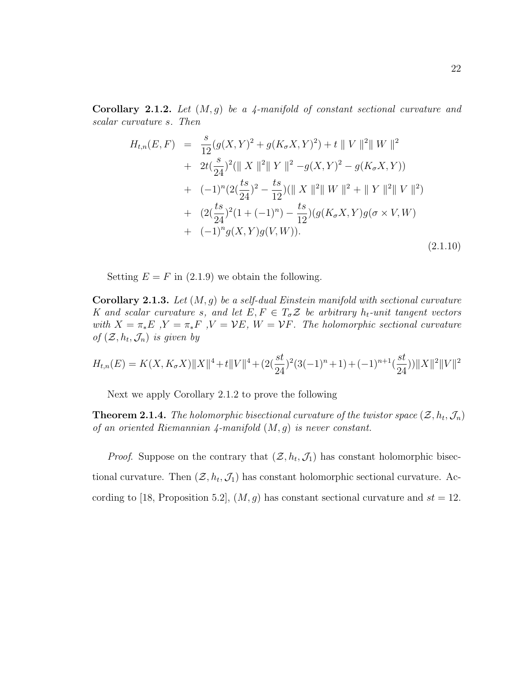**Corollary 2.1.2.** Let  $(M, g)$  be a 4-manifold of constant sectional curvature and scalar curvature s. Then

$$
H_{t,n}(E,F) = \frac{s}{12}(g(X,Y)^2 + g(K_{\sigma}X,Y)^2) + t \|V\|^2 \|W\|^2
$$
  
+ 
$$
2t(\frac{s}{24})^2 (\|X\|^2 \|Y\|^2 - g(X,Y)^2 - g(K_{\sigma}X,Y))
$$
  
+ 
$$
(-1)^n (2(\frac{ts}{24})^2 - \frac{ts}{12})(\|X\|^2 \|W\|^2 + \|Y\|^2 \|V\|^2)
$$
  
+ 
$$
(2(\frac{ts}{24})^2(1 + (-1)^n) - \frac{ts}{12})(g(K_{\sigma}X,Y)g(\sigma \times V,W))
$$
  
+ 
$$
(-1)^n g(X,Y)g(V,W)).
$$
 (2.1.10)

Setting  $E = F$  in (2.1.9) we obtain the following.

**Corollary 2.1.3.** Let  $(M, g)$  be a self-dual Einstein manifold with sectional curvature K and scalar curvature s, and let  $E, F \in T_{\sigma} \mathcal{Z}$  be arbitrary  $h_t$ -unit tangent vectors with  $X = \pi_* E$ ,  $Y = \pi_* F$ ,  $V = VE$ ,  $W = VF$ . The holomorphic sectional curvature of  $(\mathcal{Z}, h_t, \mathcal{J}_n)$  is given by

$$
H_{t,n}(E) = K(X, K_{\sigma}X) \|X\|^4 + t \|V\|^4 + (2(\frac{st}{24})^2(3(-1)^n + 1) + (-1)^{n+1}(\frac{st}{24})) \|X\|^2 \|V\|^2
$$

Next we apply Corollary 2.1.2 to prove the following

**Theorem 2.1.4.** The holomorphic bisectional curvature of the twistor space  $(\mathcal{Z}, h_t, \mathcal{J}_n)$ of an oriented Riemannian  $\lambda$ -manifold  $(M, g)$  is never constant.

*Proof.* Suppose on the contrary that  $(\mathcal{Z}, h_t, \mathcal{J}_1)$  has constant holomorphic bisectional curvature. Then  $(\mathcal{Z}, h_t, \mathcal{J}_1)$  has constant holomorphic sectional curvature. According to [18, Proposition 5.2],  $(M, g)$  has constant sectional curvature and  $st = 12$ .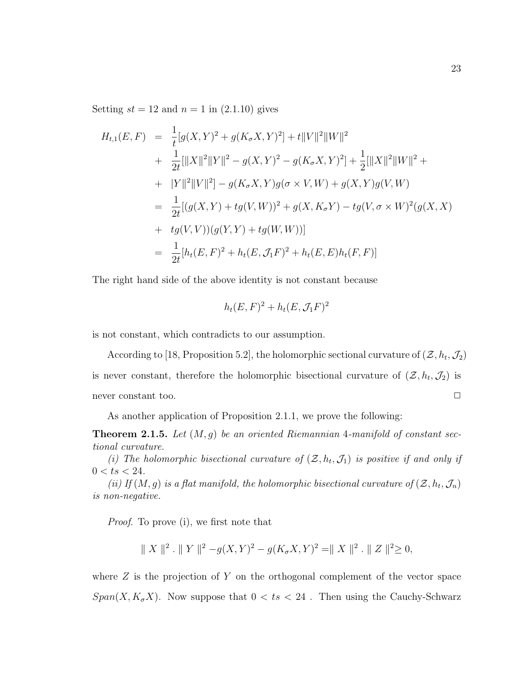Setting  $st = 12$  and  $n = 1$  in  $(2.1.10)$  gives

$$
H_{t,1}(E, F) = \frac{1}{t}[g(X, Y)^2 + g(K_{\sigma}X, Y)^2] + t||V||^2||W||^2
$$
  
+ 
$$
\frac{1}{2t}[||X||^2||Y||^2 - g(X, Y)^2 - g(K_{\sigma}X, Y)^2] + \frac{1}{2}[||X||^2||W||^2 +
$$
  
+ 
$$
|Y||^2||V||^2] - g(K_{\sigma}X, Y)g(\sigma \times V, W) + g(X, Y)g(V, W)
$$
  
= 
$$
\frac{1}{2t}[(g(X, Y) + tg(V, W))^2 + g(X, K_{\sigma}Y) - tg(V, \sigma \times W)^2(g(X, X))
$$
  
+ 
$$
tg(V, V))(g(Y, Y) + tg(W, W))]
$$
  
= 
$$
\frac{1}{2t}[h_t(E, F)^2 + h_t(E, \mathcal{J}_1 F)^2 + h_t(E, E)h_t(F, F)]
$$

The right hand side of the above identity is not constant because

$$
h_t(E, F)^2 + h_t(E, \mathcal{J}_1 F)^2
$$

is not constant, which contradicts to our assumption.

According to [18, Proposition 5.2], the holomorphic sectional curvature of  $(\mathcal{Z}, h_t, \mathcal{J}_2)$ is never constant, therefore the holomorphic bisectional curvature of  $(\mathcal{Z}, h_t, \mathcal{J}_2)$  is never constant too.  $\Box$ 

As another application of Proposition 2.1.1, we prove the following:

**Theorem 2.1.5.** Let  $(M, q)$  be an oriented Riemannian 4-manifold of constant sectional curvature.

(i) The holomorphic bisectional curvature of  $(\mathcal{Z}, h_t, \mathcal{J}_1)$  is positive if and only if  $0 < ts < 24$ .

(ii) If  $(M, g)$  is a flat manifold, the holomorphic bisectional curvature of  $(\mathcal{Z}, h_t, \mathcal{J}_n)$ is non-negative.

Proof. To prove (i), we first note that

$$
|| X ||^2
$$
.  $|| Y ||^2 - g(X, Y)^2 - g(K_{\sigma}X, Y)^2 = || X ||^2$ .  $|| Z ||^2 \ge 0$ ,

where  $Z$  is the projection of  $Y$  on the orthogonal complement of the vector space  $Span(X, K_{\sigma}X)$ . Now suppose that  $0 < ts < 24$ . Then using the Cauchy-Schwarz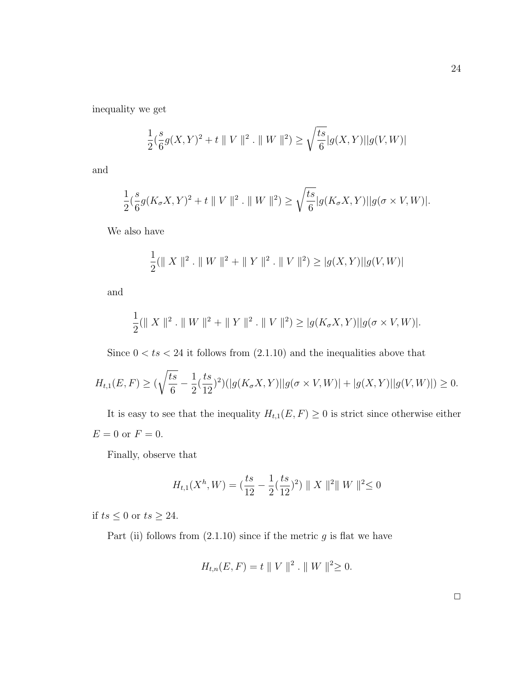inequality we get

$$
\frac{1}{2}(\frac{s}{6}g(X,Y)^2 + t \| V \|^{2} \cdot \| W \|^{2}) \ge \sqrt{\frac{ts}{6}} |g(X,Y)||g(V,W)|
$$

and

$$
\frac{1}{2}(\frac{s}{6}g(K_{\sigma}X,Y)^2+t\parallel V\parallel^2. \ \parallel W\parallel^2)\geq \sqrt{\frac{ts}{6}}|g(K_{\sigma}X,Y)||g(\sigma\times V,W)|.
$$

We also have

$$
\frac{1}{2}(\parallel X \parallel^2 \cdot \parallel W \parallel^2 + \parallel Y \parallel^2 \cdot \parallel V \parallel^2) \ge |g(X,Y)||g(V,W)|
$$

and

$$
\frac{1}{2}(\parallel X \parallel^2 \cdot \parallel W \parallel^2 + \parallel Y \parallel^2 \cdot \parallel V \parallel^2) \ge |g(K_{\sigma}X, Y)||g(\sigma \times V, W)|.
$$

Since  $0 < ts < 24$  it follows from  $(2.1.10)$  and the inequalities above that

$$
H_{t,1}(E,F) \ge (\sqrt{\frac{ts}{6}} - \frac{1}{2}(\frac{ts}{12})^2)(|g(K_{\sigma}X,Y)||g(\sigma \times V,W)| + |g(X,Y)||g(V,W)|) \ge 0.
$$

It is easy to see that the inequality  $H_{t,1}(E, F) \ge 0$  is strict since otherwise either  ${\cal E}=0$  or  ${\cal F}=0.$ 

Finally, observe that

$$
H_{t,1}(X^h, W) = \left(\frac{ts}{12} - \frac{1}{2}\left(\frac{ts}{12}\right)^2\right) \|X\|^2 \|W\|^2 \le 0
$$

if  $ts \leq 0$  or  $ts \geq 24$ .

Part (ii) follows from  $(2.1.10)$  since if the metric g is flat we have

$$
H_{t,n}(E,F) = t \| V \|^{2} \cdot \| W \|^{2} \ge 0.
$$

 $\Box$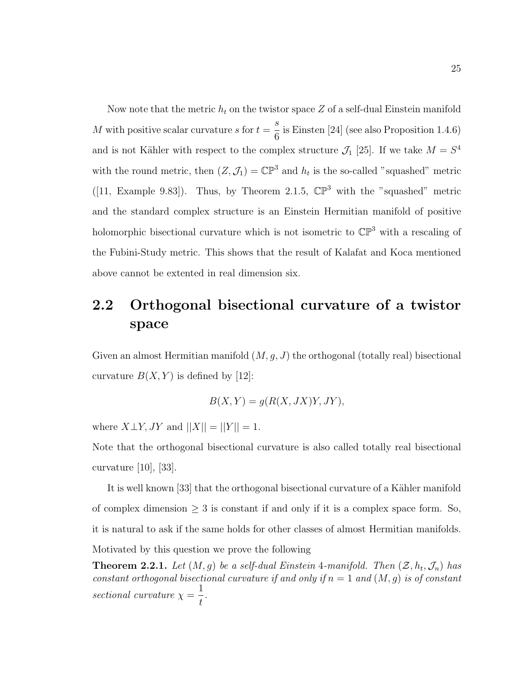Now note that the metric  $h_t$  on the twistor space Z of a self-dual Einstein manifold M with positive scalar curvature s for  $t =$ s 6 is Einsten [24] (see also Proposition 1.4.6) and is not Kähler with respect to the complex structure  $\mathcal{J}_1$  [25]. If we take  $M = S^4$ with the round metric, then  $(Z, \mathcal{J}_1) = \mathbb{CP}^3$  and  $h_t$  is the so-called "squashed" metric ([11, Example 9.83]). Thus, by Theorem 2.1.5,  $\mathbb{CP}^3$  with the "squashed" metric and the standard complex structure is an Einstein Hermitian manifold of positive holomorphic bisectional curvature which is not isometric to  $\mathbb{CP}^3$  with a rescaling of the Fubini-Study metric. This shows that the result of Kalafat and Koca mentioned above cannot be extented in real dimension six.

### 2.2 Orthogonal bisectional curvature of a twistor space

Given an almost Hermitian manifold  $(M, g, J)$  the orthogonal (totally real) bisectional curvature  $B(X, Y)$  is defined by [12]:

$$
B(X, Y) = g(R(X, JX)Y, JY),
$$

where  $X \perp Y$ , JY and  $||X|| = ||Y|| = 1$ .

Note that the orthogonal bisectional curvature is also called totally real bisectional curvature [10], [33].

It is well known [33] that the orthogonal bisectional curvature of a Kähler manifold of complex dimension  $\geq 3$  is constant if and only if it is a complex space form. So, it is natural to ask if the same holds for other classes of almost Hermitian manifolds. Motivated by this question we prove the following

**Theorem 2.2.1.** Let  $(M, g)$  be a self-dual Einstein 4-manifold. Then  $(\mathcal{Z}, h_t, \mathcal{J}_n)$  has constant orthogonal bisectional curvature if and only if  $n = 1$  and  $(M, g)$  is of constant sectional curvature  $\chi =$ 1 t .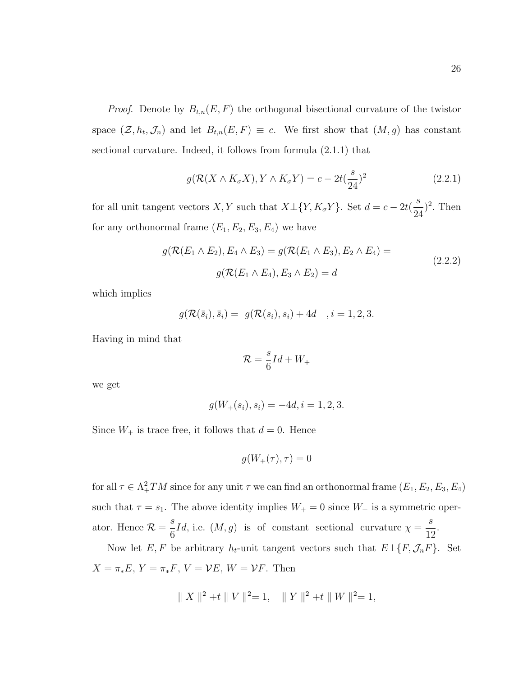*Proof.* Denote by  $B_{t,n}(E, F)$  the orthogonal bisectional curvature of the twistor space  $(\mathcal{Z}, h_t, \mathcal{J}_n)$  and let  $B_{t,n}(E, F) \equiv c$ . We first show that  $(M, g)$  has constant sectional curvature. Indeed, it follows from formula (2.1.1) that

$$
g(\mathcal{R}(X \wedge K_{\sigma}X), Y \wedge K_{\sigma}Y) = c - 2t(\frac{s}{24})^2
$$
\n(2.2.1)

for all unit tangent vectors X, Y such that  $X \perp \{Y, K_{\sigma}Y\}$ . Set  $d = c - 2t(\frac{s}{\sigma})$ 24  $)^2$ . Then for any orthonormal frame  $(E_1, E_2, E_3, E_4)$  we have

$$
g(\mathcal{R}(E_1 \wedge E_2), E_4 \wedge E_3) = g(\mathcal{R}(E_1 \wedge E_3), E_2 \wedge E_4) =
$$
  
 
$$
g(\mathcal{R}(E_1 \wedge E_4), E_3 \wedge E_2) = d
$$
 (2.2.2)

which implies

$$
g(\mathcal{R}(\bar{s}_i), \bar{s}_i) = g(\mathcal{R}(s_i), s_i) + 4d
$$
,  $i = 1, 2, 3$ .

Having in mind that

$$
\mathcal{R} = \frac{s}{6}Id + W_+
$$

we get

$$
g(W_+(s_i), s_i) = -4d, i = 1, 2, 3.
$$

Since  $W_+$  is trace free, it follows that  $d = 0$ . Hence

$$
g(W_+(\tau),\tau)=0
$$

for all  $\tau \in \Lambda^2_+TM$  since for any unit  $\tau$  we can find an orthonormal frame  $(E_1, E_2, E_3, E_4)$ such that  $\tau = s_1$ . The above identity implies  $W_+ = 0$  since  $W_+$  is a symmetric operator. Hence  $\mathcal{R} = \frac{s}{c}$ 6 *Id*, i.e.  $(M, g)$  is of constant sectional curvature  $\chi =$ s 12 .

Now let E, F be arbitrary  $h_t$ -unit tangent vectors such that  $E\perp\{F,\mathcal{J}_nF\}$ . Set  $X = \pi_*E$ ,  $Y = \pi_*F$ ,  $V = VE$ ,  $W = VF$ . Then

$$
|| X ||^2 + t || V ||^2 = 1
$$
,  $|| Y ||^2 + t || W ||^2 = 1$ ,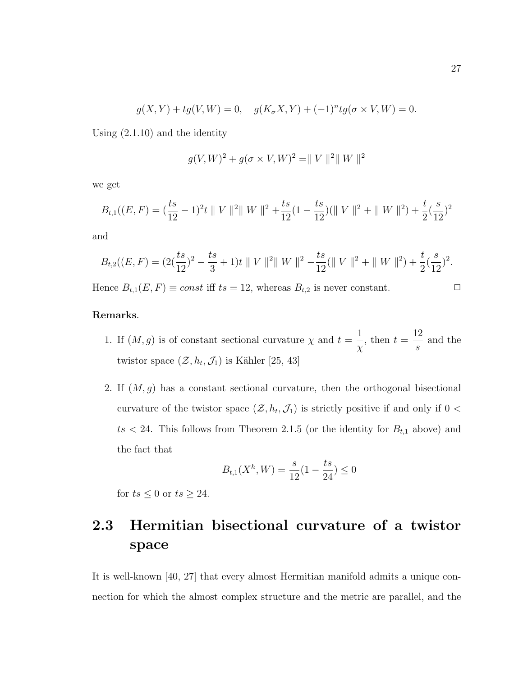$$
g(X,Y) + tg(V,W) = 0
$$
,  $g(K_{\sigma}X,Y) + (-1)^{n}tg(\sigma \times V,W) = 0$ .

Using (2.1.10) and the identity

$$
g(V, W)^{2} + g(\sigma \times V, W)^{2} = || V ||^{2} || W ||^{2}
$$

we get

$$
B_{t,1}((E,F) = (\frac{ts}{12} - 1)^2 t \| V \|^{2} \| W \|^{2} + \frac{ts}{12} (1 - \frac{ts}{12}) (\| V \|^{2} + \| W \|^{2}) + \frac{t}{2} (\frac{s}{12})^{2}
$$

and

$$
B_{t,2}((E,F) = (2(\frac{ts}{12})^2 - \frac{ts}{3} + 1)t \parallel V \parallel^2 \parallel W \parallel^2 - \frac{ts}{12}(\parallel V \parallel^2 + \parallel W \parallel^2) + \frac{t}{2}(\frac{s}{12})^2.
$$
  
Hence  $B_{t,1}(E,F) \equiv const$  iff  $ts = 12$ , whereas  $B_{t,2}$  is never constant.

#### Remarks.

- 1. If  $(M, g)$  is of constant sectional curvature  $\chi$  and  $t =$ 1 χ , then  $t =$ 12 s and the twistor space  $(\mathcal{Z}, h_t, \mathcal{J}_1)$  is Kähler [25, 43]
- 2. If  $(M, g)$  has a constant sectional curvature, then the orthogonal bisectional curvature of the twistor space  $(\mathcal{Z}, h_t, \mathcal{J}_1)$  is strictly positive if and only if  $0 <$  $ts < 24$ . This follows from Theorem 2.1.5 (or the identity for  $B_{t,1}$  above) and the fact that

$$
B_{t,1}(X^h, W) = \frac{s}{12}(1 - \frac{ts}{24}) \le 0
$$

for  $ts \leq 0$  or  $ts \geq 24$ .

### 2.3 Hermitian bisectional curvature of a twistor space

It is well-known [40, 27] that every almost Hermitian manifold admits a unique connection for which the almost complex structure and the metric are parallel, and the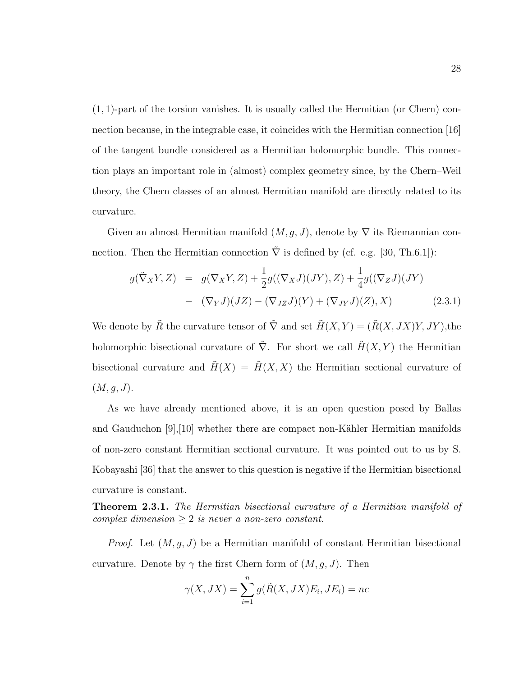$(1, 1)$ -part of the torsion vanishes. It is usually called the Hermitian (or Chern) connection because, in the integrable case, it coincides with the Hermitian connection [16] of the tangent bundle considered as a Hermitian holomorphic bundle. This connection plays an important role in (almost) complex geometry since, by the Chern–Weil theory, the Chern classes of an almost Hermitian manifold are directly related to its curvature.

Given an almost Hermitian manifold  $(M, g, J)$ , denote by  $\nabla$  its Riemannian connection. Then the Hermitian connection  $\overline{\nabla}$  is defined by (cf. e.g. [30, Th.6.1]):

$$
g(\tilde{\nabla}_X Y, Z) = g(\nabla_X Y, Z) + \frac{1}{2} g((\nabla_X J)(JY), Z) + \frac{1}{4} g((\nabla_Z J)(JY) - (\nabla_Y J)(JZ) - (\nabla_{JZ} J)(Y) + (\nabla_{JY} J)(Z), X)
$$
(2.3.1)

We denote by  $\tilde{R}$  the curvature tensor of  $\tilde{\nabla}$  and set  $\tilde{H}(X, Y) = (\tilde{R}(X, JX)Y, JY)$ , the holomorphic bisectional curvature of  $\tilde{\nabla}$ . For short we call  $\tilde{H}(X, Y)$  the Hermitian bisectional curvature and  $\tilde{H}(X) = \tilde{H}(X, X)$  the Hermitian sectional curvature of  $(M, g, J).$ 

As we have already mentioned above, it is an open question posed by Ballas and Gauduchon  $[9]$ , [10] whether there are compact non-Kähler Hermitian manifolds of non-zero constant Hermitian sectional curvature. It was pointed out to us by S. Kobayashi [36] that the answer to this question is negative if the Hermitian bisectional curvature is constant.

Theorem 2.3.1. The Hermitian bisectional curvature of a Hermitian manifold of complex dimension  $\geq 2$  is never a non-zero constant.

*Proof.* Let  $(M, g, J)$  be a Hermitian manifold of constant Hermitian bisectional curvature. Denote by  $\gamma$  the first Chern form of  $(M, g, J)$ . Then

$$
\gamma(X, JX) = \sum_{i=1}^{n} g(\tilde{R}(X, JX)E_i, JE_i) = nc
$$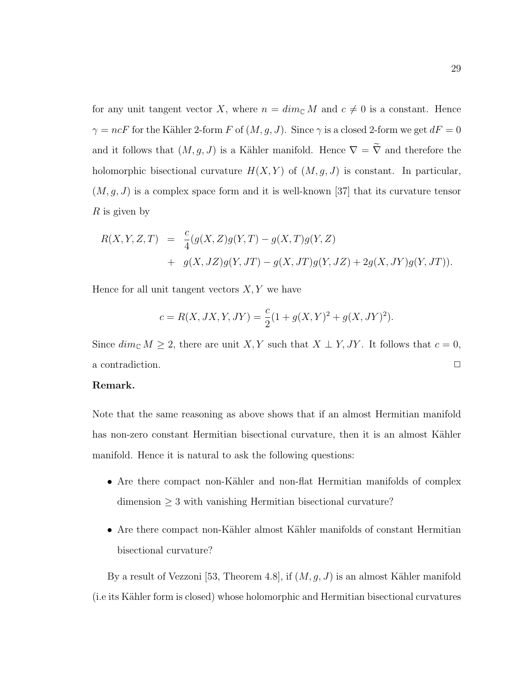for any unit tangent vector X, where  $n = \dim_{\mathbb{C}} M$  and  $c \neq 0$  is a constant. Hence  $\gamma = ncF$  for the Kähler 2-form  $F$  of  $(M, g, J)$ . Since  $\gamma$  is a closed 2-form we get  $dF = 0$ and it follows that  $(M, g, J)$  is a Kähler manifold. Hence  $\nabla = \tilde{\nabla}$  and therefore the holomorphic bisectional curvature  $H(X, Y)$  of  $(M, g, J)$  is constant. In particular,  $(M, g, J)$  is a complex space form and it is well-known [37] that its curvature tensor  $R$  is given by

$$
R(X, Y, Z, T) = \frac{c}{4}(g(X, Z)g(Y, T) - g(X, T)g(Y, Z)
$$
  
+ 
$$
g(X, JZ)g(Y, JT) - g(X, JT)g(Y, JZ) + 2g(X, JY)g(Y, JT)).
$$

Hence for all unit tangent vectors  $X, Y$  we have

$$
c = R(X, JX, Y, JY) = \frac{c}{2}(1 + g(X, Y)^{2} + g(X, JY)^{2}).
$$

Since  $\dim_{\mathbb{C}} M \geq 2$ , there are unit X, Y such that  $X \perp Y$ , JY. It follows that  $c = 0$ , a contradiction.  $\Box$ 

### Remark.

Note that the same reasoning as above shows that if an almost Hermitian manifold has non-zero constant Hermitian bisectional curvature, then it is an almost Kähler manifold. Hence it is natural to ask the following questions:

- Are there compact non-Kähler and non-flat Hermitian manifolds of complex  $dimension \geq 3$  with vanishing Hermitian bisectional curvature?
- Are there compact non-Kähler almost Kähler manifolds of constant Hermitian bisectional curvature?

By a result of Vezzoni [53, Theorem 4.8], if  $(M, g, J)$  is an almost Kähler manifold (i.e its K¨ahler form is closed) whose holomorphic and Hermitian bisectional curvatures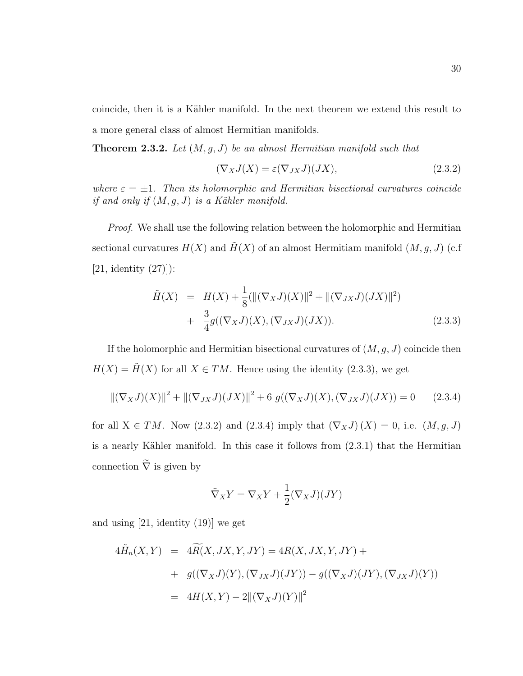coincide, then it is a Kähler manifold. In the next theorem we extend this result to a more general class of almost Hermitian manifolds.

**Theorem 2.3.2.** Let  $(M, g, J)$  be an almost Hermitian manifold such that

$$
(\nabla_X J(X) = \varepsilon(\nabla_{JX} J)(JX), \qquad (2.3.2)
$$

where  $\varepsilon = \pm 1$ . Then its holomorphic and Hermitian bisectional curvatures coincide if and only if  $(M, g, J)$  is a Kähler manifold.

Proof. We shall use the following relation between the holomorphic and Hermitian sectional curvatures  $H(X)$  and  $H(X)$  of an almost Hermitiam manifold  $(M, g, J)$  (c.f.  $[21,$  identity  $(27)]$ :

$$
\tilde{H}(X) = H(X) + \frac{1}{8}(\|(\nabla_X J)(X)\|^2 + \|(\nabla_{JX} J)(JX)\|^2) \n+ \frac{3}{4}g((\nabla_X J)(X), (\nabla_{JX} J)(JX)).
$$
\n(2.3.3)

If the holomorphic and Hermitian bisectional curvatures of  $(M, g, J)$  coincide then  $H(X) = \tilde{H}(X)$  for all  $X \in TM$ . Hence using the identity (2.3.3), we get

$$
\|(\nabla_X J)(X)\|^2 + \|(\nabla_{JX} J)(JX)\|^2 + 6 \ g((\nabla_X J)(X), (\nabla_{JX} J)(JX)) = 0 \qquad (2.3.4)
$$

for all  $X \in TM$ . Now (2.3.2) and (2.3.4) imply that  $(\nabla_X J)(X) = 0$ , i.e.  $(M, g, J)$ is a nearly Kähler manifold. In this case it follows from  $(2.3.1)$  that the Hermitian connection  $\tilde{\nabla}$  is given by

$$
\tilde{\nabla}_X Y = \nabla_X Y + \frac{1}{2} (\nabla_X J)(JY)
$$

and using [21, identity (19)] we get

$$
4\widetilde{H}_n(X,Y) = 4\widetilde{R}(X,JX,Y,JY) = 4R(X,JX,Y,JY) +
$$
  
+ 
$$
g((\nabla_X J)(Y),(\nabla_{JX} J)(JY)) - g((\nabla_X J)(JY),(\nabla_{JX} J)(Y))
$$
  
= 
$$
4H(X,Y) - 2\|(\nabla_X J)(Y)\|^2
$$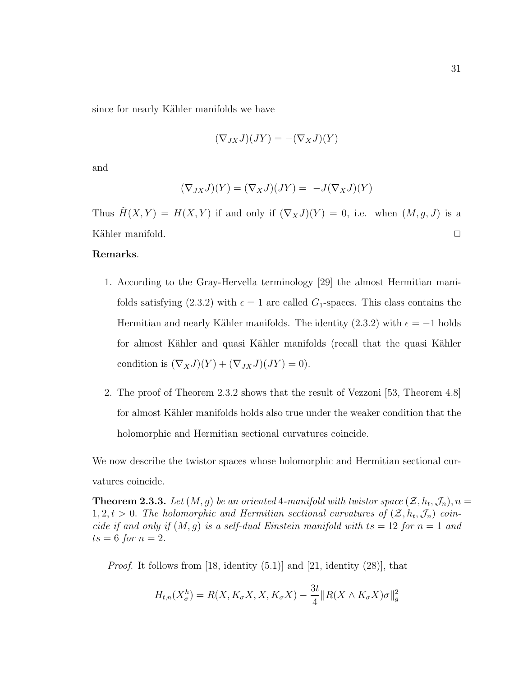since for nearly Kähler manifolds we have

$$
(\nabla_{JX}J)(JY) = -(\nabla_XJ)(Y)
$$

and

$$
(\nabla_{JX}J)(Y) = (\nabla_XJ)(JY) = -J(\nabla_XJ)(Y)
$$

Thus  $\tilde{H}(X, Y) = H(X, Y)$  if and only if  $(\nabla_X J)(Y) = 0$ , i.e. when  $(M, g, J)$  is a Kähler manifold.  $\Box$ 

### Remarks.

- 1. According to the Gray-Hervella terminology [29] the almost Hermitian manifolds satisfying (2.3.2) with  $\epsilon = 1$  are called  $G_1$ -spaces. This class contains the Hermitian and nearly Kähler manifolds. The identity (2.3.2) with  $\epsilon = -1$  holds for almost Kähler and quasi Kähler manifolds (recall that the quasi Kähler condition is  $(\nabla_X J)(Y) + (\nabla_{JX} J)(JY) = 0$ .
- 2. The proof of Theorem 2.3.2 shows that the result of Vezzoni [53, Theorem 4.8] for almost Kähler manifolds holds also true under the weaker condition that the holomorphic and Hermitian sectional curvatures coincide.

We now describe the twistor spaces whose holomorphic and Hermitian sectional curvatures coincide.

**Theorem 2.3.3.** Let  $(M, g)$  be an oriented 4-manifold with twistor space  $(\mathcal{Z}, h_t, \mathcal{J}_n)$ ,  $n =$  $1, 2, t > 0$ . The holomorphic and Hermitian sectional curvatures of  $(\mathcal{Z}, h_t, \mathcal{J}_n)$  coincide if and only if  $(M, g)$  is a self-dual Einstein manifold with  $ts = 12$  for  $n = 1$  and  $ts = 6$  for  $n = 2$ .

*Proof.* It follows from [18, identity  $(5.1)$ ] and [21, identity  $(28)$ ], that

$$
H_{t,n}(X_{\sigma}^{h}) = R(X, K_{\sigma}X, X, K_{\sigma}X) - \frac{3t}{4} || R(X \wedge K_{\sigma}X)\sigma||_{g}^{2}
$$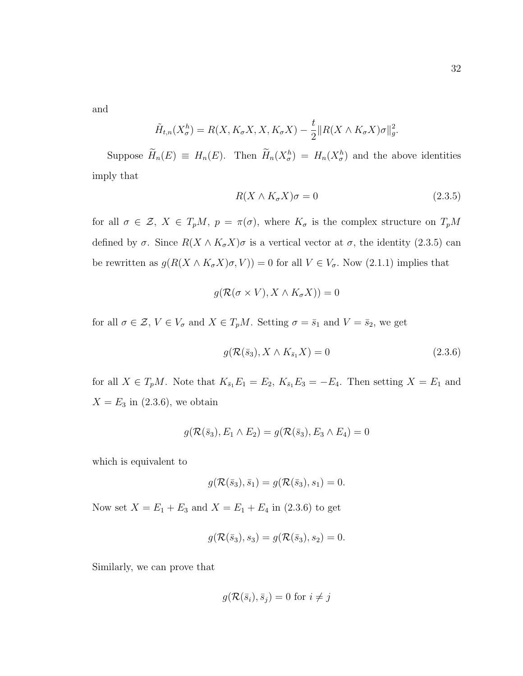and

$$
\tilde{H}_{t,n}(X_{\sigma}^{h}) = R(X, K_{\sigma}X, X, K_{\sigma}X) - \frac{t}{2} || R(X \wedge K_{\sigma}X)\sigma||_{g}^{2}.
$$

Suppose  $\widetilde{H}_n(E) \equiv H_n(E)$ . Then  $\widetilde{H}_n(X^h_{\sigma}) = H_n(X^h_{\sigma})$  and the above identities imply that

$$
R(X \wedge K_{\sigma}X)\sigma = 0\tag{2.3.5}
$$

for all  $\sigma \in \mathcal{Z}, X \in T_pM$ ,  $p = \pi(\sigma)$ , where  $K_{\sigma}$  is the complex structure on  $T_pM$ defined by  $\sigma$ . Since  $R(X \wedge K_{\sigma}X)\sigma$  is a vertical vector at  $\sigma$ , the identity (2.3.5) can be rewritten as  $g(R(X \wedge K_{\sigma}X)\sigma, V)) = 0$  for all  $V \in V_{\sigma}$ . Now (2.1.1) implies that

$$
g(\mathcal{R}(\sigma \times V), X \wedge K_{\sigma}X)) = 0
$$

for all  $\sigma \in \mathcal{Z}, V \in V_{\sigma}$  and  $X \in T_pM$ . Setting  $\sigma = \bar{s}_1$  and  $V = \bar{s}_2$ , we get

$$
g(\mathcal{R}(\bar{s}_3), X \wedge K_{\bar{s}_1} X) = 0 \qquad (2.3.6)
$$

for all  $X \in T_pM$ . Note that  $K_{\bar{s}_1}E_1 = E_2$ ,  $K_{\bar{s}_1}E_3 = -E_4$ . Then setting  $X = E_1$  and  $X = E_3$  in (2.3.6), we obtain

$$
g(\mathcal{R}(\bar{s}_3), E_1 \wedge E_2) = g(\mathcal{R}(\bar{s}_3), E_3 \wedge E_4) = 0
$$

which is equivalent to

$$
g(\mathcal{R}(\bar{s}_3), \bar{s}_1) = g(\mathcal{R}(\bar{s}_3), s_1) = 0.
$$

Now set  $X = E_1 + E_3$  and  $X = E_1 + E_4$  in (2.3.6) to get

$$
g(\mathcal{R}(\bar{s}_3), s_3) = g(\mathcal{R}(\bar{s}_3), s_2) = 0.
$$

Similarly, we can prove that

$$
g(\mathcal{R}(\bar{s}_i), \bar{s}_j) = 0 \text{ for } i \neq j
$$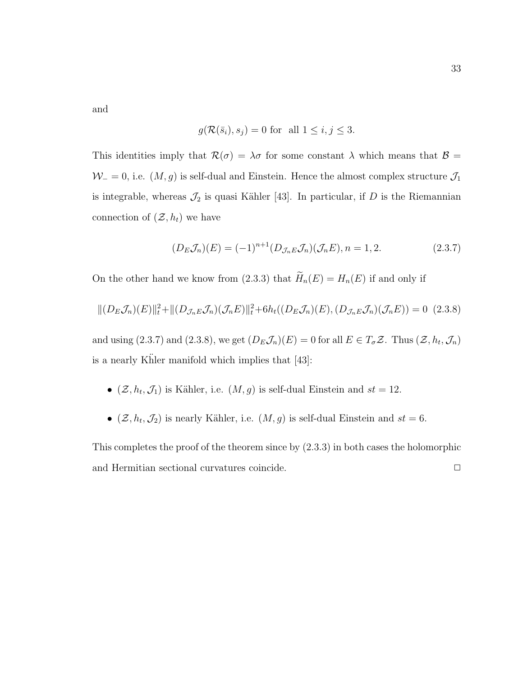33

and

$$
g(\mathcal{R}(\bar{s}_i), s_j) = 0 \text{ for all } 1 \le i, j \le 3.
$$

This identities imply that  $\mathcal{R}(\sigma) = \lambda \sigma$  for some constant  $\lambda$  which means that  $\mathcal{B} =$  $W_$  = 0, i.e.  $(M, g)$  is self-dual and Einstein. Hence the almost complex structure  $\mathcal{J}_1$ is integrable, whereas  $\mathcal{J}_2$  is quasi Kähler [43]. In particular, if D is the Riemannian connection of  $(\mathcal{Z}, h_t)$  we have

$$
(D_E \mathcal{J}_n)(E) = (-1)^{n+1} (D_{\mathcal{J}_n E} \mathcal{J}_n)(\mathcal{J}_n E), n = 1, 2. \qquad (2.3.7)
$$

On the other hand we know from (2.3.3) that  $\widetilde{H}_n(E) = H_n(E)$  if and only if

$$
||(D_E\mathcal{J}_n)(E)||_t^2 + ||(D_{\mathcal{J}_nE}\mathcal{J}_n)(\mathcal{J}_nE)||_t^2 + 6h_t((D_E\mathcal{J}_n)(E), (D_{\mathcal{J}_nE}\mathcal{J}_n)(\mathcal{J}_nE)) = 0
$$
 (2.3.8)

and using (2.3.7) and (2.3.8), we get  $(D_E \mathcal{J}_n)(E) = 0$  for all  $E \in T_{\sigma} \mathcal{Z}$ . Thus  $(\mathcal{Z}, h_t, \mathcal{J}_n)$ is a nearly Khler manifold which implies that  $[43]$ :

- $(\mathcal{Z}, h_t, \mathcal{J}_1)$  is Kähler, i.e.  $(M, g)$  is self-dual Einstein and  $st = 12$ .
- $(\mathcal{Z}, h_t, \mathcal{J}_2)$  is nearly Kähler, i.e.  $(M, g)$  is self-dual Einstein and  $st = 6$ .

This completes the proof of the theorem since by (2.3.3) in both cases the holomorphic and Hermitian sectional curvatures coincide.  $\Box$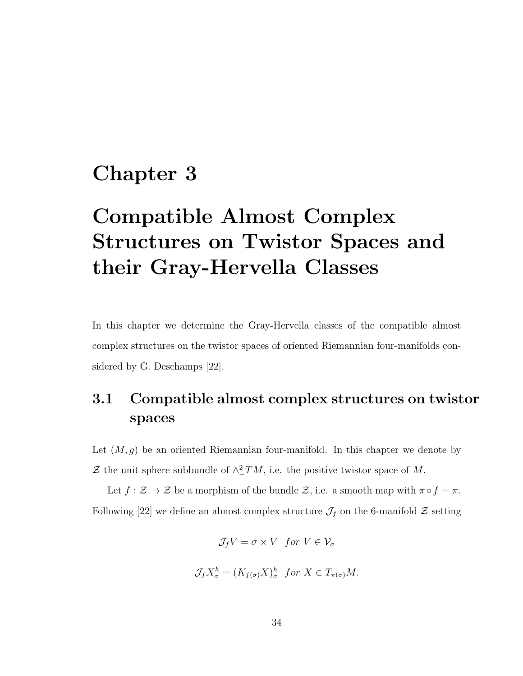## Chapter 3

# Compatible Almost Complex Structures on Twistor Spaces and their Gray-Hervella Classes

In this chapter we determine the Gray-Hervella classes of the compatible almost complex structures on the twistor spaces of oriented Riemannian four-manifolds considered by G. Deschamps [22].

### 3.1 Compatible almost complex structures on twistor spaces

Let  $(M, g)$  be an oriented Riemannian four-manifold. In this chapter we denote by Z the unit sphere subbundle of  $\wedge^2_+TM$ , i.e. the positive twistor space of M.

Let  $f: \mathcal{Z} \to \mathcal{Z}$  be a morphism of the bundle  $\mathcal{Z}$ , i.e. a smooth map with  $\pi \circ f = \pi$ . Following [22] we define an almost complex structure  $\mathcal{J}_f$  on the 6-manifold  $\mathcal Z$  setting

$$
\mathcal{J}_f V = \sigma \times V \quad \text{for } V \in \mathcal{V}_\sigma
$$
\n
$$
\mathcal{J}_f X_\sigma^h = (K_{f(\sigma)} X)_\sigma^h \quad \text{for } X \in T_{\pi(\sigma)} M.
$$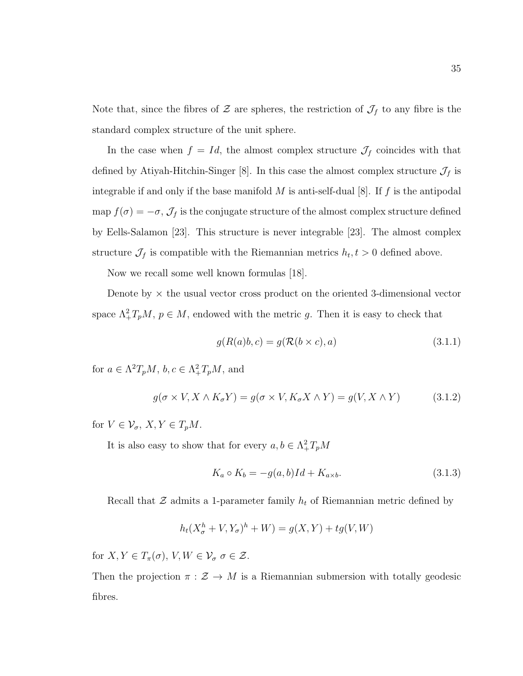Note that, since the fibres of  $\mathcal Z$  are spheres, the restriction of  $\mathcal J_f$  to any fibre is the standard complex structure of the unit sphere.

In the case when  $f = Id$ , the almost complex structure  $\mathcal{J}_f$  coincides with that defined by Atiyah-Hitchin-Singer [8]. In this case the almost complex structure  $\mathcal{J}_f$  is integrable if and only if the base manifold  $M$  is anti-self-dual [8]. If  $f$  is the antipodal map  $f(\sigma) = -\sigma$ ,  $\mathcal{J}_f$  is the conjugate structure of the almost complex structure defined by Eells-Salamon [23]. This structure is never integrable [23]. The almost complex structure  $\mathcal{J}_f$  is compatible with the Riemannian metrics  $h_t, t > 0$  defined above.

Now we recall some well known formulas [18].

Denote by  $\times$  the usual vector cross product on the oriented 3-dimensional vector space  $\Lambda^2_+T_pM$ ,  $p \in M$ , endowed with the metric g. Then it is easy to check that

$$
g(R(a)b, c) = g(\mathcal{R}(b \times c), a)
$$
\n(3.1.1)

for  $a \in \Lambda^2 T_p M$ ,  $b, c \in \Lambda^2_+ T_p M$ , and

$$
g(\sigma \times V, X \wedge K_{\sigma} Y) = g(\sigma \times V, K_{\sigma} X \wedge Y) = g(V, X \wedge Y) \tag{3.1.2}
$$

for  $V \in \mathcal{V}_{\sigma}$ ,  $X, Y \in T_pM$ .

It is also easy to show that for every  $a, b \in \Lambda^2_+ T_p M$ 

$$
K_a \circ K_b = -g(a, b)Id + K_{a \times b}.\tag{3.1.3}
$$

Recall that  $\mathcal Z$  admits a 1-parameter family  $h_t$  of Riemannian metric defined by

$$
h_t(X_{\sigma}^h + V, Y_{\sigma})^h + W) = g(X, Y) + tg(V, W)
$$

for  $X, Y \in T_{\pi}(\sigma)$ ,  $V, W \in \mathcal{V}_{\sigma}$   $\sigma \in \mathcal{Z}$ .

Then the projection  $\pi : \mathcal{Z} \to M$  is a Riemannian submersion with totally geodesic fibres.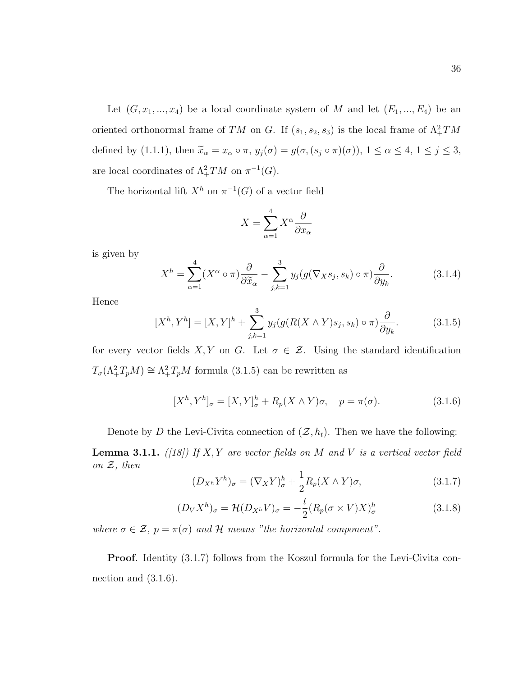Let  $(G, x_1, ..., x_4)$  be a local coordinate system of M and let  $(E_1, ..., E_4)$  be an oriented orthonormal frame of TM on G. If  $(s_1, s_2, s_3)$  is the local frame of  $\Lambda^2_+TM$ defined by (1.1.1), then  $\tilde{x}_{\alpha} = x_{\alpha} \circ \pi$ ,  $y_j(\sigma) = g(\sigma, (s_j \circ \pi)(\sigma))$ ,  $1 \le \alpha \le 4$ ,  $1 \le j \le 3$ , are local coordinates of  $\Lambda^2_+TM$  on  $\pi^{-1}(G)$ .

The horizontal lift  $X^h$  on  $\pi^{-1}(G)$  of a vector field

$$
X = \sum_{\alpha=1}^{4} X^{\alpha} \frac{\partial}{\partial x_{\alpha}}
$$

is given by

$$
X^{h} = \sum_{\alpha=1}^{4} (X^{\alpha} \circ \pi) \frac{\partial}{\partial \widetilde{x}_{\alpha}} - \sum_{j,k=1}^{3} y_{j} (g(\nabla_{X} s_{j}, s_{k}) \circ \pi) \frac{\partial}{\partial y_{k}}.
$$
(3.1.4)

Hence

$$
[Xh, Yh] = [X, Y]h + \sum_{j,k=1}^{3} y_j (g(R(X \wedge Y)s_j, s_k) \circ \pi) \frac{\partial}{\partial y_k}.
$$
 (3.1.5)

for every vector fields X, Y on G. Let  $\sigma \in \mathcal{Z}$ . Using the standard identification  $T_{\sigma}(\Lambda^2_+ T_p M) \cong \Lambda^2_+ T_p M$  formula (3.1.5) can be rewritten as

$$
[Xh, Yh]_{\sigma} = [X, Y]_{\sigma}^{h} + R_{p}(X \wedge Y)\sigma, \quad p = \pi(\sigma).
$$
 (3.1.6)

Denote by D the Levi-Civita connection of  $(\mathcal{Z}, h_t)$ . Then we have the following:

**Lemma 3.1.1.** ([18]) If X, Y are vector fields on M and V is a vertical vector field on  $\mathcal{Z}$ , then

$$
(D_{X^h}Y^h)_{\sigma} = (\nabla_X Y)^h_{\sigma} + \frac{1}{2}R_p(X \wedge Y)\sigma,
$$
\n(3.1.7)

$$
(D_V X^h)_{\sigma} = \mathcal{H}(D_{X^h} V)_{\sigma} = -\frac{t}{2} (R_p (\sigma \times V) X)^h_{\sigma}
$$
 (3.1.8)

where  $\sigma \in \mathcal{Z}$ ,  $p = \pi(\sigma)$  and  $\mathcal{H}$  means "the horizontal component".

Proof. Identity (3.1.7) follows from the Koszul formula for the Levi-Civita connection and (3.1.6).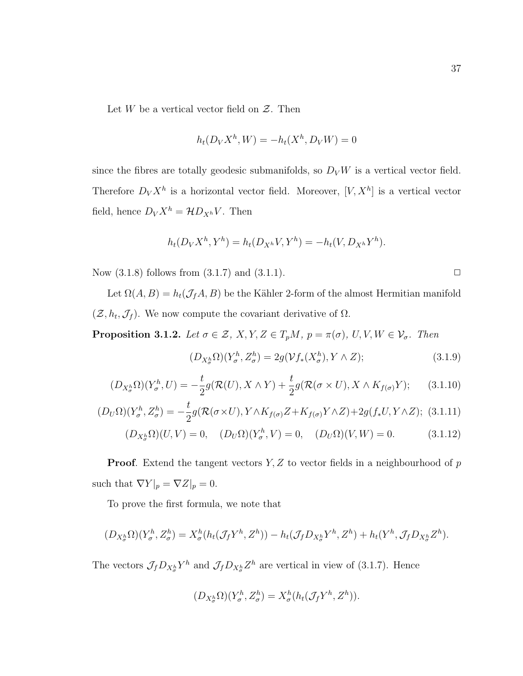Let  $W$  be a vertical vector field on  $Z$ . Then

$$
h_t(D_VX^h, W) = -h_t(X^h, D_VW) = 0
$$

since the fibres are totally geodesic submanifolds, so  $D_V W$  is a vertical vector field. Therefore  $D_V X^h$  is a horizontal vector field. Moreover,  $[V, X^h]$  is a vertical vector field, hence  $D_V X^h = \mathcal{H} D_{X^h} V$ . Then

$$
h_t(D_VX^h, Y^h) = h_t(D_{X^h}V, Y^h) = -h_t(V, D_{X^h}Y^h).
$$

Now  $(3.1.8)$  follows from  $(3.1.7)$  and  $(3.1.1)$ .

Let  $\Omega(A, B) = h_t(\mathcal{J}_f A, B)$  be the Kähler 2-form of the almost Hermitian manifold  $(\mathcal{Z}, h_t, \mathcal{J}_f)$ . We now compute the covariant derivative of  $\Omega$ .

**Proposition 3.1.2.** Let  $\sigma \in \mathcal{Z}$ ,  $X, Y, Z \in T_pM$ ,  $p = \pi(\sigma)$ ,  $U, V, W \in \mathcal{V}_{\sigma}$ . Then

$$
(D_{X_{\sigma}^h}\Omega)(Y_{\sigma}^h, Z_{\sigma}^h) = 2g(\mathcal{V}f_*(X_{\sigma}^h), Y \wedge Z); \qquad (3.1.9)
$$

$$
(D_{X_{\sigma}^h}\Omega)(Y_{\sigma}^h,U) = -\frac{t}{2}g(\mathcal{R}(U),X\wedge Y) + \frac{t}{2}g(\mathcal{R}(\sigma\times U),X\wedge K_{f(\sigma)}Y); \quad (3.1.10)
$$

$$
(D_U\Omega)(Y^h_\sigma, Z^h_\sigma) = -\frac{t}{2}g(\mathcal{R}(\sigma \times U), Y \wedge K_{f(\sigma)}Z + K_{f(\sigma)}Y \wedge Z) + 2g(f_*U, Y \wedge Z); \tag{3.1.11}
$$

$$
(D_{X_{\sigma}^{h}}\Omega)(U,V) = 0, \quad (D_{U}\Omega)(Y_{\sigma}^{h},V) = 0, \quad (D_{U}\Omega)(V,W) = 0.
$$
 (3.1.12)

**Proof.** Extend the tangent vectors  $Y, Z$  to vector fields in a neighbourhood of  $p$ such that  $\nabla Y|_p = \nabla Z|_p = 0.$ 

To prove the first formula, we note that

$$
(D_{X_{\sigma}^h}\Omega)(Y_{\sigma}^h, Z_{\sigma}^h) = X_{\sigma}^h(h_t(\mathcal{J}_f Y^h, Z^h)) - h_t(\mathcal{J}_f D_{X_{\sigma}^h} Y^h, Z^h) + h_t(Y^h, \mathcal{J}_f D_{X_{\sigma}^h} Z^h).
$$

The vectors  $\mathcal{J}_f D_{X_{\sigma}^h} Y^h$  and  $\mathcal{J}_f D_{X_{\sigma}^h} Z^h$  are vertical in view of (3.1.7). Hence

$$
(D_{X_{\sigma}^h}\Omega)(Y_{\sigma}^h, Z_{\sigma}^h) = X_{\sigma}^h(h_t(\mathcal{J}_f Y^h, Z^h)).
$$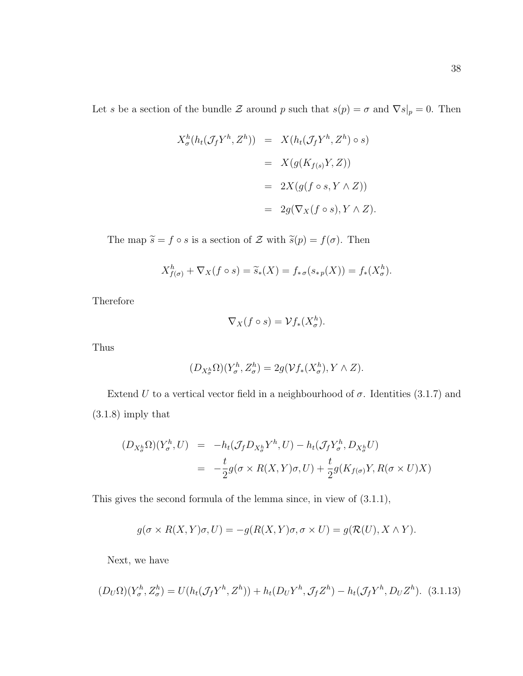$$
X_{\sigma}^{h}(h_t(\mathcal{J}_f Y^h, Z^h)) = X(h_t(\mathcal{J}_f Y^h, Z^h) \circ s)
$$
  
=  $X(g(K_{f(s)}Y, Z))$   
=  $2X(g(f \circ s, Y \wedge Z))$   
=  $2g(\nabla_X(f \circ s), Y \wedge Z).$ 

The map  $\tilde{s} = f \circ s$  is a section of Z with  $\tilde{s}(p) = f(\sigma)$ . Then

$$
X_{f(\sigma)}^{h} + \nabla_{X}(f \circ s) = \widetilde{s}_{*}(X) = f_{* \sigma}(s_{* p}(X)) = f_{*}(X_{\sigma}^{h}).
$$

Therefore

$$
\nabla_X(f \circ s) = \mathcal{V}f_*(X^h_\sigma).
$$

Thus

$$
(D_{X_{\sigma}^h} \Omega)(Y_{\sigma}^h, Z_{\sigma}^h) = 2g(\mathcal{V}f_*(X_{\sigma}^h), Y \wedge Z).
$$

Extend U to a vertical vector field in a neighbourhood of  $\sigma$ . Identities (3.1.7) and (3.1.8) imply that

$$
(D_{X_{\sigma}^h}\Omega)(Y_{\sigma}^h, U) = -h_t(\mathcal{J}_f D_{X_{\sigma}^h} Y^h, U) - h_t(\mathcal{J}_f Y_{\sigma}^h, D_{X_{\sigma}^h} U)
$$
  
= 
$$
-\frac{t}{2}g(\sigma \times R(X, Y)\sigma, U) + \frac{t}{2}g(K_{f(\sigma)}Y, R(\sigma \times U)X)
$$

This gives the second formula of the lemma since, in view of (3.1.1),

$$
g(\sigma \times R(X, Y)\sigma, U) = -g(R(X, Y)\sigma, \sigma \times U) = g(R(U), X \wedge Y).
$$

Next, we have

$$
(D_U\Omega)(Y^h_\sigma, Z^h_\sigma) = U(h_t(\mathcal{J}_f Y^h, Z^h)) + h_t(D_U Y^h, \mathcal{J}_f Z^h) - h_t(\mathcal{J}_f Y^h, D_U Z^h). \tag{3.1.13}
$$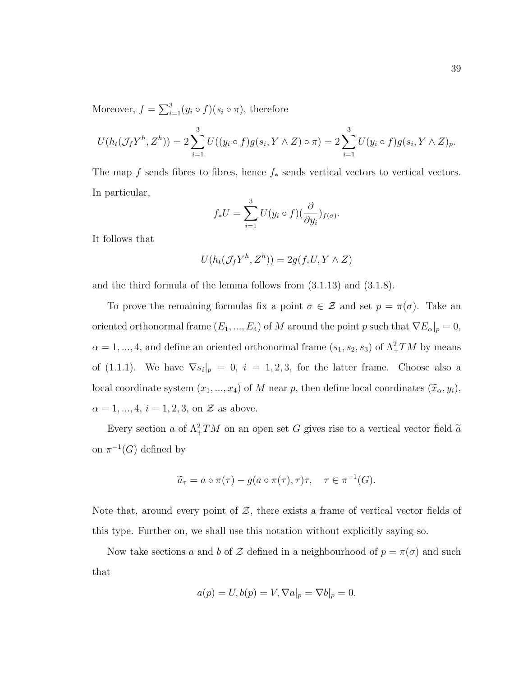Moreover,  $f = \sum_{i=1}^{3} (y_i \circ f)(s_i \circ \pi)$ , therefore

$$
U(h_t(\mathcal{J}_f Y^h, Z^h)) = 2 \sum_{i=1}^3 U((y_i \circ f)g(s_i, Y \wedge Z) \circ \pi) = 2 \sum_{i=1}^3 U(y_i \circ f)g(s_i, Y \wedge Z)_p.
$$

The map f sends fibres to fibres, hence  $f_*$  sends vertical vectors to vertical vectors. In particular,

$$
f_*U = \sum_{i=1}^3 U(y_i \circ f)(\frac{\partial}{\partial y_i})_{f(\sigma)}.
$$

It follows that

$$
U(h_t(\mathcal{J}_f Y^h, Z^h)) = 2g(f_* U, Y \wedge Z)
$$

and the third formula of the lemma follows from (3.1.13) and (3.1.8).

To prove the remaining formulas fix a point  $\sigma \in \mathcal{Z}$  and set  $p = \pi(\sigma)$ . Take an oriented orthonormal frame  $(E_1, ..., E_4)$  of M around the point p such that  $\nabla E_\alpha|_p = 0$ ,  $\alpha = 1, ..., 4$ , and define an oriented orthonormal frame  $(s_1, s_2, s_3)$  of  $\Lambda^2_+TM$  by means of (1.1.1). We have  $\nabla s_i|_p = 0$ ,  $i = 1, 2, 3$ , for the latter frame. Choose also a local coordinate system  $(x_1, ..., x_4)$  of M near p, then define local coordinates  $(\tilde{x}_\alpha, y_i)$ ,  $\alpha = 1, ..., 4, i = 1, 2, 3,$  on  $\mathcal Z$  as above.

Every section a of  $\Lambda^2_+TM$  on an open set G gives rise to a vertical vector field  $\tilde{a}$ on  $\pi^{-1}(G)$  defined by

$$
\widetilde{a}_{\tau} = a \circ \pi(\tau) - g(a \circ \pi(\tau), \tau) \tau, \quad \tau \in \pi^{-1}(G).
$$

Note that, around every point of  $\mathcal{Z}$ , there exists a frame of vertical vector fields of this type. Further on, we shall use this notation without explicitly saying so.

Now take sections a and b of  $\mathcal Z$  defined in a neighbourhood of  $p = \pi(\sigma)$  and such that

$$
a(p) = U, b(p) = V, \nabla a|_p = \nabla b|_p = 0.
$$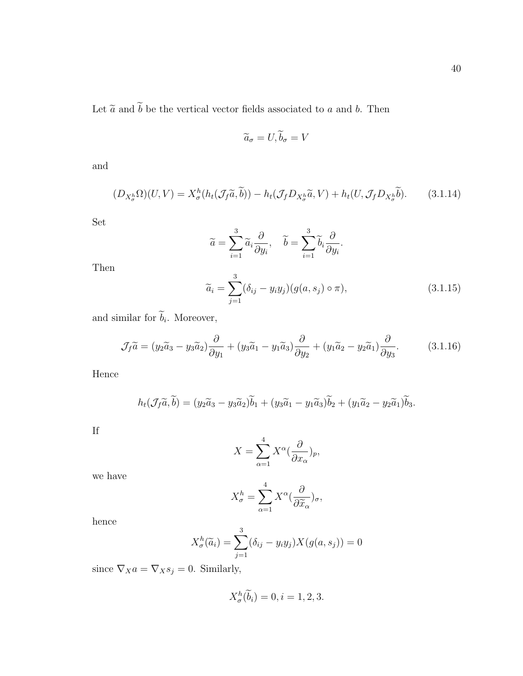$(3.1.16)$ 

Let  $\widetilde{a}$  and  $\widetilde{b}$  be the vertical vector fields associated to  $a$  and  $b$ . Then

$$
\widetilde{a}_{\sigma} = U, \widetilde{b}_{\sigma} = V
$$

and

$$
(D_{X_{\sigma}^h}\Omega)(U,V) = X_{\sigma}^h(h_t(\mathcal{J}_f\widetilde{a}, \widetilde{b})) - h_t(\mathcal{J}_f D_{X_{\sigma}^h}\widetilde{a}, V) + h_t(U, \mathcal{J}_f D_{X_{\sigma}^h}\widetilde{b}).
$$
 (3.1.14)

Set

Then

$$
\widetilde{a} = \sum_{i=1}^{3} \widetilde{a}_{i} \frac{\partial}{\partial y_{i}}, \quad \widetilde{b} = \sum_{i=1}^{3} \widetilde{b}_{i} \frac{\partial}{\partial y_{i}}.
$$

$$
\widetilde{a}_{i} = \sum_{j=1}^{3} (\delta_{ij} - y_{i}y_{j})(g(a, s_{j}) \circ \pi), \qquad (3.1.15)
$$

and similar for 
$$
b_i
$$
. Moreover,  
\n
$$
\mathcal{J}_f \tilde{a} = (y_2 \tilde{a}_3 - y_3 \tilde{a}_2) \frac{\partial}{\partial y_1} + (y_3 \tilde{a}_1 - y_1 \tilde{a}_3) \frac{\partial}{\partial y_2} + (y_1 \tilde{a}_2 - y_2 \tilde{a}_1) \frac{\partial}{\partial y_3}.
$$

Hence

$$
h_t(\mathcal{J}_f\tilde{a}, \tilde{b}) = (y_2\tilde{a}_3 - y_3\tilde{a}_2)\tilde{b}_1 + (y_3\tilde{a}_1 - y_1\tilde{a}_3)\tilde{b}_2 + (y_1\tilde{a}_2 - y_2\tilde{a}_1)\tilde{b}_3.
$$

If

$$
X = \sum_{\alpha=1}^{4} X^{\alpha} (\frac{\partial}{\partial x_{\alpha}})_{p},
$$

we have

$$
X_{\sigma}^{h} = \sum_{\alpha=1}^{4} X^{\alpha} \left(\frac{\partial}{\partial \widetilde{x}_{\alpha}}\right)_{\sigma},
$$

hence

$$
X_{\sigma}^{h}(\widetilde{a}_{i}) = \sum_{j=1}^{3} (\delta_{ij} - y_{i}y_{j})X(g(a, s_{j})) = 0
$$

since  $\nabla_X a = \nabla_X s_j = 0$ . Similarly,

$$
X_{\sigma}^{h}(\widetilde{b}_{i})=0, i=1,2,3.
$$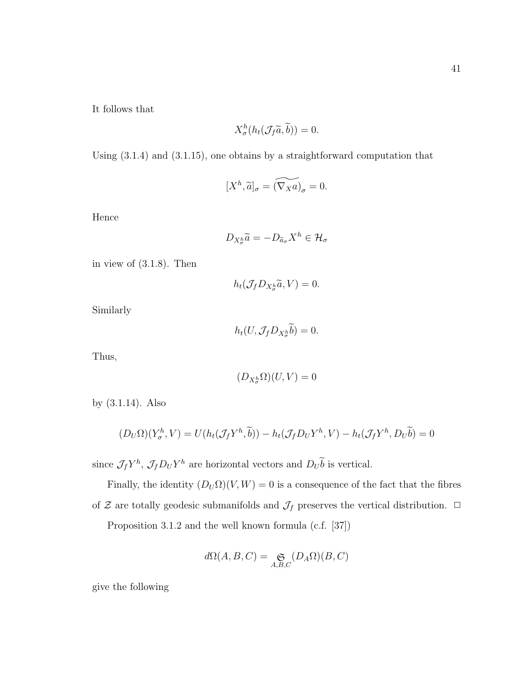It follows that

$$
X_{\sigma}^{h}(h_t(\mathcal{J}_f\widetilde{a},\widetilde{b}))=0.
$$

Using (3.1.4) and (3.1.15), one obtains by a straightforward computation that

$$
[X^h, \widetilde{a}]_\sigma = \widetilde{(\nabla_X a)}_\sigma = 0.
$$

Hence

$$
D_{X_{\sigma}^h}\widetilde{a} = -D_{\widetilde{a}_{\sigma}}X^h \in \mathcal{H}_{\sigma}
$$

in view of (3.1.8). Then

 $h_t(\mathcal{J}_f D_{X_{\sigma}^h}\widetilde{a}, V) = 0.$ 

Similarly

 $h_t(U, \mathcal{J}_f D_{X_{\sigma}^h} b) = 0.$ 

Thus,

$$
(D_{X_\sigma^h}\Omega)(U,V)=0
$$

by (3.1.14). Also

$$
(D_U\Omega)(Y^h_\sigma, V) = U(h_t(\mathcal{J}_f Y^h, \widetilde{b})) - h_t(\mathcal{J}_f D_U Y^h, V) - h_t(\mathcal{J}_f Y^h, D_U \widetilde{b}) = 0
$$

since  $\mathcal{J}_f Y^h$ ,  $\mathcal{J}_f D_U Y^h$  are horizontal vectors and  $D_U b$  is vertical.

Finally, the identity  $(D_U \Omega)(V, W) = 0$  is a consequence of the fact that the fibres of  ${\mathcal Z}$  are totally geodesic submanifolds and  ${\mathcal J}_f$  preserves the vertical distribution.  $\Box$ Proposition 3.1.2 and the well known formula (c.f. [37])

$$
d\Omega(A, B, C) = \mathop{\mathfrak{S}}\limits_{A, B, C} (D_A \Omega)(B, C)
$$

give the following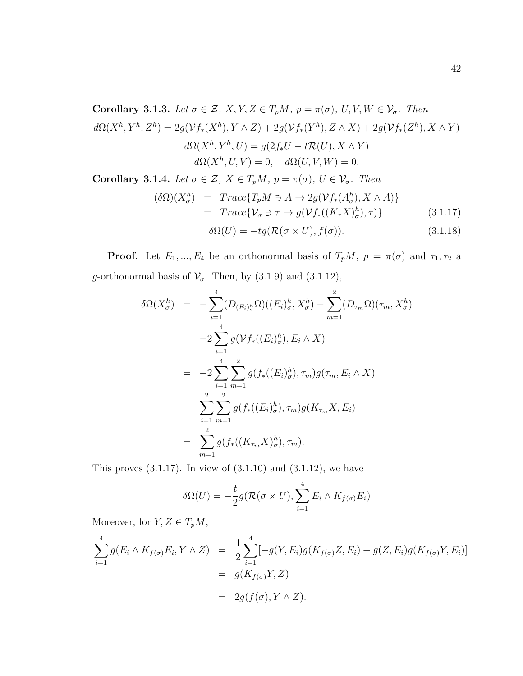Corollary 3.1.3. Let  $\sigma \in \mathcal{Z}, X, Y, Z \in T_pM$ ,  $p = \pi(\sigma), U, V, W \in \mathcal{V}_{\sigma}$ . Then  $d\Omega(X^h, Y^h, Z^h) = 2g(\mathcal{V}f_*(X^h), Y \wedge Z) + 2g(\mathcal{V}f_*(Y^h), Z \wedge X) + 2g(\mathcal{V}f_*(Z^h), X \wedge Y)$  $d\Omega(X^h, Y^h, U) = g(2f_*U - t\mathcal{R}(U), X \wedge Y)$  $d\Omega(X^h, U, V) = 0, \quad d\Omega(U, V, W) = 0.$ Corollary 3.1.4. Let  $\sigma \in \mathcal{Z}, X \in T_pM$ ,  $p = \pi(\sigma), U \in \mathcal{V}_{\sigma}$ . Then

$$
(\delta\Omega)(X_{\sigma}^{h}) = Trace\{T_{p}M \ni A \to 2g(\mathcal{V}f_{*}(A_{\sigma}^{h}), X \wedge A)\}
$$
  
= Trace $\{\mathcal{V}_{\sigma} \ni \tau \to g(\mathcal{V}f_{*}((K_{\tau}X)_{\sigma}^{h}), \tau)\}.$  (3.1.17)

$$
\delta\Omega(U) = -tg(\mathcal{R}(\sigma \times U), f(\sigma)).\tag{3.1.18}
$$

**Proof.** Let  $E_1, ..., E_4$  be an orthonormal basis of  $T_pM$ ,  $p = \pi(\sigma)$  and  $\tau_1, \tau_2$  a g-orthonormal basis of  $\mathcal{V}_{\sigma}$ . Then, by (3.1.9) and (3.1.12),

$$
\delta\Omega(X_{\sigma}^{h}) = -\sum_{i=1}^{4} (D_{(E_{i})_{\sigma}^{h}}\Omega)((E_{i})_{\sigma}^{h}, X_{\sigma}^{h}) - \sum_{m=1}^{2} (D_{\tau_{m}}\Omega)(\tau_{m}, X_{\sigma}^{h})
$$
  
\n
$$
= -2\sum_{i=1}^{4} g(\mathcal{V}f_{*}((E_{i})_{\sigma}^{h}), E_{i} \wedge X)
$$
  
\n
$$
= -2\sum_{i=1}^{4} \sum_{m=1}^{2} g(f_{*}((E_{i})_{\sigma}^{h}), \tau_{m})g(\tau_{m}, E_{i} \wedge X)
$$
  
\n
$$
= \sum_{i=1}^{2} \sum_{m=1}^{2} g(f_{*}((E_{i})_{\sigma}^{h}), \tau_{m})g(K_{\tau_{m}}X, E_{i})
$$
  
\n
$$
= \sum_{m=1}^{2} g(f_{*}((K_{\tau_{m}}X)_{\sigma}^{h}), \tau_{m}).
$$

This proves  $(3.1.17)$ . In view of  $(3.1.10)$  and  $(3.1.12)$ , we have

$$
\delta\Omega(U) = -\frac{t}{2}g(\mathcal{R}(\sigma \times U), \sum_{i=1}^{4} E_i \wedge K_{f(\sigma)}E_i)
$$

Moreover, for  $Y, Z \in T_pM$ ,

$$
\sum_{i=1}^{4} g(E_i \wedge K_{f(\sigma)} E_i, Y \wedge Z) = \frac{1}{2} \sum_{i=1}^{4} [-g(Y, E_i) g(K_{f(\sigma)} Z, E_i) + g(Z, E_i) g(K_{f(\sigma)} Y, E_i)]
$$
  
=  $g(K_{f(\sigma)} Y, Z)$   
=  $2g(f(\sigma), Y \wedge Z).$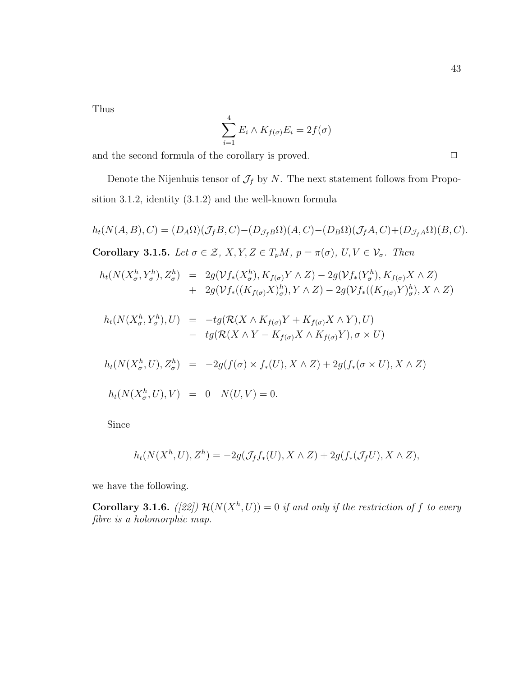Thus

$$
\sum_{i=1}^{4} E_i \wedge K_{f(\sigma)} E_i = 2f(\sigma)
$$

and the second formula of the corollary is proved.  $\Box$ 

Denote the Nijenhuis tensor of  $\mathcal{J}_f$  by  $N$ . The next statement follows from Proposition 3.1.2, identity (3.1.2) and the well-known formula

$$
h_t(N(A, B), C) = (D_A \Omega)(\mathcal{J}_f B, C) - (D_{\mathcal{J}_f B} \Omega)(A, C) - (D_B \Omega)(\mathcal{J}_f A, C) + (D_{\mathcal{J}_f A} \Omega)(B, C).
$$
  
\nCorollary 3.1.5. Let  $\sigma \in \mathcal{Z}, X, Y, Z \in T_p M, p = \pi(\sigma), U, V \in \mathcal{V}_{\sigma}$ . Then  
\n
$$
h_t(N(X_{\sigma}^h, Y_{\sigma}^h), Z_{\sigma}^h) = 2g(\mathcal{V}_f^*(X_{\sigma}^h), K_{f(\sigma)} Y \wedge Z) - 2g(\mathcal{V}_f^*(Y_{\sigma}^h), K_{f(\sigma)} X \wedge Z)
$$
\n
$$
+ 2g(\mathcal{V}_f^*((K_{f(\sigma)} X)_{\sigma}^h), Y \wedge Z) - 2g(\mathcal{V}_f^*((K_{f(\sigma)} Y)_{\sigma}^h), X \wedge Z)
$$
\n
$$
h_t(N(X_{\sigma}^h, Y_{\sigma}^h), U) = -tg(\mathcal{R}(X \wedge K_{f(\sigma)} Y + K_{f(\sigma)} X \wedge Y), U)
$$
\n
$$
-tg(\mathcal{R}(X \wedge Y - K_{f(\sigma)} X \wedge K_{f(\sigma)} Y), \sigma \times U)
$$
\n
$$
h_t(N(X_{\sigma}^h, U), Z_{\sigma}^h) = -2g(f(\sigma) \times f_*(U), X \wedge Z) + 2g(f_*(\sigma \times U), X \wedge Z)
$$
\n
$$
h_t(N(X_{\sigma}^h, U), V) = 0 \quad N(U, V) = 0.
$$

Since

$$
h_t(N(X^h, U), Z^h) = -2g(\mathcal{J}_f f_*(U), X \wedge Z) + 2g(f_*(\mathcal{J}_f U), X \wedge Z),
$$

we have the following.

**Corollary 3.1.6.** ([22])  $\mathcal{H}(N(X^h, U)) = 0$  if and only if the restriction of f to every fibre is a holomorphic map.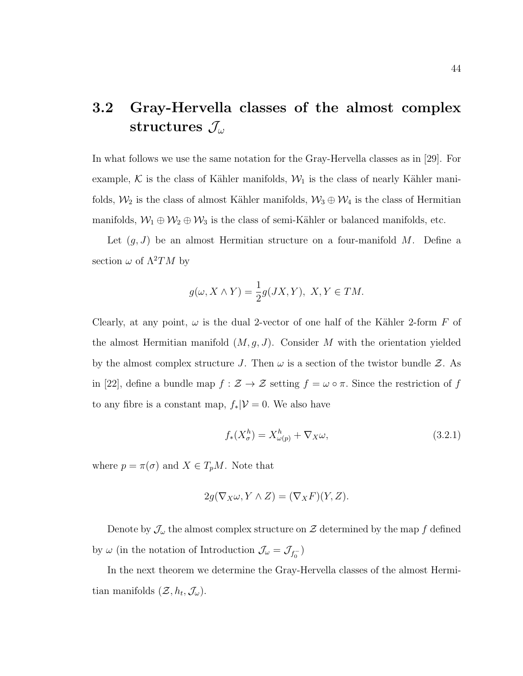### 3.2 Gray-Hervella classes of the almost complex structures  $\mathcal{J}_{\omega}$

In what follows we use the same notation for the Gray-Hervella classes as in [29]. For example, K is the class of Kähler manifolds,  $W_1$  is the class of nearly Kähler manifolds,  $\mathcal{W}_2$  is the class of almost Kähler manifolds,  $\mathcal{W}_3 \oplus \mathcal{W}_4$  is the class of Hermitian manifolds,  $W_1 \oplus W_2 \oplus W_3$  is the class of semi-Kähler or balanced manifolds, etc.

Let  $(g, J)$  be an almost Hermitian structure on a four-manifold M. Define a section  $\omega$  of  $\Lambda^2 TM$  by

$$
g(\omega, X \wedge Y) = \frac{1}{2}g(JX, Y), \ X, Y \in TM.
$$

Clearly, at any point,  $\omega$  is the dual 2-vector of one half of the Kähler 2-form F of the almost Hermitian manifold  $(M, g, J)$ . Consider M with the orientation yielded by the almost complex structure J. Then  $\omega$  is a section of the twistor bundle  $\mathcal{Z}$ . As in [22], define a bundle map  $f : \mathcal{Z} \to \mathcal{Z}$  setting  $f = \omega \circ \pi$ . Since the restriction of f to any fibre is a constant map,  $f_*|V=0$ . We also have

$$
f_*(X^h_{\sigma}) = X^h_{\omega(p)} + \nabla_X \omega,
$$
\n(3.2.1)

where  $p = \pi(\sigma)$  and  $X \in T_pM$ . Note that

$$
2g(\nabla_X \omega, Y \wedge Z) = (\nabla_X F)(Y, Z).
$$

Denote by  $\mathcal{J}_{\omega}$  the almost complex structure on  $\mathcal Z$  determined by the map f defined by  $\omega$  (in the notation of Introduction  $\mathcal{J}_{\omega} = \mathcal{J}_{f_0^-}$ )

In the next theorem we determine the Gray-Hervella classes of the almost Hermitian manifolds  $(\mathcal{Z}, h_t, \mathcal{J}_\omega)$ .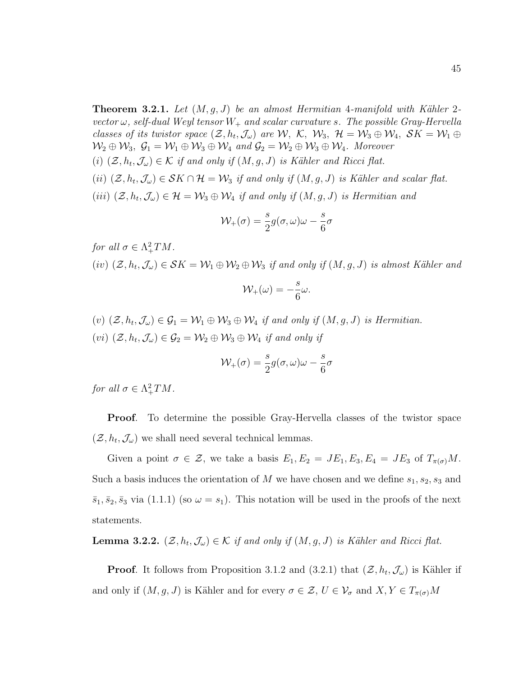**Theorem 3.2.1.** Let  $(M, q, J)$  be an almost Hermitian 4-manifold with Kähler 2vector  $\omega$ , self-dual Weyl tensor  $W_+$  and scalar curvature s. The possible Gray-Hervella classes of its twistor space  $(\mathcal{Z}, h_t, \mathcal{J}_\omega)$  are  $\mathcal{W}, \mathcal{K}, \mathcal{W}_3, \mathcal{H} = \mathcal{W}_3 \oplus \mathcal{W}_4, \mathcal{S}K = \mathcal{W}_1 \oplus$  $\mathcal{W}_2 \oplus \mathcal{W}_3$ ,  $\mathcal{G}_1 = \mathcal{W}_1 \oplus \mathcal{W}_3 \oplus \mathcal{W}_4$  and  $\mathcal{G}_2 = \mathcal{W}_2 \oplus \mathcal{W}_3 \oplus \mathcal{W}_4$ . Moreover

- (i)  $(\mathcal{Z}, h_t, \mathcal{J}_\omega) \in \mathcal{K}$  if and only if  $(M, g, J)$  is Kähler and Ricci flat.
- (ii)  $(\mathcal{Z}, h_t, \mathcal{J}_\omega) \in \mathcal{S}K \cap \mathcal{H} = \mathcal{W}_3$  if and only if  $(M, g, J)$  is Kähler and scalar flat.

(iii)  $(\mathcal{Z}, h_t, \mathcal{J}_\omega) \in \mathcal{H} = \mathcal{W}_3 \oplus \mathcal{W}_4$  if and only if  $(M, g, J)$  is Hermitian and

$$
\mathcal{W}_{+}(\sigma) = \frac{s}{2}g(\sigma,\omega)\omega - \frac{s}{6}\sigma
$$

for all  $\sigma \in \Lambda^2_+TM$ .  $(iv)$   $(\mathcal{Z}, h_t, \mathcal{J}_\omega) \in \mathcal{S}K = \mathcal{W}_1 \oplus \mathcal{W}_2 \oplus \mathcal{W}_3$  if and only if  $(M, g, J)$  is almost Kähler and

$$
\mathcal{W}_{+}(\omega) = -\frac{s}{6}\omega.
$$

 $(v)$   $(\mathcal{Z}, h_t, \mathcal{J}_\omega) \in \mathcal{G}_1 = \mathcal{W}_1 \oplus \mathcal{W}_3 \oplus \mathcal{W}_4$  if and only if  $(M, g, J)$  is Hermitian.  $(vi)$   $(\mathcal{Z}, h_t, \mathcal{J}_\omega) \in \mathcal{G}_2 = \mathcal{W}_2 \oplus \mathcal{W}_3 \oplus \mathcal{W}_4$  if and only if

$$
\mathcal{W}_{+}(\sigma) = \frac{s}{2}g(\sigma,\omega)\omega - \frac{s}{6}\sigma
$$

for all  $\sigma \in \Lambda^2_+TM$ .

Proof. To determine the possible Gray-Hervella classes of the twistor space  $(\mathcal{Z}, h_t, \mathcal{J}_{\omega})$  we shall need several technical lemmas.

Given a point  $\sigma \in \mathcal{Z}$ , we take a basis  $E_1, E_2 = JE_1, E_3, E_4 = JE_3$  of  $T_{\pi(\sigma)}M$ . Such a basis induces the orientation of M we have chosen and we define  $s_1, s_2, s_3$  and  $\bar{s}_1, \bar{s}_2, \bar{s}_3$  via (1.1.1) (so  $\omega = s_1$ ). This notation will be used in the proofs of the next statements.

**Lemma 3.2.2.**  $(\mathcal{Z}, h_t, \mathcal{J}_\omega) \in \mathcal{K}$  if and only if  $(M, g, J)$  is Kähler and Ricci flat.

**Proof.** It follows from Proposition 3.1.2 and  $(3.2.1)$  that  $(\mathcal{Z}, h_t, \mathcal{J}_\omega)$  is Kähler if and only if  $(M, g, J)$  is Kähler and for every  $\sigma \in \mathcal{Z}, U \in \mathcal{V}_{\sigma}$  and  $X, Y \in T_{\pi(\sigma)}M$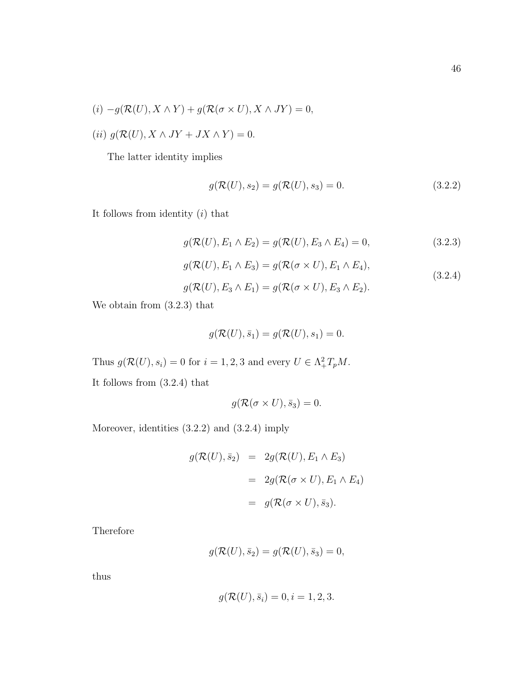$$
(i) - g(\mathcal{R}(U), X \wedge Y) + g(\mathcal{R}(\sigma \times U), X \wedge JY) = 0,
$$

$$
(ii) g(\mathcal{R}(U), X \wedge JY + JX \wedge Y) = 0.
$$

The latter identity implies

$$
g(\mathcal{R}(U), s_2) = g(\mathcal{R}(U), s_3) = 0.
$$
\n(3.2.2)

It follows from identity  $(i)$  that

$$
g(\mathcal{R}(U), E_1 \wedge E_2) = g(\mathcal{R}(U), E_3 \wedge E_4) = 0, \qquad (3.2.3)
$$

$$
g(\mathcal{R}(U), E_1 \wedge E_3) = g(\mathcal{R}(\sigma \times U), E_1 \wedge E_4),
$$
\n(3.2.4)

$$
g(\mathcal{R}(U), E_3 \wedge E_1) = g(\mathcal{R}(\sigma \times U), E_3 \wedge E_2).
$$

We obtain from (3.2.3) that

$$
g(\mathcal{R}(U), \bar{s}_1) = g(\mathcal{R}(U), s_1) = 0.
$$

Thus  $g(\mathcal{R}(U), s_i) = 0$  for  $i = 1, 2, 3$  and every  $U \in \Lambda^2_+ T_p M$ .

It follows from (3.2.4) that

$$
g(\mathcal{R}(\sigma \times U), \bar{s}_3) = 0.
$$

Moreover, identities (3.2.2) and (3.2.4) imply

$$
g(\mathcal{R}(U), \bar{s}_2) = 2g(\mathcal{R}(U), E_1 \wedge E_3)
$$
  
=  $2g(\mathcal{R}(\sigma \times U), E_1 \wedge E_4)$   
=  $g(\mathcal{R}(\sigma \times U), \bar{s}_3).$ 

Therefore

$$
g(\mathcal{R}(U), \bar{s}_2) = g(\mathcal{R}(U), \bar{s}_3) = 0,
$$

thus

$$
g(\mathcal{R}(U), \bar{s}_i) = 0, i = 1, 2, 3.
$$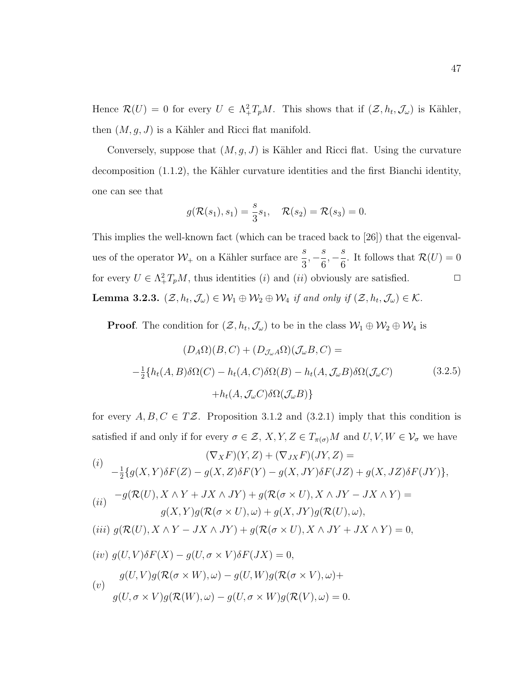Hence  $\mathcal{R}(U) = 0$  for every  $U \in \Lambda^2_+ T_p M$ . This shows that if  $(\mathcal{Z}, h_t, \mathcal{J}_{\omega})$  is Kähler, then  $(M, g, J)$  is a Kähler and Ricci flat manifold.

Conversely, suppose that  $(M, g, J)$  is Kähler and Ricci flat. Using the curvature decomposition  $(1.1.2)$ , the Kähler curvature identities and the first Bianchi identity, one can see that

$$
g(\mathcal{R}(s_1), s_1) = \frac{s}{3} s_1, \quad \mathcal{R}(s_2) = \mathcal{R}(s_3) = 0.
$$

This implies the well-known fact (which can be traced back to [26]) that the eigenvalues of the operator  $\mathcal{W}_+$  on a Kähler surface are  $\frac{s}{3}$  $, -\frac{s}{a}$ 6  $, -\frac{s}{s}$ 6 . It follows that  $\mathcal{R}(U) = 0$ for every  $U \in \Lambda^2_+ T_p M$ , thus identities (*i*) and (*ii*) obviously are satisfied.  $\Box$ **Lemma 3.2.3.**  $(\mathcal{Z}, h_t, \mathcal{J}_\omega) \in \mathcal{W}_1 \oplus \mathcal{W}_2 \oplus \mathcal{W}_4$  if and only if  $(\mathcal{Z}, h_t, \mathcal{J}_\omega) \in \mathcal{K}$ .

**Proof.** The condition for  $(\mathcal{Z}, h_t, \mathcal{J}_\omega)$  to be in the class  $\mathcal{W}_1 \oplus \mathcal{W}_2 \oplus \mathcal{W}_4$  is

$$
(D_A \Omega)(B, C) + (D_{\mathcal{J}_{\omega}A} \Omega)(\mathcal{J}_{\omega}B, C) =
$$
  

$$
-\frac{1}{2} \{h_t(A, B)\delta\Omega(C) - h_t(A, C)\delta\Omega(B) - h_t(A, \mathcal{J}_{\omega}B)\delta\Omega(\mathcal{J}_{\omega}C)
$$
(3.2.5)  

$$
+h_t(A, \mathcal{J}_{\omega}C)\delta\Omega(\mathcal{J}_{\omega}B)\}
$$

for every  $A, B, C \in T\mathcal{Z}$ . Proposition 3.1.2 and (3.2.1) imply that this condition is satisfied if and only if for every  $\sigma \in \mathcal{Z}, X, Y, Z \in T_{\pi(\sigma)}M$  and  $U, V, W \in \mathcal{V}_{\sigma}$  we have

$$
(\nabla_X F)(Y, Z) + (\nabla_{JX} F)(JY, Z) =
$$
  
\n
$$
- \frac{1}{2} \{ g(X, Y) \delta F(Z) - g(X, Z) \delta F(Y) - g(X, JY) \delta F(JZ) + g(X, JZ) \delta F(JY) \},
$$
  
\n
$$
(ii) \quad -g(\mathcal{R}(U), X \wedge Y + JX \wedge JY) + g(\mathcal{R}(\sigma \times U), X \wedge JY - JX \wedge Y) =
$$
  
\n
$$
g(X, Y)g(\mathcal{R}(\sigma \times U), \omega) + g(X, JY)g(\mathcal{R}(U), \omega),
$$
  
\n
$$
(iii) \quad g(\mathcal{R}(U), X \wedge Y - JX \wedge JY) + g(\mathcal{R}(\sigma \times U), X \wedge JY + JX \wedge Y) = 0,
$$
  
\n
$$
(iv) \quad g(U, V) \delta F(X) - g(U, \sigma \times V) \delta F(JX) = 0,
$$
  
\n
$$
g(U, V)g(\mathcal{R}(\sigma \times W), \omega) - g(U, W)g(\mathcal{R}(\sigma \times V), \omega) +
$$
  
\n
$$
g(U, \sigma \times V)g(\mathcal{R}(W), \omega) - g(U, \sigma \times W)g(\mathcal{R}(V), \omega) = 0.
$$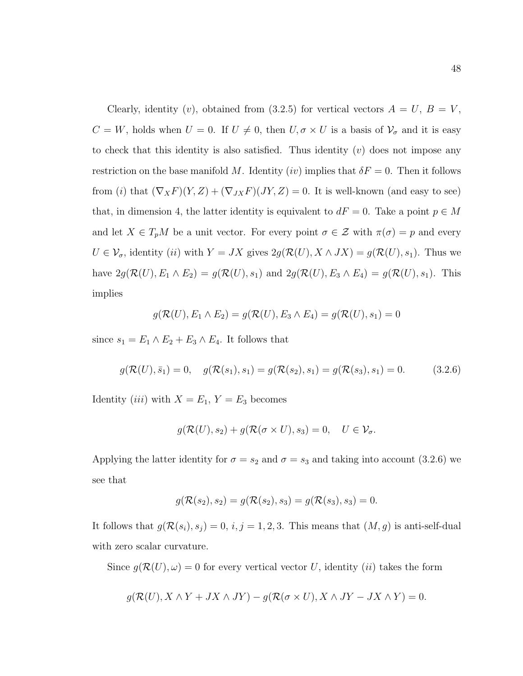Clearly, identity (v), obtained from (3.2.5) for vertical vectors  $A = U, B = V$ ,  $C = W$ , holds when  $U = 0$ . If  $U \neq 0$ , then  $U, \sigma \times U$  is a basis of  $V_{\sigma}$  and it is easy to check that this identity is also satisfied. Thus identity  $(v)$  does not impose any restriction on the base manifold M. Identity (iv) implies that  $\delta F = 0$ . Then it follows from (i) that  $(\nabla_X F)(Y, Z) + (\nabla_{JX} F)(JY, Z) = 0$ . It is well-known (and easy to see) that, in dimension 4, the latter identity is equivalent to  $dF = 0$ . Take a point  $p \in M$ and let  $X \in T_pM$  be a unit vector. For every point  $\sigma \in \mathcal{Z}$  with  $\pi(\sigma) = p$  and every  $U \in \mathcal{V}_{\sigma}$ , identity (*ii*) with  $Y = JX$  gives  $2g(\mathcal{R}(U), X \wedge JX) = g(\mathcal{R}(U), s_1)$ . Thus we have  $2g(\mathcal{R}(U), E_1 \wedge E_2) = g(\mathcal{R}(U), s_1)$  and  $2g(\mathcal{R}(U), E_3 \wedge E_4) = g(\mathcal{R}(U), s_1)$ . This implies

$$
g(\mathcal{R}(U), E_1 \wedge E_2) = g(\mathcal{R}(U), E_3 \wedge E_4) = g(\mathcal{R}(U), s_1) = 0
$$

since  $s_1 = E_1 \wedge E_2 + E_3 \wedge E_4$ . It follows that

$$
g(\mathcal{R}(U), \bar{s}_1) = 0, \quad g(\mathcal{R}(s_1), s_1) = g(\mathcal{R}(s_2), s_1) = g(\mathcal{R}(s_3), s_1) = 0. \tag{3.2.6}
$$

Identity *(iii)* with  $X = E_1$ ,  $Y = E_3$  becomes

$$
g(\mathcal{R}(U), s_2) + g(\mathcal{R}(\sigma \times U), s_3) = 0, \quad U \in \mathcal{V}_\sigma.
$$

Applying the latter identity for  $\sigma = s_2$  and  $\sigma = s_3$  and taking into account (3.2.6) we see that

$$
g(\mathcal{R}(s_2), s_2) = g(\mathcal{R}(s_2), s_3) = g(\mathcal{R}(s_3), s_3) = 0.
$$

It follows that  $g(\mathcal{R}(s_i), s_j) = 0, i, j = 1, 2, 3$ . This means that  $(M, g)$  is anti-self-dual with zero scalar curvature.

Since  $g(\mathcal{R}(U), \omega) = 0$  for every vertical vector U, identity *(ii)* takes the form

$$
g(\mathcal{R}(U), X \wedge Y + JX \wedge JY) - g(\mathcal{R}(\sigma \times U), X \wedge JY - JX \wedge Y) = 0.
$$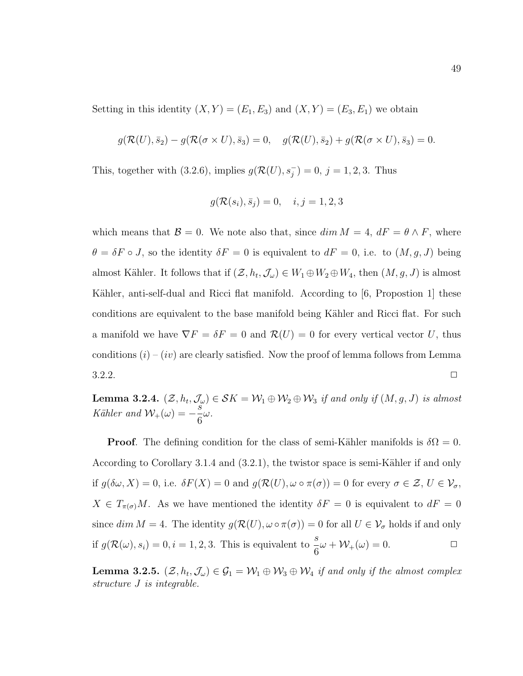Setting in this identity  $(X, Y) = (E_1, E_3)$  and  $(X, Y) = (E_3, E_1)$  we obtain

$$
g(\mathcal{R}(U),\bar{s}_2)-g(\mathcal{R}(\sigma\times U),\bar{s}_3)=0, \quad g(\mathcal{R}(U),\bar{s}_2)+g(\mathcal{R}(\sigma\times U),\bar{s}_3)=0.
$$

This, together with (3.2.6), implies  $g(\mathcal{R}(U), s_j^-) = 0$ ,  $j = 1, 2, 3$ . Thus

$$
g(\mathcal{R}(s_i), \bar{s}_j) = 0, \quad i, j = 1, 2, 3
$$

which means that  $\mathcal{B} = 0$ . We note also that, since  $\dim M = 4$ ,  $dF = \theta \wedge F$ , where  $\theta = \delta F \circ J$ , so the identity  $\delta F = 0$  is equivalent to  $dF = 0$ , i.e. to  $(M, g, J)$  being almost Kähler. It follows that if  $(\mathcal{Z}, h_t, \mathcal{J}_\omega) \in W_1 \oplus W_2 \oplus W_4$ , then  $(M, g, J)$  is almost Kähler, anti-self-dual and Ricci flat manifold. According to  $[6,$  Propostion 1 these conditions are equivalent to the base manifold being Kähler and Ricci flat. For such a manifold we have  $\nabla F = \delta F = 0$  and  $\mathcal{R}(U) = 0$  for every vertical vector U, thus conditions  $(i) - (iv)$  are clearly satisfied. Now the proof of lemma follows from Lemma  $3.2.2.$ 

**Lemma 3.2.4.**  $(\mathcal{Z}, h_t, \mathcal{J}_\omega) \in \mathcal{S}K = \mathcal{W}_1 \oplus \mathcal{W}_2 \oplus \mathcal{W}_3$  if and only if  $(M, g, J)$  is almost  $K\ddot{\mathbf{a}}\text{hler and }\mathcal{W}_+(\omega)=-\frac{s}{c}$ 6 ω.

**Proof.** The defining condition for the class of semi-Kähler manifolds is  $\delta\Omega = 0$ . According to Corollary 3.1.4 and  $(3.2.1)$ , the twistor space is semi-Kähler if and only if  $g(\delta\omega, X) = 0$ , i.e.  $\delta F(X) = 0$  and  $g(\mathcal{R}(U), \omega \circ \pi(\sigma)) = 0$  for every  $\sigma \in \mathcal{Z}, U \in \mathcal{V}_{\sigma}$ ,  $X \in T_{\pi(\sigma)}M$ . As we have mentioned the identity  $\delta F = 0$  is equivalent to  $dF = 0$ since  $\dim M = 4$ . The identity  $g(\mathcal{R}(U), \omega \circ \pi(\sigma)) = 0$  for all  $U \in \mathcal{V}_{\sigma}$  holds if and only if  $g(\mathcal{R}(\omega), s_i) = 0, i = 1, 2, 3$ . This is equivalent to  $\frac{s}{6}\omega + \mathcal{W}_+(\omega) = 0$ .

**Lemma 3.2.5.**  $(\mathcal{Z}, h_t, \mathcal{J}_\omega) \in \mathcal{G}_1 = \mathcal{W}_1 \oplus \mathcal{W}_3 \oplus \mathcal{W}_4$  if and only if the almost complex structure J is integrable.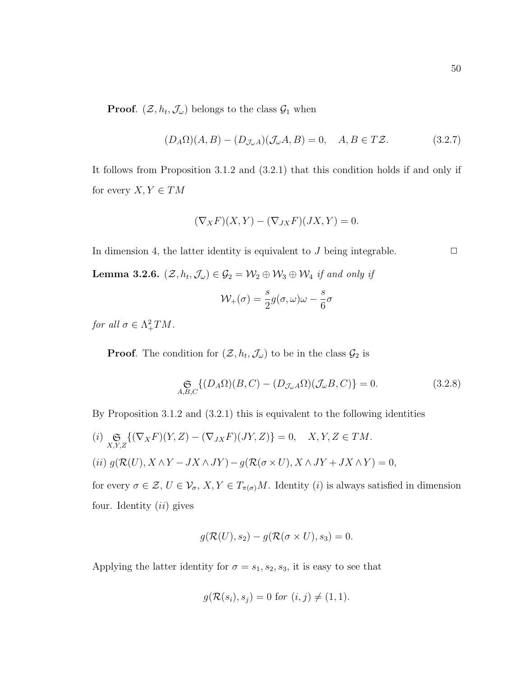**Proof.**  $(\mathcal{Z}, h_t, \mathcal{J}_\omega)$  belongs to the class  $\mathcal{G}_1$  when

$$
(D_A \Omega)(A, B) - (D_{\mathcal{J}\omega}A)(\mathcal{J}\omega A, B) = 0, \quad A, B \in T\mathcal{Z}.
$$
 (3.2.7)

It follows from Proposition 3.1.2 and (3.2.1) that this condition holds if and only if for every  $X, Y \in TM$ 

$$
(\nabla_X F)(X, Y) - (\nabla_{JX} F)(JX, Y) = 0.
$$

In dimension 4, the latter identity is equivalent to J being integrable.  $\Box$ 

**Lemma 3.2.6.**  $(\mathcal{Z}, h_t, \mathcal{J}_\omega) \in \mathcal{G}_2 = \mathcal{W}_2 \oplus \mathcal{W}_3 \oplus \mathcal{W}_4$  if and only if

$$
\mathcal{W}_+(\sigma) = \frac{s}{2}g(\sigma,\omega)\omega - \frac{s}{6}\sigma
$$

for all  $\sigma \in \Lambda^2_+TM$ .

**Proof.** The condition for  $(\mathcal{Z}, h_t, \mathcal{J}_\omega)$  to be in the class  $\mathcal{G}_2$  is

$$
\underset{A,B,C}{\mathfrak{S}}\{(D_A\Omega)(B,C) - (D_{\mathcal{J}_{\omega}A}\Omega)(\mathcal{J}_{\omega}B,C)\} = 0.
$$
\n(3.2.8)

By Proposition 3.1.2 and (3.2.1) this is equivalent to the following identities

 $(i) \mathop{\mathfrak{S}}_{X,Y,Z} \{ (\nabla_X F)(Y,Z) - (\nabla_{JX} F)(JY,Z) \} = 0, \quad X,Y,Z \in TM.$ (ii)  $g(\mathcal{R}(U), X \wedge Y - JX \wedge JY) - g(\mathcal{R}(\sigma \times U), X \wedge JY + JX \wedge Y) = 0,$ 

for every  $\sigma \in \mathcal{Z}, U \in \mathcal{V}_{\sigma}, X, Y \in T_{\pi(\sigma)}M$ . Identity (*i*) is always satisfied in dimension four. Identity  $(ii)$  gives

$$
g(\mathcal{R}(U), s_2) - g(\mathcal{R}(\sigma \times U), s_3) = 0.
$$

Applying the latter identity for  $\sigma = s_1, s_2, s_3$ , it is easy to see that

$$
g(\mathcal{R}(s_i), s_j) = 0 \text{ for } (i, j) \neq (1, 1).
$$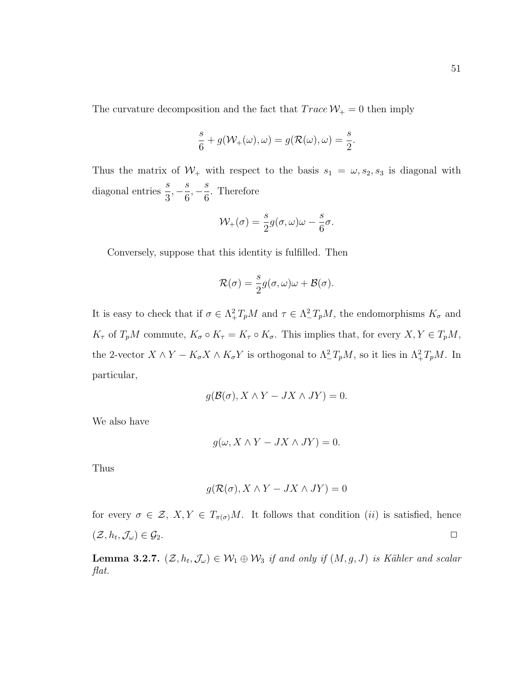The curvature decomposition and the fact that  $Trace W_+ = 0$  then imply

$$
\frac{s}{6} + g(\mathcal{W}_+(\omega), \omega) = g(\mathcal{R}(\omega), \omega) = \frac{s}{2}.
$$

Thus the matrix of  $W_+$  with respect to the basis  $s_1 = \omega, s_2, s_3$  is diagonal with diagonal entries  $\frac{s}{2}$ 3  $, -\frac{s}{c}$ 6  $, -\frac{s}{c}$ 6 . Therefore

$$
\mathcal{W}_{+}(\sigma) = \frac{s}{2}g(\sigma,\omega)\omega - \frac{s}{6}\sigma.
$$

Conversely, suppose that this identity is fulfilled. Then

$$
\mathcal{R}(\sigma) = \frac{s}{2}g(\sigma,\omega)\omega + \mathcal{B}(\sigma).
$$

It is easy to check that if  $\sigma \in \Lambda^2_+ T_p M$  and  $\tau \in \Lambda^2_- T_p M$ , the endomorphisms  $K_{\sigma}$  and  $K_{\tau}$  of  $T_pM$  commute,  $K_{\sigma} \circ K_{\tau} = K_{\tau} \circ K_{\sigma}$ . This implies that, for every  $X, Y \in T_pM$ , the 2-vector  $X \wedge Y - K_{\sigma} X \wedge K_{\sigma} Y$  is orthogonal to  $\Lambda^2_- T_p M$ , so it lies in  $\Lambda^2_+ T_p M$ . In particular,

$$
g(\mathcal{B}(\sigma), X \wedge Y - JX \wedge JY) = 0.
$$

We also have

$$
g(\omega, X \wedge Y - JX \wedge JY) = 0.
$$

Thus

$$
g(\mathcal{R}(\sigma),X\wedge Y - JX\wedge JY) = 0
$$

for every  $\sigma \in \mathcal{Z}, X, Y \in T_{\pi(\sigma)}M$ . It follows that condition (*ii*) is satisfied, hence  $(\mathcal{Z}, h_t, \mathcal{J}_\omega) \in \mathcal{G}_2.$ 

**Lemma 3.2.7.**  $(\mathcal{Z}, h_t, \mathcal{J}_\omega) \in \mathcal{W}_1 \oplus \mathcal{W}_3$  if and only if  $(M, g, J)$  is Kähler and scalar flat.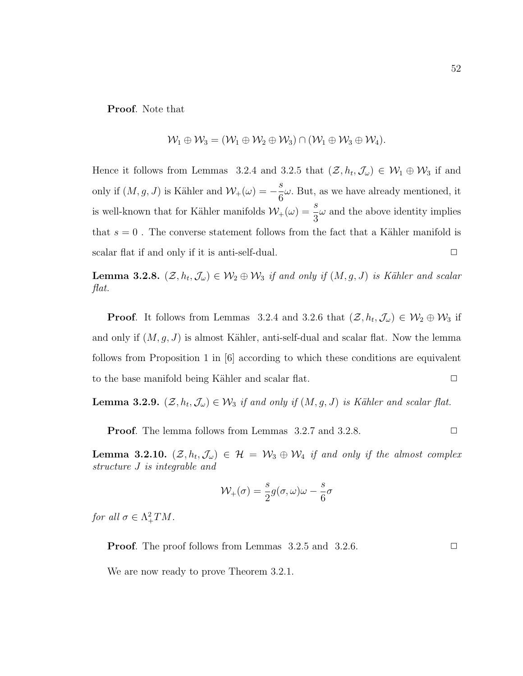Proof. Note that

$$
\mathcal{W}_1 \oplus \mathcal{W}_3 = (\mathcal{W}_1 \oplus \mathcal{W}_2 \oplus \mathcal{W}_3) \cap (\mathcal{W}_1 \oplus \mathcal{W}_3 \oplus \mathcal{W}_4).
$$

Hence it follows from Lemmas 3.2.4 and 3.2.5 that  $(\mathcal{Z}, h_t, \mathcal{J}_\omega) \in \mathcal{W}_1 \oplus \mathcal{W}_3$  if and only if  $(M, g, J)$  is Kähler and  $\mathcal{W}_+(\omega) = -\frac{s}{c}$ 6  $\omega$ . But, as we have already mentioned, it is well-known that for Kähler manifolds  $W_+(\omega) = \frac{s}{3}$  $\omega$  and the above identity implies that  $s = 0$ . The converse statement follows from the fact that a Kähler manifold is scalar flat if and only if it is anti-self-dual.  $\Box$ 

**Lemma 3.2.8.**  $(\mathcal{Z}, h_t, \mathcal{J}_\omega) \in \mathcal{W}_2 \oplus \mathcal{W}_3$  if and only if  $(M, g, J)$  is Kähler and scalar flat.

**Proof.** It follows from Lemmas 3.2.4 and 3.2.6 that  $(\mathcal{Z}, h_t, \mathcal{J}_\omega) \in \mathcal{W}_2 \oplus \mathcal{W}_3$  if and only if  $(M, g, J)$  is almost Kähler, anti-self-dual and scalar flat. Now the lemma follows from Proposition 1 in [6] according to which these conditions are equivalent to the base manifold being Kähler and scalar flat.  $\Box$ 

**Lemma 3.2.9.**  $(\mathcal{Z}, h_t, \mathcal{J}_\omega) \in \mathcal{W}_3$  if and only if  $(M, g, J)$  is Kähler and scalar flat.

**Proof.** The lemma follows from Lemmas  $3.2.7$  and  $3.2.8$ .

**Lemma 3.2.10.**  $(\mathcal{Z}, h_t, \mathcal{J}_\omega) \in \mathcal{H} = \mathcal{W}_3 \oplus \mathcal{W}_4$  if and only if the almost complex structure J is integrable and

$$
\mathcal{W}_+(\sigma) = \frac{s}{2}g(\sigma,\omega)\omega - \frac{s}{6}\sigma
$$

for all  $\sigma \in \Lambda^2_+TM$ .

**Proof.** The proof follows from Lemmas  $3.2.5$  and  $3.2.6$ .  $\Box$ 

We are now ready to prove Theorem 3.2.1.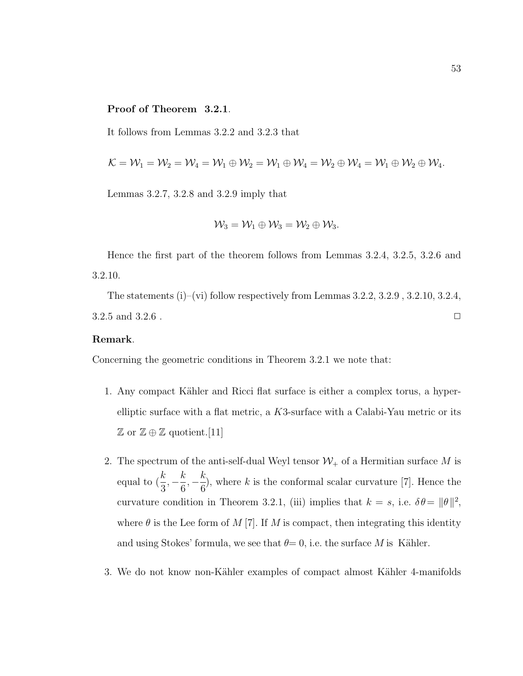### Proof of Theorem 3.2.1.

It follows from Lemmas 3.2.2 and 3.2.3 that

$$
\mathcal{K}=\mathcal{W}_1=\mathcal{W}_2=\mathcal{W}_4=\mathcal{W}_1\oplus \mathcal{W}_2=\mathcal{W}_1\oplus \mathcal{W}_4=\mathcal{W}_2\oplus \mathcal{W}_4=\mathcal{W}_1\oplus \mathcal{W}_2\oplus \mathcal{W}_4.
$$

Lemmas 3.2.7, 3.2.8 and 3.2.9 imply that

$$
\mathcal{W}_3=\mathcal{W}_1\oplus \mathcal{W}_3=\mathcal{W}_2\oplus \mathcal{W}_3.
$$

Hence the first part of the theorem follows from Lemmas 3.2.4, 3.2.5, 3.2.6 and 3.2.10.

The statements (i)–(vi) follow respectively from Lemmas  $3.2.2$ ,  $3.2.9$ ,  $3.2.10$ ,  $3.2.4$ ,  $3.2.5$  and  $3.2.6$ .

#### Remark.

Concerning the geometric conditions in Theorem 3.2.1 we note that:

- 1. Any compact Kähler and Ricci flat surface is either a complex torus, a hyperelliptic surface with a flat metric, a K3-surface with a Calabi-Yau metric or its  $\mathbb{Z}$  or  $\mathbb{Z} \oplus \mathbb{Z}$  quotient. [11]
- 2. The spectrum of the anti-self-dual Weyl tensor  $\mathcal{W}_+$  of a Hermitian surface  $M$  is equal to ( k 3  $, -\frac{k}{c}$ 6  $, -\frac{k}{c}$ 6 ), where  $k$  is the conformal scalar curvature  $[7]$ . Hence the curvature condition in Theorem 3.2.1, (iii) implies that  $k = s$ , i.e.  $\delta \theta = ||\theta||^2$ , where  $\theta$  is the Lee form of M [7]. If M is compact, then integrating this identity and using Stokes' formula, we see that  $\theta = 0$ , i.e. the surface M is Kähler.
- 3. We do not know non-Kähler examples of compact almost Kähler 4-manifolds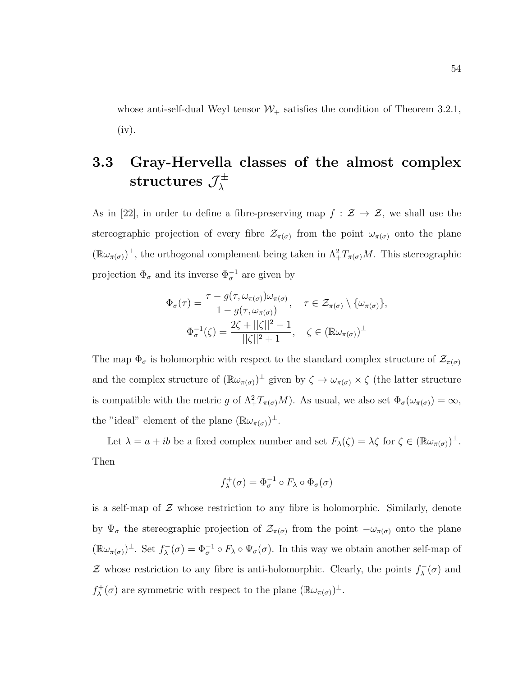whose anti-self-dual Weyl tensor  $W_+$  satisfies the condition of Theorem 3.2.1, (iv).

### 3.3 Gray-Hervella classes of the almost complex  ${\rm structures\ }{\mathcal J}^\pm_\lambda$ λ

As in [22], in order to define a fibre-preserving map  $f : \mathcal{Z} \to \mathcal{Z}$ , we shall use the stereographic projection of every fibre  $\mathcal{Z}_{\pi(\sigma)}$  from the point  $\omega_{\pi(\sigma)}$  onto the plane  $(\mathbb{R}\omega_{\pi(\sigma)})^{\perp}$ , the orthogonal complement being taken in  $\Lambda^2_+T_{\pi(\sigma)}M$ . This stereographic projection  $\Phi_{\sigma}$  and its inverse  $\Phi_{\sigma}^{-1}$  are given by

$$
\Phi_{\sigma}(\tau) = \frac{\tau - g(\tau, \omega_{\pi(\sigma)})\omega_{\pi(\sigma)}}{1 - g(\tau, \omega_{\pi(\sigma)})}, \quad \tau \in \mathcal{Z}_{\pi(\sigma)} \setminus \{\omega_{\pi(\sigma)}\},
$$

$$
\Phi_{\sigma}^{-1}(\zeta) = \frac{2\zeta + ||\zeta||^2 - 1}{||\zeta||^2 + 1}, \quad \zeta \in (\mathbb{R}\omega_{\pi(\sigma)})^{\perp}
$$

The map  $\Phi_{\sigma}$  is holomorphic with respect to the standard complex structure of  $\mathcal{Z}_{\pi(\sigma)}$ and the complex structure of  $(\mathbb{R}\omega_{\pi(\sigma)})^{\perp}$  given by  $\zeta \to \omega_{\pi(\sigma)} \times \zeta$  (the latter structure is compatible with the metric g of  $\Lambda^2_+ T_{\pi(\sigma)} M$ ). As usual, we also set  $\Phi_{\sigma}(\omega_{\pi(\sigma)}) = \infty$ , the "ideal" element of the plane  $(\mathbb{R}\omega_{\pi(\sigma)})^{\perp}$ .

Let  $\lambda = a + ib$  be a fixed complex number and set  $F_{\lambda}(\zeta) = \lambda \zeta$  for  $\zeta \in (\mathbb{R}\omega_{\pi(\sigma)})^{\perp}$ . Then

$$
f_\lambda^+(\sigma)=\Phi_\sigma^{-1}\circ F_\lambda\circ\Phi_\sigma(\sigma)
$$

is a self-map of  $\mathcal Z$  whose restriction to any fibre is holomorphic. Similarly, denote by  $\Psi_{\sigma}$  the stereographic projection of  $\mathcal{Z}_{\pi(\sigma)}$  from the point  $-\omega_{\pi(\sigma)}$  onto the plane  $(\mathbb{R}\omega_{\pi(\sigma)})^{\perp}$ . Set  $f_{\lambda}^{-}$  $\chi^-(\sigma) = \Phi_{\sigma}^{-1} \circ F_{\lambda} \circ \Psi_{\sigma}(\sigma)$ . In this way we obtain another self-map of Z whose restriction to any fibre is anti-holomorphic. Clearly, the points  $f_{\lambda}^ \lambda(\sigma)$  and  $f_{\lambda}^+$  $\chi^+(\sigma)$  are symmetric with respect to the plane  $(\mathbb{R}\omega_{\pi(\sigma)})^{\perp}$ .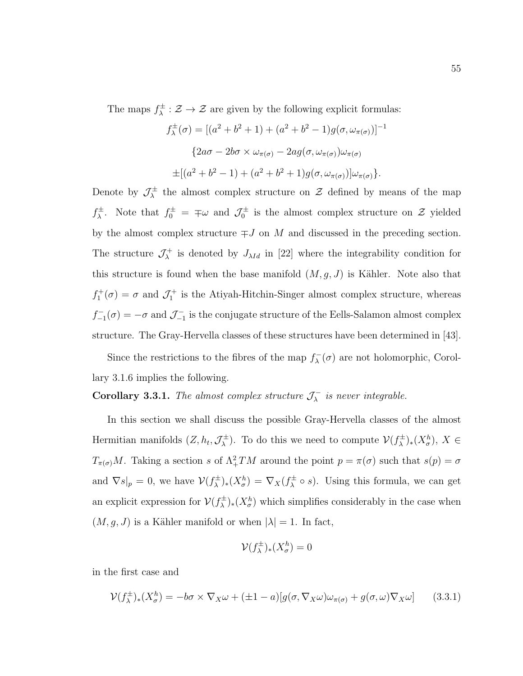The maps  $f^{\pm}_{\lambda}$  $\chi^{\pm}$ :  $\mathcal{Z} \to \mathcal{Z}$  are given by the following explicit formulas:

$$
f_{\lambda}^{\pm}(\sigma) = [(a^2 + b^2 + 1) + (a^2 + b^2 - 1)g(\sigma, \omega_{\pi(\sigma)})]^{-1}
$$

$$
\{2a\sigma - 2b\sigma \times \omega_{\pi(\sigma)} - 2ag(\sigma, \omega_{\pi(\sigma)})\omega_{\pi(\sigma)}
$$

$$
\pm [(a^2 + b^2 - 1) + (a^2 + b^2 + 1)g(\sigma, \omega_{\pi(\sigma)})]\omega_{\pi(\sigma)}\}.
$$

Denote by  $\mathcal{J}_{\lambda}^{\pm}$  $\chi^{\pm}$  the almost complex structure on  $\mathcal{Z}$  defined by means of the map  $f^{\pm}_{\lambda}$  $\lambda^{\pm}$ . Note that  $f_0^{\pm} = \pm \omega$  and  $\mathcal{J}_0^{\pm}$  is the almost complex structure on  $\mathcal{Z}$  yielded by the almost complex structure  $\mp J$  on M and discussed in the preceding section. The structure  $\mathcal{J}^+_\lambda$  $\lambda^+$  is denoted by  $J_{\lambda Id}$  in [22] where the integrability condition for this structure is found when the base manifold  $(M, g, J)$  is Kähler. Note also that  $f_1^+(\sigma) = \sigma$  and  $\mathcal{J}_1^+$  is the Atiyah-Hitchin-Singer almost complex structure, whereas  $f_{-1}^-(\sigma) = -\sigma$  and  $\mathcal{J}_{-1}^-$  is the conjugate structure of the Eells-Salamon almost complex structure. The Gray-Hervella classes of these structures have been determined in [43].

Since the restrictions to the fibres of the map  $f_{\lambda}^ \lambda(\sigma)$  are not holomorphic, Corollary 3.1.6 implies the following.

Corollary 3.3.1. The almost complex structure  $\mathcal{J}_\lambda^ \bar{\lambda}$  is never integrable.

In this section we shall discuss the possible Gray-Hervella classes of the almost Hermitian manifolds  $(Z, h_t, \mathcal{J}_\lambda^{\pm})$  $(\chi^{\pm})$ . To do this we need to compute  $\mathcal{V}(f^{\pm}_{\lambda})$  $(\mathfrak{X}^h_{\sigma})_* (X_{\sigma}^h), X \in$  $T_{\pi(\sigma)}M$ . Taking a section s of  $\Lambda^2_+TM$  around the point  $p = \pi(\sigma)$  such that  $s(p) = \sigma$ and  $\nabla s|_p = 0$ , we have  $\mathcal{V}(f^{\pm}_{\lambda})$  $(\mathcal{X}_{\sigma}^{\pm})_{*}(X_{\sigma}^{h}) = \nabla_{X}(f_{\lambda}^{\pm})$  $\chi^{\pm} \circ s$ ). Using this formula, we can get an explicit expression for  $V(f_{\lambda}^{\pm})$  $(\frac{1}{\lambda})_*(X^h_{\sigma})$  which simplifies considerably in the case when  $(M, g, J)$  is a Kähler manifold or when  $|\lambda| = 1$ . In fact,

$$
\mathcal{V}(f_{\lambda}^{\pm})_{*}(X_{\sigma}^{h})=0
$$

in the first case and

$$
\mathcal{V}(f_{\lambda}^{\pm})_{*}(X_{\sigma}^{h}) = -b\sigma \times \nabla_{X}\omega + (\pm 1 - a)[g(\sigma, \nabla_{X}\omega)\omega_{\pi(\sigma)} + g(\sigma, \omega)\nabla_{X}\omega] \qquad (3.3.1)
$$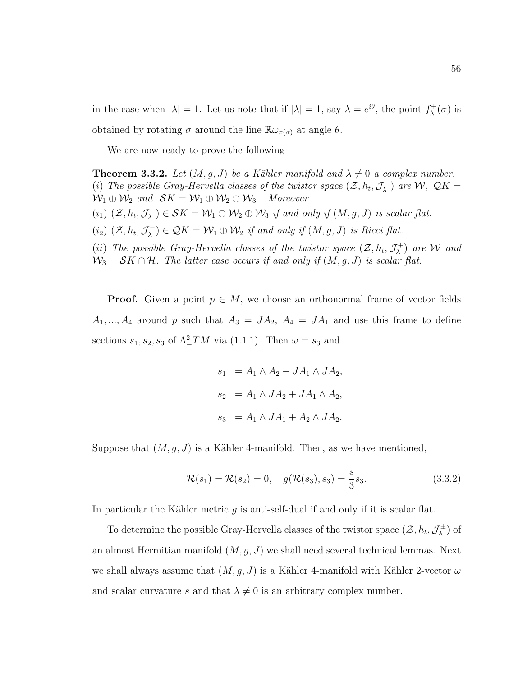in the case when  $|\lambda| = 1$ . Let us note that if  $|\lambda| = 1$ , say  $\lambda = e^{i\theta}$ , the point  $f_{\lambda}^{+}$  $\chi^+_{\lambda}(\sigma)$  is obtained by rotating  $\sigma$  around the line  $\mathbb{R}\omega_{\pi(\sigma)}$  at angle  $\theta$ .

We are now ready to prove the following

**Theorem 3.3.2.** Let  $(M, q, J)$  be a Kähler manifold and  $\lambda \neq 0$  a complex number. (i) The possible Gray-Hervella classes of the twistor space  $(\mathcal{Z}, h_t, \mathcal{J}_\lambda^-)$  $(\lambda)^{-}$  are  $\mathcal{W}, \ \mathcal{Q}K =$  $\mathcal{W}_1 \oplus \mathcal{W}_2$  and  $\mathcal{S}K = \mathcal{W}_1 \oplus \mathcal{W}_2 \oplus \mathcal{W}_3$ . Moreover  $(i_1)$   $(\mathcal{Z}, h_t, \mathcal{J}_\lambda^-)$  $(\mathcal{S}_\lambda^-) \in \mathcal{S}K = \mathcal{W}_1 \oplus \mathcal{W}_2 \oplus \mathcal{W}_3$  if and only if  $(M, g, J)$  is scalar flat.  $(i_2)$   $(\mathcal{Z}, h_t, \mathcal{J}_\lambda^-)$  $(\mathcal{L}_\lambda^-) \in \mathcal{Q}K = \mathcal{W}_1 \oplus \mathcal{W}_2$  if and only if  $(M, g, J)$  is Ricci flat. (ii) The possible Gray-Hervella classes of the twistor space  $(\mathcal{Z}, h_t, \mathcal{J}^+_\lambda)$  $(\lambda^+_{\lambda})$  are  ${\cal W}$  and  $\mathcal{W}_3 = \mathcal{S}K \cap \mathcal{H}$ . The latter case occurs if and only if  $(M, g, J)$  is scalar flat.

**Proof.** Given a point  $p \in M$ , we choose an orthonormal frame of vector fields  $A_1, ..., A_4$  around p such that  $A_3 = JA_2$ ,  $A_4 = JA_1$  and use this frame to define sections  $s_1, s_2, s_3$  of  $\Lambda^2_+TM$  via (1.1.1). Then  $\omega = s_3$  and

$$
s_1 = A_1 \wedge A_2 - JA_1 \wedge JA_2,
$$
  
\n
$$
s_2 = A_1 \wedge JA_2 + JA_1 \wedge A_2,
$$
  
\n
$$
s_3 = A_1 \wedge JA_1 + A_2 \wedge JA_2.
$$

Suppose that  $(M, g, J)$  is a Kähler 4-manifold. Then, as we have mentioned,

$$
\mathcal{R}(s_1) = \mathcal{R}(s_2) = 0, \quad g(\mathcal{R}(s_3), s_3) = \frac{s}{3} s_3.
$$
 (3.3.2)

In particular the Kähler metric g is anti-self-dual if and only if it is scalar flat.

To determine the possible Gray-Hervella classes of the twistor space  $(\mathcal{Z}, h_t, \mathcal{J}_\lambda^{\pm})$  $\binom{4}{\lambda}$  of an almost Hermitian manifold  $(M, g, J)$  we shall need several technical lemmas. Next we shall always assume that  $(M, g, J)$  is a Kähler 4-manifold with Kähler 2-vector  $\omega$ and scalar curvature s and that  $\lambda \neq 0$  is an arbitrary complex number.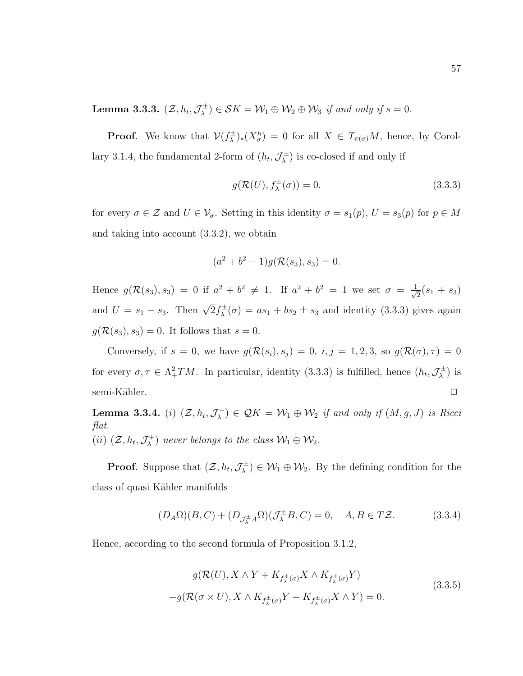Lemma 3.3.3.  $(\mathcal{Z}, h_t, \mathcal{J}^\pm_\lambda)$  $(\mathcal{S}_\lambda^{\pm}) \in \mathcal{S}K = \mathcal{W}_1 \oplus \mathcal{W}_2 \oplus \mathcal{W}_3$  if and only if  $s = 0$ .

**Proof.** We know that  $V(f_{\lambda}^{\pm})$  $(\lambda^{\pm})_*(X^h_{\sigma}) = 0$  for all  $X \in T_{\pi(\sigma)}M$ , hence, by Corollary 3.1.4, the fundamental 2-form of  $(h_t, \mathcal{J}_\lambda^{\pm})$  $\chi^{\pm}$ ) is co-closed if and only if

$$
g(\mathcal{R}(U), f_{\lambda}^{\pm}(\sigma)) = 0.
$$
\n(3.3.3)

for every  $\sigma \in \mathcal{Z}$  and  $U \in \mathcal{V}_{\sigma}$ . Setting in this identity  $\sigma = s_1(p)$ ,  $U = s_3(p)$  for  $p \in M$ and taking into account (3.3.2), we obtain

$$
(a2 + b2 - 1)g(\mathcal{R}(s_3), s_3) = 0.
$$

Hence  $g(\mathcal{R}(s_3), s_3) = 0$  if  $a^2 + b^2 \neq 1$ . If  $a^2 + b^2 = 1$  we set  $\sigma = \frac{1}{\sqrt{3}}$  $\frac{1}{2}(s_1 + s_3)$ and  $U = s_1 - s_3$ . Then  $\sqrt{2} f_{\lambda}^{\pm}$  $\chi^{\pm}(\sigma) = as_1 + bs_2 \pm s_3$  and identity (3.3.3) gives again  $g(\mathcal{R}(s_3), s_3) = 0$ . It follows that  $s = 0$ .

Conversely, if  $s = 0$ , we have  $g(\mathcal{R}(s_i), s_j) = 0$ ,  $i, j = 1, 2, 3$ , so  $g(\mathcal{R}(\sigma), \tau) = 0$ for every  $\sigma, \tau \in \Lambda^2_+TM$ . In particular, identity (3.3.3) is fulfilled, hence  $(h_t, \mathcal{J}^{\pm}_{\lambda})$  $\binom{+}{\lambda}$  is semi-Kähler.  $\Box$ 

Lemma 3.3.4. (*i*)  $(\mathcal{Z}, h_t, \mathcal{J}_\lambda^-)$  $(\mathcal{L}_{\lambda}) \in \mathcal{Q}K = \mathcal{W}_1 \oplus \mathcal{W}_2$  if and only if  $(M, g, J)$  is Ricci flat.  $(ii)$   $(\mathcal{Z}, h_t, \mathcal{J}^+_\lambda)$  $(\mathcal{W}_\lambda^+)$  never belongs to the class  $\mathcal{W}_1 \oplus \mathcal{W}_2$ .

**Proof.** Suppose that  $(\mathcal{Z}, h_t, \mathcal{J}_{\lambda}^{\pm})$  $(\mathcal{W}_1 \oplus \mathcal{W}_2)$ . By the defining condition for the class of quasi Kähler manifolds

$$
(D_A \Omega)(B, C) + (D_{\mathcal{J}_{\lambda}^{\pm}} A \Omega)(\mathcal{J}_{\lambda}^{\pm} B, C) = 0, \quad A, B \in T\mathcal{Z}.
$$
 (3.3.4)

Hence, according to the second formula of Proposition 3.1.2,

$$
g(\mathcal{R}(U), X \wedge Y + K_{f_{\lambda}^{\pm}(\sigma)} X \wedge K_{f_{\lambda}^{\pm}(\sigma)} Y)
$$
  

$$
-g(\mathcal{R}(\sigma \times U), X \wedge K_{f_{\lambda}^{\pm}(\sigma)} Y - K_{f_{\lambda}^{\pm}(\sigma)} X \wedge Y) = 0.
$$
 (3.3.5)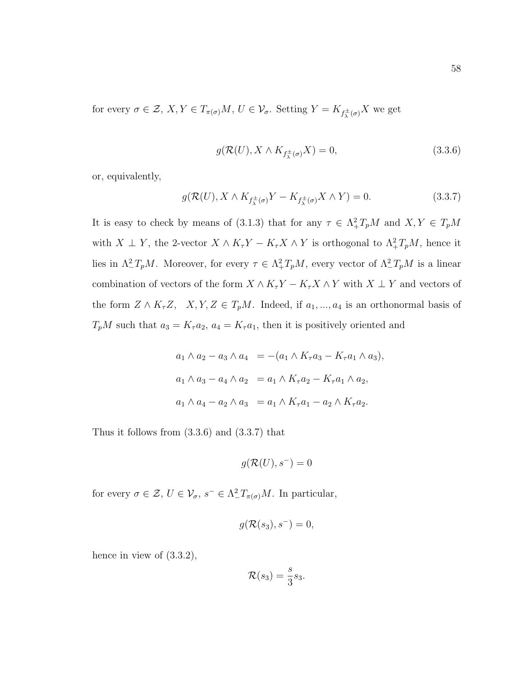for every  $\sigma \in \mathcal{Z}, X, Y \in T_{\pi(\sigma)}M, U \in \mathcal{V}_{\sigma}$ . Setting  $Y = K_{f^{\pm}_{\lambda}(\sigma)}X$  we get

$$
g(\mathcal{R}(U), X \wedge K_{f^{\pm}_{\lambda}(\sigma)} X) = 0, \qquad (3.3.6)
$$

or, equivalently,

$$
g(\mathcal{R}(U), X \wedge K_{f_{\lambda}^{\pm}(\sigma)} Y - K_{f_{\lambda}^{\pm}(\sigma)} X \wedge Y) = 0.
$$
 (3.3.7)

It is easy to check by means of (3.1.3) that for any  $\tau \in \Lambda^2_+ T_p M$  and  $X, Y \in T_p M$ with  $X \perp Y$ , the 2-vector  $X \wedge K_{\tau}Y - K_{\tau}X \wedge Y$  is orthogonal to  $\Lambda^2_+T_pM$ , hence it lies in  $\Lambda^2_- T_p M$ . Moreover, for every  $\tau \in \Lambda^2_+ T_p M$ , every vector of  $\Lambda^2_- T_p M$  is a linear combination of vectors of the form  $X \wedge K_\tau Y - K_\tau X \wedge Y$  with  $X \perp Y$  and vectors of the form  $Z \wedge K_{\tau}Z$ ,  $X, Y, Z \in T_pM$ . Indeed, if  $a_1, ..., a_4$  is an orthonormal basis of  $T_pM$  such that  $a_3 = K_{\tau}a_2$ ,  $a_4 = K_{\tau}a_1$ , then it is positively oriented and

$$
a_1 \wedge a_2 - a_3 \wedge a_4 = -(a_1 \wedge K_{\tau} a_3 - K_{\tau} a_1 \wedge a_3),
$$
  
\n
$$
a_1 \wedge a_3 - a_4 \wedge a_2 = a_1 \wedge K_{\tau} a_2 - K_{\tau} a_1 \wedge a_2,
$$
  
\n
$$
a_1 \wedge a_4 - a_2 \wedge a_3 = a_1 \wedge K_{\tau} a_1 - a_2 \wedge K_{\tau} a_2.
$$

Thus it follows from (3.3.6) and (3.3.7) that

$$
g(\mathcal{R}(U),s^-)=0
$$

for every  $\sigma \in \mathcal{Z}, U \in \mathcal{V}_{\sigma}, s^- \in \Lambda^2_{-}T_{\pi(\sigma)}M$ . In particular,

$$
g(\mathcal{R}(s_3), s^-) = 0,
$$

hence in view of  $(3.3.2)$ ,

$$
\mathcal{R}(s_3) = \frac{s}{3} s_3.
$$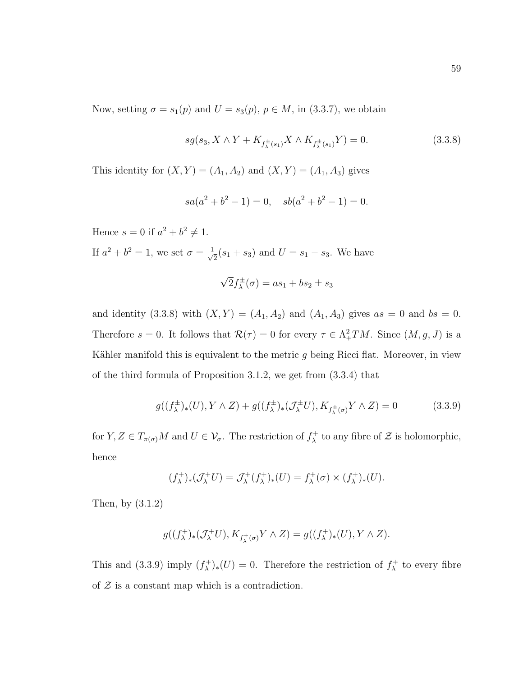Now, setting  $\sigma = s_1(p)$  and  $U = s_3(p)$ ,  $p \in M$ , in (3.3.7), we obtain

$$
sg(s_3, X \wedge Y + K_{f^{\pm}_{\lambda}(s_1)} X \wedge K_{f^{\pm}_{\lambda}(s_1)} Y) = 0.
$$
 (3.3.8)

This identity for  $(X, Y) = (A_1, A_2)$  and  $(X, Y) = (A_1, A_3)$  gives

$$
sa(a^2 + b^2 - 1) = 0, \quad sb(a^2 + b^2 - 1) = 0.
$$

Hence  $s = 0$  if  $a^2 + b^2 \neq 1$ . If  $a^2 + b^2 = 1$ , we set  $\sigma = \frac{1}{\sqrt{2}}$  $\frac{1}{2}(s_1 + s_3)$  and  $U = s_1 - s_3$ . We have

$$
\sqrt{2}f_{\lambda}^{\pm}(\sigma) = as_1 + bs_2 \pm s_3
$$

and identity (3.3.8) with  $(X, Y) = (A_1, A_2)$  and  $(A_1, A_3)$  gives  $as = 0$  and  $bs = 0$ . Therefore  $s = 0$ . It follows that  $\mathcal{R}(\tau) = 0$  for every  $\tau \in \Lambda^2_+TM$ . Since  $(M, g, J)$  is a Kähler manifold this is equivalent to the metric  $g$  being Ricci flat. Moreover, in view of the third formula of Proposition 3.1.2, we get from (3.3.4) that

$$
g((f_{\lambda}^{\pm})_{*}(U), Y \wedge Z) + g((f_{\lambda}^{\pm})_{*}(\mathcal{J}_{\lambda}^{\pm}U), K_{f_{\lambda}^{\pm}(\sigma)}Y \wedge Z) = 0 \qquad (3.3.9)
$$

for  $Y, Z \in T_{\pi(\sigma)}M$  and  $U \in \mathcal{V}_{\sigma}$ . The restriction of  $f_{\lambda}^+$ <sup> $\chi^+$ </sup> to any fibre of  $\mathcal Z$  is holomorphic, hence

$$
(f_{\lambda}^+)_*(\mathcal{J}_{\lambda}^+U)=\mathcal{J}_{\lambda}^+(f_{\lambda}^+)_*(U)=f_{\lambda}^+(\sigma)\times (f_{\lambda}^+)_*(U).
$$

Then, by (3.1.2)

$$
g((f_\lambda^+)_*(\mathcal{J}_\lambda^+ U),K_{f_\lambda^+(\sigma)} Y\wedge Z)=g((f_\lambda^+)_*(U),Y\wedge Z).
$$

This and (3.3.9) imply  $(f_{\lambda}^+)$  $(\lambda^+)_*(U) = 0$ . Therefore the restriction of  $f^+_\lambda$  $\lambda^+$  to every fibre of  $Z$  is a constant map which is a contradiction.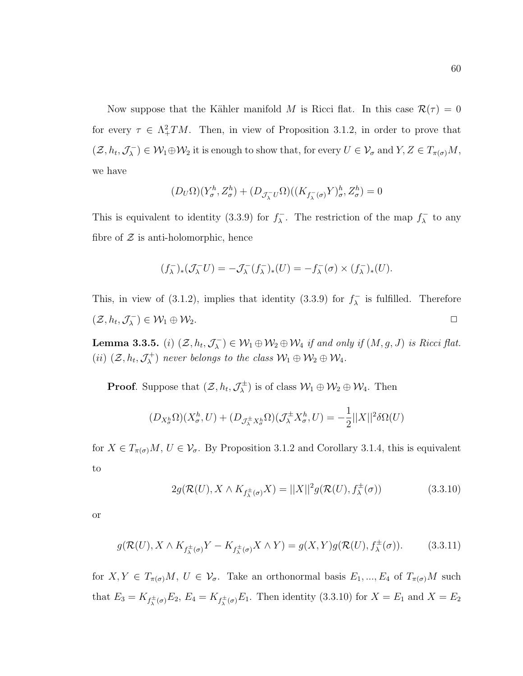Now suppose that the Kähler manifold M is Ricci flat. In this case  $\mathcal{R}(\tau) = 0$ for every  $\tau \in \Lambda^2_+TM$ . Then, in view of Proposition 3.1.2, in order to prove that  $(\mathcal{Z}, h_t, \mathcal{J}_\lambda^-)$  $(\mathcal{W}_1 \oplus \mathcal{W}_2)$  it is enough to show that, for every  $U \in \mathcal{V}_\sigma$  and  $Y, Z \in T_{\pi(\sigma)}M$ , we have

$$
(D_U\Omega)(Y^h_\sigma, Z^h_\sigma) + (D_{\mathcal{J}_\lambda^- U}\Omega)((K_{f_\lambda^-(\sigma)}Y)^h_\sigma, Z^h_\sigma) = 0
$$

This is equivalent to identity (3.3.9) for  $f_{\lambda}^ \lambda$ . The restriction of the map  $f_{\lambda}^ \lambda$  to any fibre of  $Z$  is anti-holomorphic, hence

$$
(f_{\lambda}^-)_*(\mathcal{J}_{\lambda}^- U) = -\mathcal{J}_{\lambda}^-(f_{\lambda}^-)_*(U) = -f_{\lambda}^-(\sigma) \times (f_{\lambda}^-)_*(U).
$$

This, in view of (3.1.2), implies that identity (3.3.9) for  $f_{\lambda}^ \lambda$  is fulfilled. Therefore  $(\mathcal{Z}, h_t, \mathcal{J}_\lambda^-)$  $(\lambda^{-}) \in \mathcal{W}_1 \oplus \mathcal{W}_2.$ 

Lemma 3.3.5. (*i*)  $(\mathcal{Z}, h_t, \mathcal{J}_\lambda^{-1})$  $(\mathcal{N}_\lambda^-) \in \mathcal{W}_1 \oplus \mathcal{W}_2 \oplus \mathcal{W}_4$  if and only if  $(M, g, J)$  is Ricci flat.  $(ii)$   $(\mathcal{Z}, h_t, \mathcal{J}^+_\lambda)$  $(\mathcal{W}_\lambda^+)$  never belongs to the class  $\mathcal{W}_1 \oplus \mathcal{W}_2 \oplus \mathcal{W}_4$ .

**Proof.** Suppose that  $(\mathcal{Z}, h_t, \mathcal{J}_\lambda^{\pm})$  $(\mathcal{W}_1 \oplus \mathcal{W}_2 \oplus \mathcal{W}_4)$ . Then

$$
(D_{X_{\sigma}^h}\Omega)(X_{\sigma}^h,U) + (D_{\mathcal{J}_{\lambda}^{\pm}X_{\sigma}^h}\Omega)(\mathcal{J}_{\lambda}^{\pm}X_{\sigma}^h,U) = -\frac{1}{2}||X||^2\delta\Omega(U)
$$

for  $X \in T_{\pi(\sigma)}M$ ,  $U \in \mathcal{V}_{\sigma}$ . By Proposition 3.1.2 and Corollary 3.1.4, this is equivalent to

$$
2g(\mathcal{R}(U), X \wedge K_{f_{\lambda}^{\pm}(\sigma)} X) = ||X||^2 g(\mathcal{R}(U), f_{\lambda}^{\pm}(\sigma))
$$
\n(3.3.10)

or

$$
g(\mathcal{R}(U), X \wedge K_{f^{\pm}_{\lambda}(\sigma)} Y - K_{f^{\pm}_{\lambda}(\sigma)} X \wedge Y) = g(X, Y)g(\mathcal{R}(U), f^{\pm}_{\lambda}(\sigma)).
$$
 (3.3.11)

for  $X, Y \in T_{\pi(\sigma)}M$ ,  $U \in \mathcal{V}_{\sigma}$ . Take an orthonormal basis  $E_1, ..., E_4$  of  $T_{\pi(\sigma)}M$  such that  $E_3 = K_{f_{\lambda}^{\pm}(\sigma)} E_2, E_4 = K_{f_{\lambda}^{\pm}(\sigma)} E_1$ . Then identity (3.3.10) for  $X = E_1$  and  $X = E_2$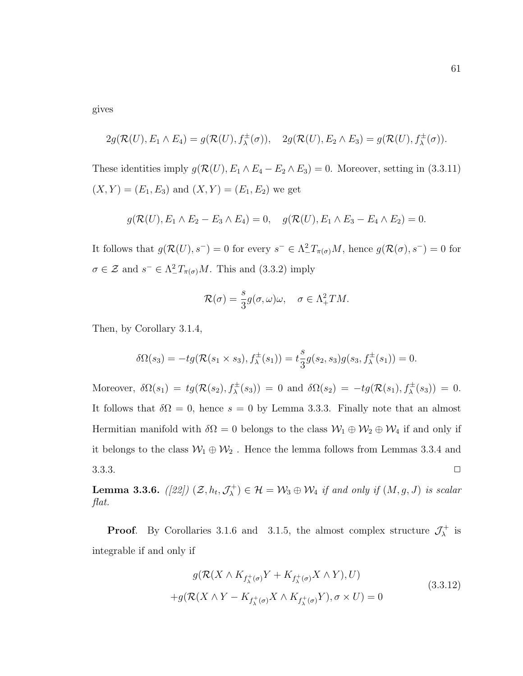gives

$$
2g(\mathcal{R}(U), E_1 \wedge E_4) = g(\mathcal{R}(U), f_\lambda^{\pm}(\sigma)), \quad 2g(\mathcal{R}(U), E_2 \wedge E_3) = g(\mathcal{R}(U), f_\lambda^{\pm}(\sigma)).
$$

These identities imply  $g(\mathcal{R}(U), E_1 \wedge E_4 - E_2 \wedge E_3) = 0$ . Moreover, setting in (3.3.11)  $(X, Y) = (E_1, E_3)$  and  $(X, Y) = (E_1, E_2)$  we get

$$
g(\mathcal{R}(U), E_1 \wedge E_2 - E_3 \wedge E_4) = 0, \quad g(\mathcal{R}(U), E_1 \wedge E_3 - E_4 \wedge E_2) = 0.
$$

It follows that  $g(\mathcal{R}(U), s^-) = 0$  for every  $s^- \in \Lambda^2_\text{I}T_{\pi(\sigma)}M$ , hence  $g(\mathcal{R}(\sigma), s^-) = 0$  for  $\sigma \in \mathcal{Z}$  and  $s^- \in \Lambda^2_\mathcal{I} T_{\pi(\sigma)} M$ . This and  $(3.3.2)$  imply

$$
\mathcal{R}(\sigma) = \frac{s}{3}g(\sigma,\omega)\omega, \quad \sigma \in \Lambda^2_+TM.
$$

Then, by Corollary 3.1.4,

$$
\delta\Omega(s_3) = -tg(\mathcal{R}(s_1 \times s_3), f_{\lambda}^{\pm}(s_1)) = t_3^s g(s_2, s_3)g(s_3, f_{\lambda}^{\pm}(s_1)) = 0.
$$

Moreover,  $\delta\Omega(s_1) = tg(\mathcal{R}(s_2), f_\lambda^{\pm}(s_3)) = 0$  and  $\delta\Omega(s_2) = -tg(\mathcal{R}(s_1), f_\lambda^{\pm}(s_3)) = 0$ . It follows that  $\delta\Omega = 0$ , hence  $s = 0$  by Lemma 3.3.3. Finally note that an almost Hermitian manifold with  $\delta\Omega = 0$  belongs to the class  $W_1 \oplus W_2 \oplus W_4$  if and only if it belongs to the class  $\mathcal{W}_1\oplus \mathcal{W}_2$  . Hence the lemma follows from Lemmas 3.3.4 and  $3.3.3.$ 

Lemma 3.3.6.  $\left(\left[22\right]\right)\,\left(\mathcal{Z},h_t,\mathcal{J}_\lambda^{+}\right)$  $(\mathcal{V}_\lambda^+) \in \mathcal{H} = \mathcal{W}_3 \oplus \mathcal{W}_4$  if and only if  $(M,g,J)$  is scalar flat.

**Proof.** By Corollaries 3.1.6 and 3.1.5, the almost complex structure  $\mathcal{J}_{\lambda}^{+}$  $\lambda^+$  is integrable if and only if

$$
g(\mathcal{R}(X \wedge K_{f_{\lambda}^{+}(\sigma)} Y + K_{f_{\lambda}^{+}(\sigma)} X \wedge Y), U)
$$
  
+
$$
g(\mathcal{R}(X \wedge Y - K_{f_{\lambda}^{+}(\sigma)} X \wedge K_{f_{\lambda}^{+}(\sigma)} Y), \sigma \times U) = 0
$$
\n(3.3.12)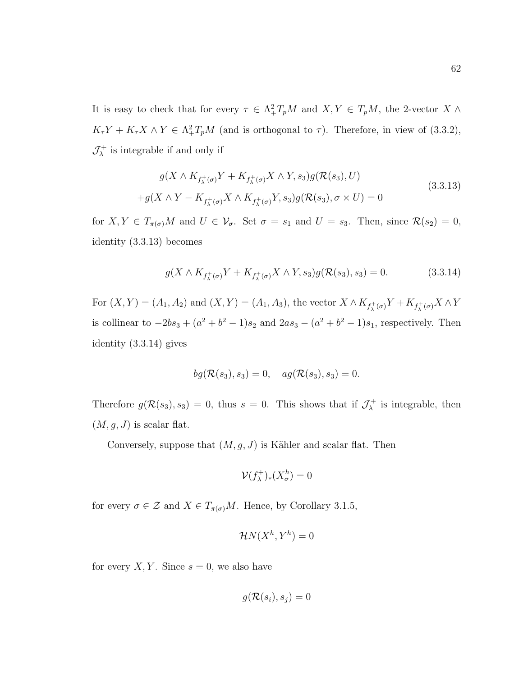It is easy to check that for every  $\tau \in \Lambda^2_+ T_pM$  and  $X, Y \in T_pM$ , the 2-vector  $X \wedge Y$  $K_{\tau}Y + K_{\tau}X \wedge Y \in \Lambda^2_+T_pM$  (and is orthogonal to  $\tau$ ). Therefore, in view of (3.3.2),  $\mathcal{J}^+_\lambda$  $\chi^+$  is integrable if and only if

$$
g(X \wedge K_{f_{\lambda}^{+}(\sigma)} Y + K_{f_{\lambda}^{+}(\sigma)} X \wedge Y, s_{3}) g(\mathcal{R}(s_{3}), U)
$$
  
+
$$
g(X \wedge Y - K_{f_{\lambda}^{+}(\sigma)} X \wedge K_{f_{\lambda}^{+}(\sigma)} Y, s_{3}) g(\mathcal{R}(s_{3}), \sigma \times U) = 0
$$
\n(3.3.13)

for  $X, Y \in T_{\pi(\sigma)}M$  and  $U \in \mathcal{V}_{\sigma}$ . Set  $\sigma = s_1$  and  $U = s_3$ . Then, since  $\mathcal{R}(s_2) = 0$ , identity (3.3.13) becomes

$$
g(X \wedge K_{f_{\lambda}^{+}(\sigma)} Y + K_{f_{\lambda}^{+}(\sigma)} X \wedge Y, s_3) g(\mathcal{R}(s_3), s_3) = 0.
$$
 (3.3.14)

For  $(X, Y) = (A_1, A_2)$  and  $(X, Y) = (A_1, A_3)$ , the vector  $X \wedge K_{f^+_{\lambda}(\sigma)} Y + K_{f^+_{\lambda}(\sigma)} X \wedge Y$ is collinear to  $-2bs_3 + (a^2 + b^2 - 1)s_2$  and  $2as_3 - (a^2 + b^2 - 1)s_1$ , respectively. Then identity (3.3.14) gives

$$
bg(\mathcal{R}(s_3), s_3) = 0, \quad ag(\mathcal{R}(s_3), s_3) = 0.
$$

Therefore  $g(\mathcal{R}(s_3), s_3) = 0$ , thus  $s = 0$ . This shows that if  $\mathcal{J}^+_\lambda$  $\lambda^+$  is integrable, then  $(M, g, J)$  is scalar flat.

Conversely, suppose that  $(M, g, J)$  is Kähler and scalar flat. Then

$$
\mathcal{V}(f_{\lambda}^+)_*(X_{\sigma}^h) = 0
$$

for every  $\sigma \in \mathcal{Z}$  and  $X \in T_{\pi(\sigma)}M$ . Hence, by Corollary 3.1.5,

$$
\mathcal{H}N(X^h, Y^h) = 0
$$

for every  $X, Y$ . Since  $s = 0$ , we also have

$$
g(\mathcal{R}(s_i), s_j) = 0
$$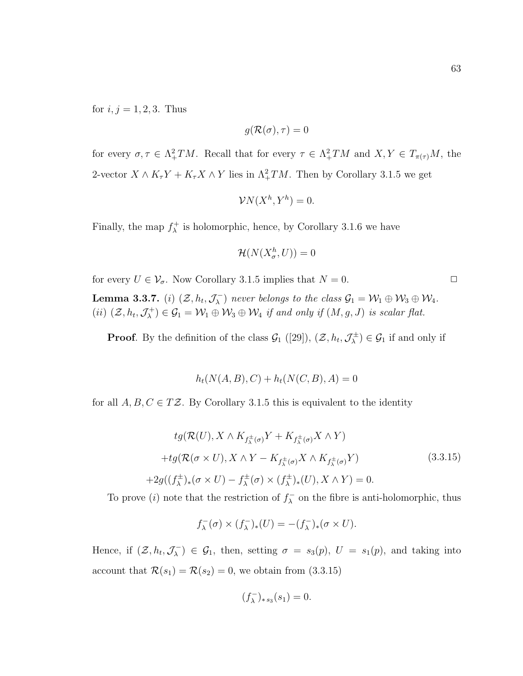63

for  $i, j = 1, 2, 3$ . Thus

$$
g(\mathcal{R}(\sigma),\tau)=0
$$

for every  $\sigma, \tau \in \Lambda^2_+TM$ . Recall that for every  $\tau \in \Lambda^2_+TM$  and  $X, Y \in T_{\pi(\tau)}M$ , the 2-vector  $X \wedge K_{\tau}Y + K_{\tau}X \wedge Y$  lies in  $\Lambda^2_+TM$ . Then by Corollary 3.1.5 we get

$$
\mathcal{V}N(X^h, Y^h) = 0.
$$

Finally, the map  $f_{\lambda}^{+}$  $\lambda^+$  is holomorphic, hence, by Corollary 3.1.6 we have

$$
\mathcal{H}(N(X_{\sigma}^h, U)) = 0
$$

for every  $U \in \mathcal{V}_{\sigma}$ . Now Corollary 3.1.5 implies that  $N = 0$ . Lemma 3.3.7. (*i*)  $(\mathcal{Z}, h_t, \mathcal{J}_\lambda^{-1})$  $(\mathcal{C}_\lambda^-)$  never belongs to the class  $\mathcal{G}_1 = \mathcal{W}_1 \oplus \mathcal{W}_3 \oplus \mathcal{W}_4$ .  $(ii)$   $(\mathcal{Z}, h_t, \mathcal{J}^+_\lambda)$  $(\mathcal{C}_\lambda^+) \in \mathcal{G}_1 = \mathcal{W}_1 \oplus \mathcal{W}_3 \oplus \mathcal{W}_4$  if and only if  $(M, g, J)$  is scalar flat.

**Proof.** By the definition of the class  $\mathcal{G}_1$  ([29]),  $(\mathcal{Z}, h_t, \mathcal{J}_\lambda^{\pm})$  $(\mathcal{G}_1^{\pm}) \in \mathcal{G}_1$  if and only if

$$
h_t(N(A, B), C) + h_t(N(C, B), A) = 0
$$

for all  $A, B, C \in TZ$ . By Corollary 3.1.5 this is equivalent to the identity

$$
tg(\mathcal{R}(U), X \wedge K_{f_{\lambda}^{\pm}(\sigma)} Y + K_{f_{\lambda}^{\pm}(\sigma)} X \wedge Y)
$$
  
+
$$
+tg(\mathcal{R}(\sigma \times U), X \wedge Y - K_{f_{\lambda}^{\pm}(\sigma)} X \wedge K_{f_{\lambda}^{\pm}(\sigma)} Y)
$$
(3.3.15)  
+
$$
2g((f_{\lambda}^{\pm})_{*}(\sigma \times U) - f_{\lambda}^{\pm}(\sigma) \times (f_{\lambda}^{\pm})_{*}(U), X \wedge Y) = 0.
$$

To prove (*i*) note that the restriction of  $f_{\lambda}^ \lambda$  on the fibre is anti-holomorphic, thus

$$
f_{\lambda}^{-}(\sigma) \times (f_{\lambda}^{-})_{*}(U) = -(f_{\lambda}^{-})_{*}(\sigma \times U).
$$

Hence, if  $(\mathcal{Z}, h_t, \mathcal{J}_\lambda^-)$  $(\mathcal{L}_{\lambda}) \in \mathcal{G}_1$ , then, setting  $\sigma = s_3(p)$ ,  $U = s_1(p)$ , and taking into account that  $\mathcal{R}(s_1) = \mathcal{R}(s_2) = 0$ , we obtain from (3.3.15)

$$
(f_{\lambda}^-)_{*s_3}(s_1) = 0.
$$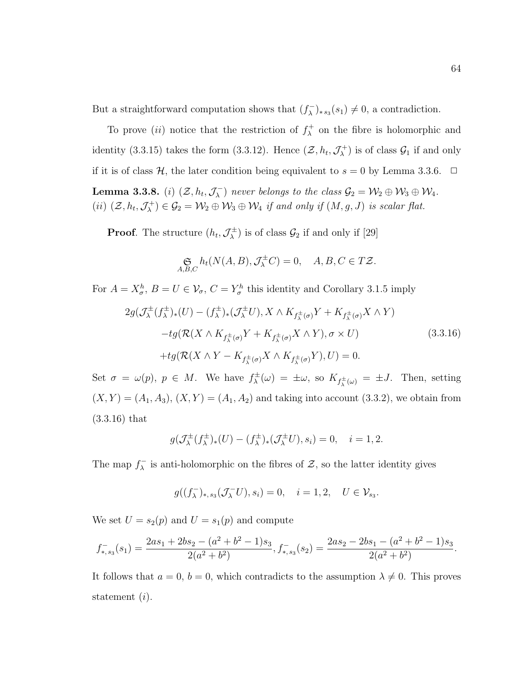But a straightforward computation shows that  $(f_{\lambda}^-)$  $\binom{(-)}{\lambda}$ \*s<sub>3</sub> $(s_1) \neq 0$ , a contradiction.

To prove *(ii)* notice that the restriction of  $f_{\lambda}^+$  $\lambda^+$  on the fibre is holomorphic and identity (3.3.15) takes the form (3.3.12). Hence  $(\mathcal{Z}, h_t, \mathcal{J}^+_\lambda)$  $\mathcal{G}_1^+$ ) is of class  $\mathcal{G}_1$  if and only if it is of class  $\mathcal{H}$ , the later condition being equivalent to  $s = 0$  by Lemma 3.3.6.  $\Box$ Lemma 3.3.8. (*i*)  $(\mathcal{Z}, h_t, \mathcal{J}_\lambda^-)$  $(\mathcal{L}_\lambda^-)$  never belongs to the class  $\mathcal{G}_2 = \mathcal{W}_2 \oplus \mathcal{W}_3 \oplus \mathcal{W}_4$ . (*ii*)  $(\mathcal{Z}, h_t, \mathcal{J}_\lambda^+)$  $(\mathcal{C}_\lambda^+) \in \mathcal{G}_2 = \mathcal{W}_2 \oplus \mathcal{W}_3 \oplus \mathcal{W}_4$  if and only if  $(M, g, J)$  is scalar flat.

**Proof.** The structure  $(h_t, \mathcal{J}_{\lambda}^{\pm})$  $\mathcal{L}_{\lambda}^{\pm}$ ) is of class  $\mathcal{G}_2$  if and only if [29]

$$
\mathop{\mathfrak{S}}\limits_{A,B,C} h_t(N(A,B),\mathcal{J}_\lambda^{\pm}C) = 0, \quad A,B,C \in T\mathcal{Z}.
$$

For  $A = X_{\sigma}^h$ ,  $B = U \in V_{\sigma}$ ,  $C = Y_{\sigma}^h$  this identity and Corollary 3.1.5 imply

$$
2g(\mathcal{J}_{\lambda}^{\pm}(f_{\lambda}^{\pm})_{*}(U) - (f_{\lambda}^{\pm})_{*}(\mathcal{J}_{\lambda}^{\pm}U), X \wedge K_{f_{\lambda}^{\pm}(\sigma)}Y + K_{f_{\lambda}^{\pm}(\sigma)}X \wedge Y)
$$

$$
-tg(\mathcal{R}(X \wedge K_{f_{\lambda}^{\pm}(\sigma)}Y + K_{f_{\lambda}^{\pm}(\sigma)}X \wedge Y), \sigma \times U)
$$

$$
+tg(\mathcal{R}(X \wedge Y - K_{f_{\lambda}^{\pm}(\sigma)}X \wedge K_{f_{\lambda}^{\pm}(\sigma)}Y), U) = 0.
$$
\n(3.3.16)

Set  $\sigma = \omega(p)$ ,  $p \in M$ . We have  $f_{\lambda}^{\pm}$  $\chi^{\pm}(\omega) = \pm \omega$ , so  $K_{f^{\pm}_{\lambda}(\omega)} = \pm J$ . Then, setting  $(X, Y) = (A_1, A_3), (X, Y) = (A_1, A_2)$  and taking into account (3.3.2), we obtain from (3.3.16) that

$$
g(\mathcal{J}_{\lambda}^{\pm}(f_{\lambda}^{\pm})_{*}(U) - (f_{\lambda}^{\pm})_{*}(\mathcal{J}_{\lambda}^{\pm}U), s_{i}) = 0, \quad i = 1, 2.
$$

The map  $f_{\lambda}^ \lambda_{\lambda}$  is anti-holomorphic on the fibres of  $\mathcal{Z}$ , so the latter identity gives

$$
g((f^-_\lambda)_{*,s_3}(\mathcal{J}_\lambda^-U),s_i)=0,\quad i=1,2,\quad U\in\mathcal{V}_{s_3}.
$$

We set  $U = s_2(p)$  and  $U = s_1(p)$  and compute

$$
f_{*,s_3}^{-}(s_1) = \frac{2as_1 + 2bs_2 - (a^2 + b^2 - 1)s_3}{2(a^2 + b^2)}, f_{*,s_3}^{-}(s_2) = \frac{2as_2 - 2bs_1 - (a^2 + b^2 - 1)s_3}{2(a^2 + b^2)}.
$$

It follows that  $a = 0$ ,  $b = 0$ , which contradicts to the assumption  $\lambda \neq 0$ . This proves statement  $(i)$ .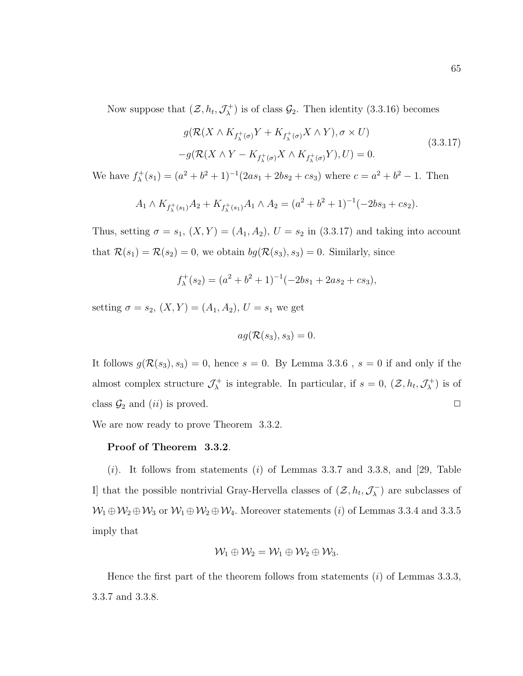Now suppose that  $(\mathcal{Z}, h_t, \mathcal{J}^+_\lambda)$  $\mathcal{G}_{\lambda}^{+}$ ) is of class  $\mathcal{G}_{2}$ . Then identity (3.3.16) becomes

$$
g(\mathcal{R}(X \wedge K_{f_{\lambda}^{+}(\sigma)} Y + K_{f_{\lambda}^{+}(\sigma)} X \wedge Y), \sigma \times U)
$$
  

$$
-g(\mathcal{R}(X \wedge Y - K_{f_{\lambda}^{+}(\sigma)} X \wedge K_{f_{\lambda}^{+}(\sigma)} Y), U) = 0.
$$
 (3.3.17)

We have  $f_{\lambda}^+$  $\lambda^{+}(s_1) = (a^2 + b^2 + 1)^{-1}(2as_1 + 2bs_2 + cs_3)$  where  $c = a^2 + b^2 - 1$ . Then

$$
A_1 \wedge K_{f_{\lambda}^+(s_1)}A_2 + K_{f_{\lambda}^+(s_1)}A_1 \wedge A_2 = (a^2 + b^2 + 1)^{-1}(-2bs_3 + cs_2).
$$

Thus, setting  $\sigma = s_1$ ,  $(X, Y) = (A_1, A_2)$ ,  $U = s_2$  in (3.3.17) and taking into account that  $\mathcal{R}(s_1) = \mathcal{R}(s_2) = 0$ , we obtain  $bg(\mathcal{R}(s_3), s_3) = 0$ . Similarly, since

$$
f_{\lambda}^{+}(s_2) = (a^2 + b^2 + 1)^{-1}(-2bs_1 + 2as_2 + cs_3),
$$

setting  $\sigma = s_2$ ,  $(X, Y) = (A_1, A_2)$ ,  $U = s_1$  we get

$$
ag(\mathcal{R}(s_3), s_3) = 0.
$$

It follows  $g(\mathcal{R}(s_3), s_3) = 0$ , hence  $s = 0$ . By Lemma 3.3.6,  $s = 0$  if and only if the almost complex structure  $\mathcal{J}_{\lambda}^{+}$  $\chi^+$  is integrable. In particular, if  $s = 0$ ,  $(\mathcal{Z}, h_t, \mathcal{J}^+_\lambda)$  $\binom{+}{\lambda}$  is of class  $\mathcal{G}_2$  and  $(ii)$  is proved.  $\Box$ 

We are now ready to prove Theorem 3.3.2.

## Proof of Theorem 3.3.2.

 $(i)$ . It follows from statements  $(i)$  of Lemmas 3.3.7 and 3.3.8, and [29, Table I] that the possible nontrivial Gray-Hervella classes of  $(\mathcal{Z}, h_t, \mathcal{J}_\lambda^-)$  $\binom{1}{\lambda}$  are subclasses of  $W_1 \oplus W_2 \oplus W_3$  or  $W_1 \oplus W_2 \oplus W_4$ . Moreover statements (*i*) of Lemmas 3.3.4 and 3.3.5 imply that

$$
\mathcal{W}_1 \oplus \mathcal{W}_2 = \mathcal{W}_1 \oplus \mathcal{W}_2 \oplus \mathcal{W}_3.
$$

Hence the first part of the theorem follows from statements  $(i)$  of Lemmas 3.3.3, 3.3.7 and 3.3.8.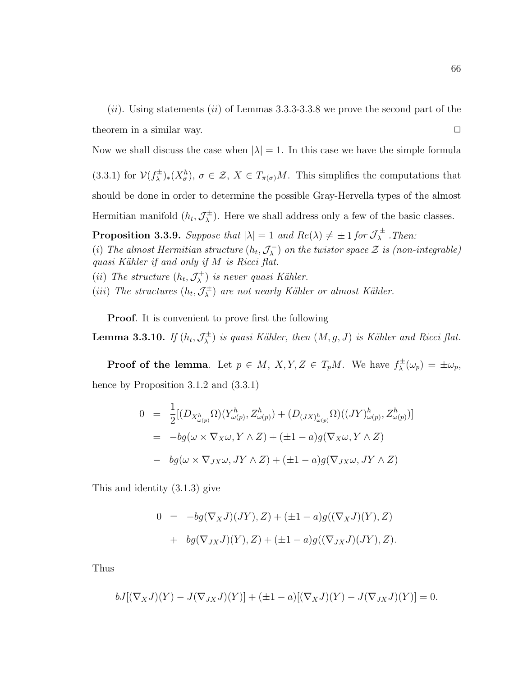$(ii)$ . Using statements  $(ii)$  of Lemmas 3.3.3-3.3.8 we prove the second part of the theorem in a similar way.  $\Box$ 

Now we shall discuss the case when  $|\lambda|=1$ . In this case we have the simple formula

(3.3.1) for  $V(f_{\lambda}^{\pm})_*(X_{\sigma}^h), \sigma \in \mathcal{Z}, X \in T_{\pi(\sigma)}M$ . This simplifies the computations that should be done in order to determine the possible Gray-Hervella types of the almost Hermitian manifold  $(h_t, \mathcal{J}_{\lambda}^{\pm})$ . Here we shall address only a few of the basic classes.

**Proposition 3.3.9.** Suppose that  $|\lambda| = 1$  and  $Re(\lambda) \neq \pm 1$  for  $\mathcal{J}_{\lambda}^{\pm}$  . Then:

(i) The almost Hermitian structure  $(h_t, \mathcal{J}_\lambda^-)$  on the twistor space  $\mathcal Z$  is (non-integrable) quasi Kähler if and only if  $M$  is Ricci flat.

(ii) The structure  $(h_t, \mathcal{J}_\lambda^+)$  is never quasi Kähler.

(iii) The structures  $(h_t, \mathcal{J}_\lambda^{\pm})$  are not nearly Kähler or almost Kähler.

Proof. It is convenient to prove first the following

**Lemma 3.3.10.** If  $(h_t, \mathcal{J}_{\lambda}^{\pm})$  is quasi Kähler, then  $(M, g, J)$  is Kähler and Ricci flat.

**Proof of the lemma**. Let  $p \in M$ ,  $X, Y, Z \in T_pM$ . We have  $f^{\pm}_{\lambda}(\omega_p) = \pm \omega_p$ , hence by Proposition 3.1.2 and  $(3.3.1)$ 

$$
0 = \frac{1}{2} [(D_{X_{\omega(p)}^h} \Omega)(Y_{\omega(p)}^h, Z_{\omega(p)}^h) + (D_{(JX)_{\omega(p)}^h} \Omega)((JY)_{\omega(p)}^h, Z_{\omega(p)}^h)]
$$
  
\n
$$
= -bg(\omega \times \nabla_X \omega, Y \wedge Z) + (\pm 1 - a)g(\nabla_X \omega, Y \wedge Z)
$$
  
\n
$$
- bg(\omega \times \nabla_{JX} \omega, JY \wedge Z) + (\pm 1 - a)g(\nabla_{JX} \omega, JY \wedge Z)
$$

This and identity (3.1.3) give

$$
0 = -bg(\nabla_X J)(JY), Z) + (\pm 1 - a)g((\nabla_X J)(Y), Z) + bg(\nabla_{JX} J)(Y), Z) + (\pm 1 - a)g((\nabla_{JX} J)(JY), Z).
$$

Thus

$$
bJ[(\nabla_X J)(Y) - J(\nabla_{JX} J)(Y)] + (\pm 1 - a)[(\nabla_X J)(Y) - J(\nabla_{JX} J)(Y)] = 0.
$$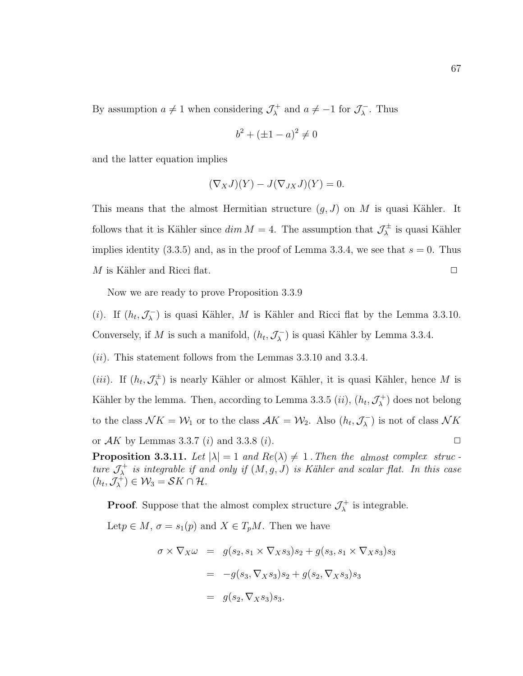By assumption  $a \neq 1$  when considering  $\mathcal{J}_{\lambda}^{+}$  and  $a \neq -1$  for  $\mathcal{J}_{\lambda}^{-}$ . Thus

$$
b^2 + (\pm 1 - a)^2 \neq 0
$$

and the latter equation implies

$$
(\nabla_X J)(Y) - J(\nabla_{JX} J)(Y) = 0.
$$

This means that the almost Hermitian structure  $(g, J)$  on M is quasi Kähler. It follows that it is Kähler since  $dim M = 4$ . The assumption that  $\mathcal{J}_{\lambda}^{\pm}$  is quasi Kähler implies identity (3.3.5) and, as in the proof of Lemma 3.3.4, we see that  $s = 0$ . Thus M is Kähler and Ricci flat.  $\Box$ 

Now we are ready to prove Proposition 3.3.9

(i). If  $(h_t, \mathcal{J}_\lambda^-)$  is quasi Kähler, M is Kähler and Ricci flat by the Lemma 3.3.10. Conversely, if M is such a manifold,  $(h_t, \mathcal{J}_\lambda^-)$  is quasi Kähler by Lemma 3.3.4.

 $(ii)$ . This statement follows from the Lemmas 3.3.10 and 3.3.4.

(*iii*). If  $(h_t, \mathcal{J}_{\lambda}^{\pm})$  is nearly Kähler or almost Kähler, it is quasi Kähler, hence M is Kähler by the lemma. Then, according to Lemma 3.3.5  $(ii)$ ,  $(h_t, \mathcal{J}^+_\lambda)$  does not belong to the class  $\mathcal{N}K = \mathcal{W}_1$  or to the class  $\mathcal{A}K = \mathcal{W}_2$ . Also  $(h_t, \mathcal{J}_\lambda^-)$  is not of class  $\mathcal{N}K$ or  $AK$  by Lemmas 3.3.7 (i) and 3.3.8 (i).

**Proposition 3.3.11.** Let  $|\lambda| = 1$  and  $Re(\lambda) \neq 1$ . Then the almost complex struc ture  $\mathcal{J}^+_{\lambda}$  is integrable if and only if  $(M, g, J)$  is Kähler and scalar flat. In this case  $(h_t, \mathcal{J}_{\lambda}^+) \in \mathcal{W}_3 = \mathcal{S}K \cap \mathcal{H}.$ 

**Proof.** Suppose that the almost complex structure  $\mathcal{J}_{\lambda}^{+}$  is integrable.

Let  $p \in M$ ,  $\sigma = s_1(p)$  and  $X \in T_pM$ . Then we have

$$
\sigma \times \nabla_X \omega = g(s_2, s_1 \times \nabla_X s_3) s_2 + g(s_3, s_1 \times \nabla_X s_3) s_3
$$
  
= 
$$
-g(s_3, \nabla_X s_3) s_2 + g(s_2, \nabla_X s_3) s_3
$$
  
= 
$$
g(s_2, \nabla_X s_3) s_3.
$$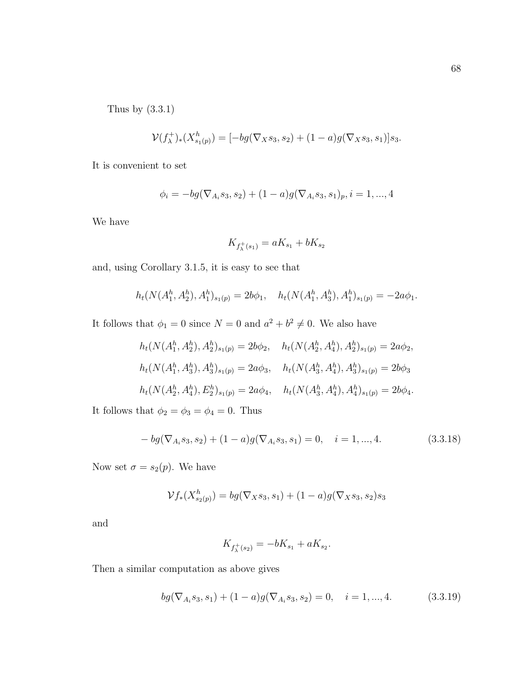Thus by (3.3.1)

$$
\mathcal{V}(f_{\lambda}^+)_*(X_{s_1(p)}^h) = [-bg(\nabla_X s_3, s_2) + (1-a)g(\nabla_X s_3, s_1)]s_3.
$$

It is convenient to set

$$
\phi_i = -bg(\nabla_{A_i}s_3, s_2) + (1-a)g(\nabla_{A_i}s_3, s_1)_p, i = 1, ..., 4
$$

We have

$$
K_{f_{\lambda}^{+}(s_1)} = aK_{s_1} + bK_{s_2}
$$

and, using Corollary 3.1.5, it is easy to see that

$$
h_t(N(A_1^h, A_2^h), A_1^h)_{s_1(p)} = 2b\phi_1, \quad h_t(N(A_1^h, A_3^h), A_1^h)_{s_1(p)} = -2a\phi_1.
$$

It follows that  $\phi_1 = 0$  since  $N = 0$  and  $a^2 + b^2 \neq 0$ . We also have

$$
h_t(N(A_1^h, A_2^h), A_2^h)_{s_1(p)} = 2b\phi_2, \quad h_t(N(A_2^h, A_4^h), A_2^h)_{s_1(p)} = 2a\phi_2,
$$
  

$$
h_t(N(A_1^h, A_3^h), A_3^h)_{s_1(p)} = 2a\phi_3, \quad h_t(N(A_3^h, A_4^h), A_3^h)_{s_1(p)} = 2b\phi_3
$$
  

$$
h_t(N(A_2^h, A_4^h), E_2^h)_{s_1(p)} = 2a\phi_4, \quad h_t(N(A_3^h, A_4^h), A_4^h)_{s_1(p)} = 2b\phi_4.
$$

It follows that  $\phi_2 = \phi_3 = \phi_4 = 0$ . Thus

$$
- bg(\nabla_{A_i} s_3, s_2) + (1 - a)g(\nabla_{A_i} s_3, s_1) = 0, \quad i = 1, ..., 4.
$$
\n(3.3.18)

Now set  $\sigma = s_2(p)$ . We have

$$
\mathcal{V}f_*(X_{s_2(p)}^h) = bg(\nabla_X s_3, s_1) + (1-a)g(\nabla_X s_3, s_2)s_3
$$

and

$$
K_{f_{\lambda}^{+}(s_{2})} = -bK_{s_{1}} + aK_{s_{2}}.
$$

Then a similar computation as above gives

$$
bg(\nabla_{A_i}s_3, s_1) + (1-a)g(\nabla_{A_i}s_3, s_2) = 0, \quad i = 1, ..., 4.
$$
 (3.3.19)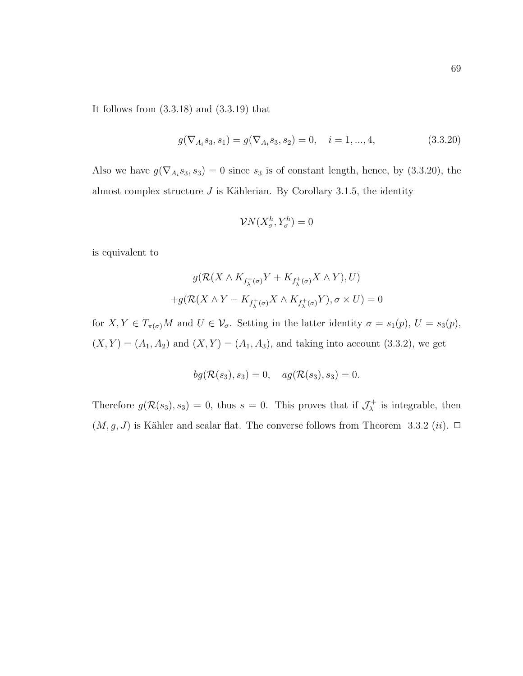It follows from (3.3.18) and (3.3.19) that

$$
g(\nabla_{A_i} s_3, s_1) = g(\nabla_{A_i} s_3, s_2) = 0, \quad i = 1, ..., 4,
$$
\n(3.3.20)

Also we have  $g(\nabla_{A_i} s_3, s_3) = 0$  since  $s_3$  is of constant length, hence, by (3.3.20), the almost complex structure  $J$  is Kählerian. By Corollary 3.1.5, the identity

$$
\mathcal{V}N(X_{\sigma}^h, Y_{\sigma}^h) = 0
$$

is equivalent to

$$
g(\mathcal{R}(X \wedge K_{f_{\lambda}^{+}(\sigma)}Y + K_{f_{\lambda}^{+}(\sigma)}X \wedge Y), U)
$$

$$
+ g(\mathcal{R}(X \wedge Y - K_{f_{\lambda}^{+}(\sigma)}X \wedge K_{f_{\lambda}^{+}(\sigma)}Y), \sigma \times U) = 0
$$

for  $X, Y \in T_{\pi(\sigma)}M$  and  $U \in \mathcal{V}_{\sigma}$ . Setting in the latter identity  $\sigma = s_1(p)$ ,  $U = s_3(p)$ ,  $(X, Y) = (A_1, A_2)$  and  $(X, Y) = (A_1, A_3)$ , and taking into account (3.3.2), we get

$$
bg(\mathcal{R}(s_3), s_3) = 0, \quad ag(\mathcal{R}(s_3), s_3) = 0.
$$

Therefore  $g(\mathcal{R}(s_3), s_3) = 0$ , thus  $s = 0$ . This proves that if  $\mathcal{J}^+_\lambda$  $\lambda^+$  is integrable, then  $(M, g, J)$  is Kähler and scalar flat. The converse follows from Theorem 3.3.2 (*ii*).  $\Box$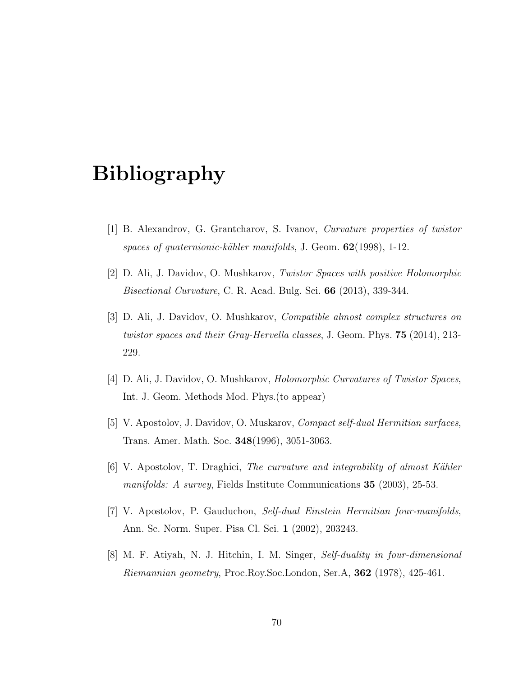## Bibliography

- [1] B. Alexandrov, G. Grantcharov, S. Ivanov, Curvature properties of twistor spaces of quaternionic-kähler manifolds, J. Geom.  $62(1998)$ , 1-12.
- [2] D. Ali, J. Davidov, O. Mushkarov, Twistor Spaces with positive Holomorphic Bisectional Curvature, C. R. Acad. Bulg. Sci. 66 (2013), 339-344.
- [3] D. Ali, J. Davidov, O. Mushkarov, Compatible almost complex structures on twistor spaces and their Gray-Hervella classes, J. Geom. Phys. 75 (2014), 213- 229.
- [4] D. Ali, J. Davidov, O. Mushkarov, Holomorphic Curvatures of Twistor Spaces, Int. J. Geom. Methods Mod. Phys.(to appear)
- [5] V. Apostolov, J. Davidov, O. Muskarov, Compact self-dual Hermitian surfaces, Trans. Amer. Math. Soc. 348(1996), 3051-3063.
- [6] V. Apostolov, T. Draghici, The curvature and integrability of almost Kähler manifolds: A survey, Fields Institute Communications 35 (2003), 25-53.
- [7] V. Apostolov, P. Gauduchon, Self-dual Einstein Hermitian four-manifolds, Ann. Sc. Norm. Super. Pisa Cl. Sci. 1 (2002), 203243.
- [8] M. F. Atiyah, N. J. Hitchin, I. M. Singer, Self-duality in four-dimensional Riemannian geometry, Proc.Roy.Soc.London, Ser.A, 362 (1978), 425-461.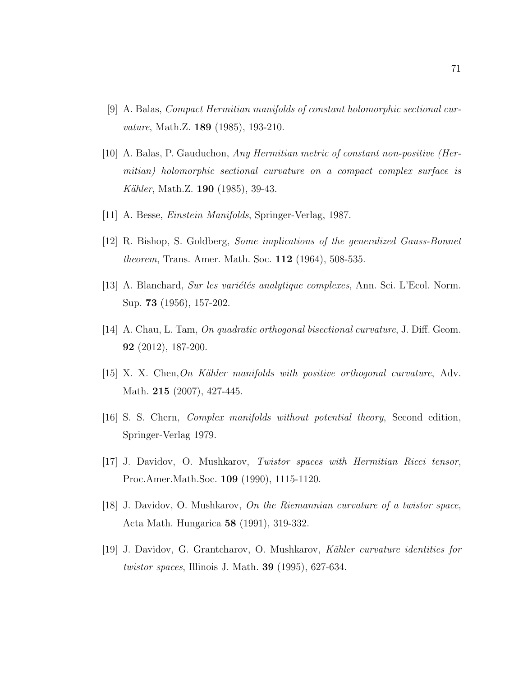- [9] A. Balas, Compact Hermitian manifolds of constant holomorphic sectional curvature, Math.Z. **189** (1985), 193-210.
- [10] A. Balas, P. Gauduchon, Any Hermitian metric of constant non-positive (Hermitian) holomorphic sectional curvature on a compact complex surface is *Kähler*, Math.Z. **190** (1985), 39-43.
- [11] A. Besse, Einstein Manifolds, Springer-Verlag, 1987.
- [12] R. Bishop, S. Goldberg, Some implications of the generalized Gauss-Bonnet theorem, Trans. Amer. Math. Soc. 112 (1964), 508-535.
- [13] A. Blanchard, Sur les variétés analytique complexes, Ann. Sci. L'Ecol. Norm. Sup. 73 (1956), 157-202.
- [14] A. Chau, L. Tam, On quadratic orthogonal bisectional curvature, J. Diff. Geom. 92 (2012), 187-200.
- $[15]$  X. X. Chen, On Kähler manifolds with positive orthogonal curvature, Adv. Math. **215** (2007), 427-445.
- [16] S. S. Chern, Complex manifolds without potential theory, Second edition, Springer-Verlag 1979.
- [17] J. Davidov, O. Mushkarov, Twistor spaces with Hermitian Ricci tensor, Proc.Amer.Math.Soc. 109 (1990), 1115-1120.
- [18] J. Davidov, O. Mushkarov, On the Riemannian curvature of a twistor space, Acta Math. Hungarica 58 (1991), 319-332.
- [19] J. Davidov, G. Grantcharov, O. Mushkarov, Kähler curvature identities for twistor spaces, Illinois J. Math. 39 (1995), 627-634.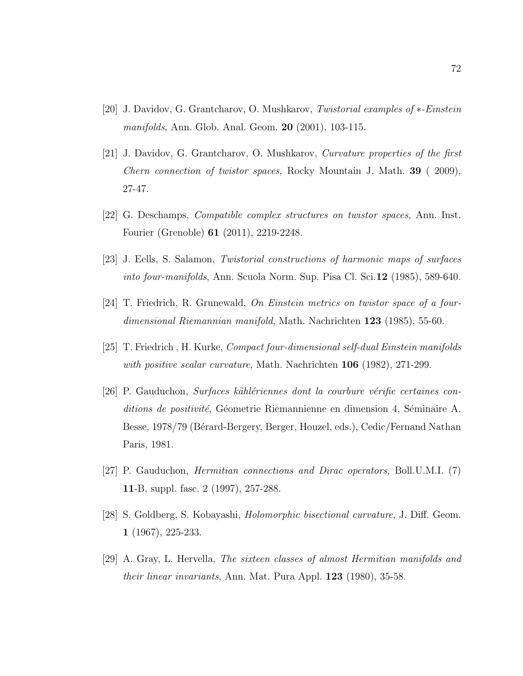- [20] J. Davidov, G. Grantcharov, O. Mushkarov, Twistorial examples of ∗-Einstein manifolds, Ann. Glob. Anal. Geom. 20 (2001), 103-115.
- [21] J. Davidov, G. Grantcharov, O. Mushkarov, Curvature properties of the first *Chern connection of twistor spaces, Rocky Mountain J. Math.* **39** (2009), 27-47.
- [22] G. Deschamps, Compatible complex structures on twistor spaces, Ann. Inst. Fourier (Grenoble) 61 (2011), 2219-2248.
- [23] J. Eells, S. Salamon, Twistorial constructions of harmonic maps of surfaces into four-manifolds, Ann. Scuola Norm. Sup. Pisa Cl. Sci.12 (1985), 589-640.
- $[24]$  T. Friedrich, R. Grunewald, On Einstein metrics on twistor space of a fourdimensional Riemannian manifold, Math. Nachrichten 123 (1985), 55-60.
- [25] T. Friedrich , H. Kurke, Compact four-dimensional self-dual Einstein manifolds with positive scalar curvature, Math. Nachrichten 106 (1982), 271-299.
- $[26]$  P. Gauduchon, *Surfaces kählériennes dont la courbure vérifie certaines con* $ditions$  de positivité, Géometrie Riemannienne en dimension 4, Séminaire A. Besse, 1978/79 (Bérard-Bergery, Berger, Houzel, eds.), Cedic/Fernand Nathan Paris, 1981.
- [27] P. Gauduchon, Hermitian connections and Dirac operators, Boll.U.M.I. (7) 11-B, suppl. fasc. 2 (1997), 257-288.
- [28] S. Goldberg, S. Kobayashi, Holomorphic bisectional curvature, J. Diff. Geom. 1 (1967), 225-233.
- [29] A. Gray, L. Hervella, The sixteen classes of almost Hermitian manifolds and their linear invariants, Ann. Mat. Pura Appl. 123 (1980), 35-58.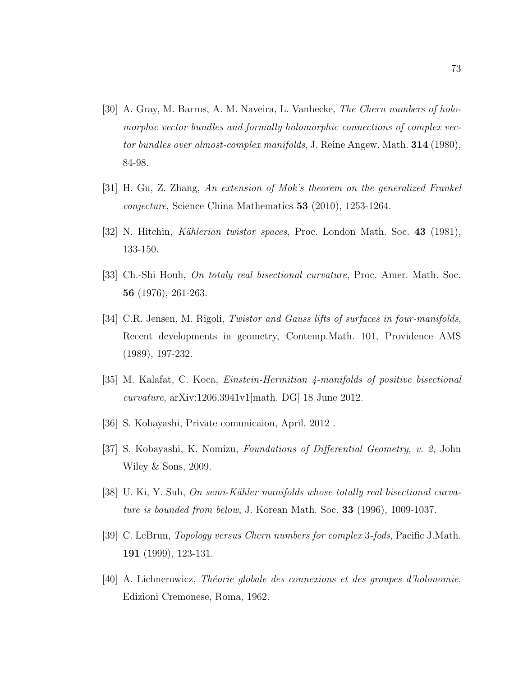- [30] A. Gray, M. Barros, A. M. Naveira, L. Vanhecke, The Chern numbers of holomorphic vector bundles and formally holomorphic connections of complex vector bundles over almost-complex manifolds, J. Reine Angew. Math. 314 (1980), 84-98.
- [31] H. Gu, Z. Zhang, An extension of Mok's theorem on the generalized Frankel conjecture, Science China Mathematics 53 (2010), 1253-1264.
- [32] N. Hitchin, Kählerian twistor spaces, Proc. London Math. Soc. 43 (1981), 133-150.
- [33] Ch.-Shi Houh, On totaly real bisectional curvature, Proc. Amer. Math. Soc. 56 (1976), 261-263.
- [34] C.R. Jensen, M. Rigoli, Twistor and Gauss lifts of surfaces in four-manifolds, Recent developments in geometry, Contemp.Math. 101, Providence AMS (1989), 197-232.
- [35] M. Kalafat, C. Koca, Einstein-Hermitian 4-manifolds of positive bisectional curvature, arXiv:1206.3941v1[math. DG] 18 June 2012.
- [36] S. Kobayashi, Private comunicaion, April, 2012 .
- [37] S. Kobayashi, K. Nomizu, Foundations of Differential Geometry, v. 2, John Wiley & Sons, 2009.
- [38] U. Ki, Y. Suh, On semi-Kähler manifolds whose totally real bisectional curvature is bounded from below, J. Korean Math. Soc. 33 (1996), 1009-1037.
- [39] C. LeBrun, Topology versus Chern numbers for complex 3-fods, Pacific J.Math. 191 (1999), 123-131.
- [40] A. Lichnerowicz, *Théorie globale des connexions et des groupes d'holonomie*, Edizioni Cremonese, Roma, 1962.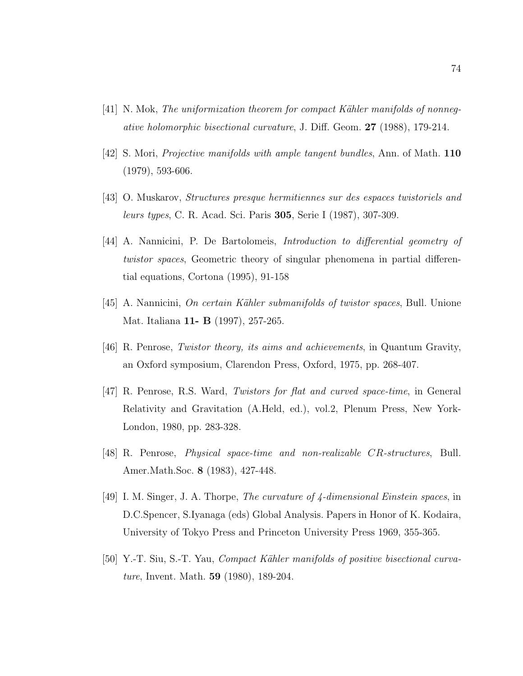- [41] N. Mok, The uniformization theorem for compact Kähler manifolds of nonnegative holomorphic bisectional curvature, J. Diff. Geom. 27 (1988), 179-214.
- [42] S. Mori, Projective manifolds with ample tangent bundles, Ann. of Math. 110 (1979), 593-606.
- [43] O. Muskarov, Structures presque hermitiennes sur des espaces twistoriels and leurs types, C. R. Acad. Sci. Paris 305, Serie I (1987), 307-309.
- [44] A. Nannicini, P. De Bartolomeis, Introduction to differential geometry of twistor spaces, Geometric theory of singular phenomena in partial differential equations, Cortona (1995), 91-158
- $[45]$  A. Nannicini, On certain Kähler submanifolds of twistor spaces, Bull. Unione Mat. Italiana **11- B** (1997), 257-265.
- [46] R. Penrose, Twistor theory, its aims and achievements, in Quantum Gravity, an Oxford symposium, Clarendon Press, Oxford, 1975, pp. 268-407.
- [47] R. Penrose, R.S. Ward, Twistors for flat and curved space-time, in General Relativity and Gravitation (A.Held, ed.), vol.2, Plenum Press, New York-London, 1980, pp. 283-328.
- [48] R. Penrose, Physical space-time and non-realizable CR-structures, Bull. Amer.Math.Soc. 8 (1983), 427-448.
- [49] I. M. Singer, J. A. Thorpe, The curvature of 4-dimensional Einstein spaces, in D.C.Spencer, S.Iyanaga (eds) Global Analysis. Papers in Honor of K. Kodaira, University of Tokyo Press and Princeton University Press 1969, 355-365.
- [50] Y.-T. Siu, S.-T. Yau, *Compact Kähler manifolds of positive bisectional curva*ture, Invent. Math. 59 (1980), 189-204.